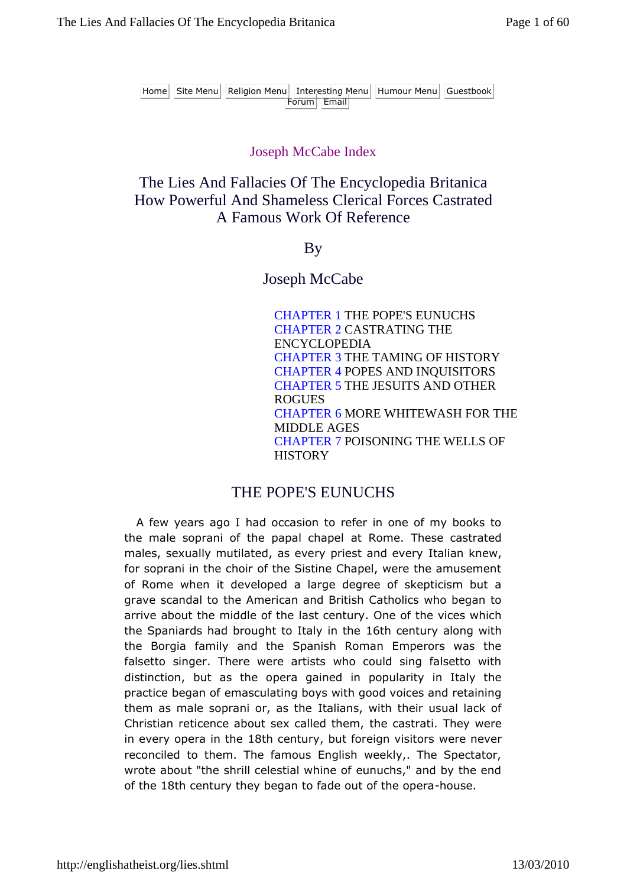Home Site Menu Religion Menu Interesting Menu Humour Menu Guestbook Forum Email

#### Joseph McCabe Index

### The Lies And Fallacies Of The Encyclopedia Britanica How Powerful And Shameless Clerical Forces Castrated A Famous Work Of Reference

By

Joseph McCabe

CHAPTER 1 THE POPE'S EUNUCHS CHAPTER 2 CASTRATING THE ENCYCLOPEDIA CHAPTER 3 THE TAMING OF HISTORY CHAPTER 4 POPES AND INQUISITORS CHAPTER 5 THE JESUITS AND OTHER ROGUES CHAPTER 6 MORE WHITEWASH FOR THE MIDDLE AGES CHAPTER 7 POISONING THE WELLS OF **HISTORY** 

#### THE POPE'S EUNUCHS

A few years ago I had occasion to refer in one of my books to the male soprani of the papal chapel at Rome. These castrated males, sexually mutilated, as every priest and every Italian knew, for soprani in the choir of the Sistine Chapel, were the amusement of Rome when it developed a large degree of skepticism but a grave scandal to the American and British Catholics who began to arrive about the middle of the last century. One of the vices which the Spaniards had brought to Italy in the 16th century along with the Borgia family and the Spanish Roman Emperors was the falsetto singer. There were artists who could sing falsetto with distinction, but as the opera gained in popularity in Italy the practice began of emasculating boys with good voices and retaining them as male soprani or, as the Italians, with their usual lack of Christian reticence about sex called them, the castrati. They were in every opera in the 18th century, but foreign visitors were never reconciled to them. The famous English weekly,. The Spectator, wrote about "the shrill celestial whine of eunuchs," and by the end of the 18th century they began to fade out of the opera-house.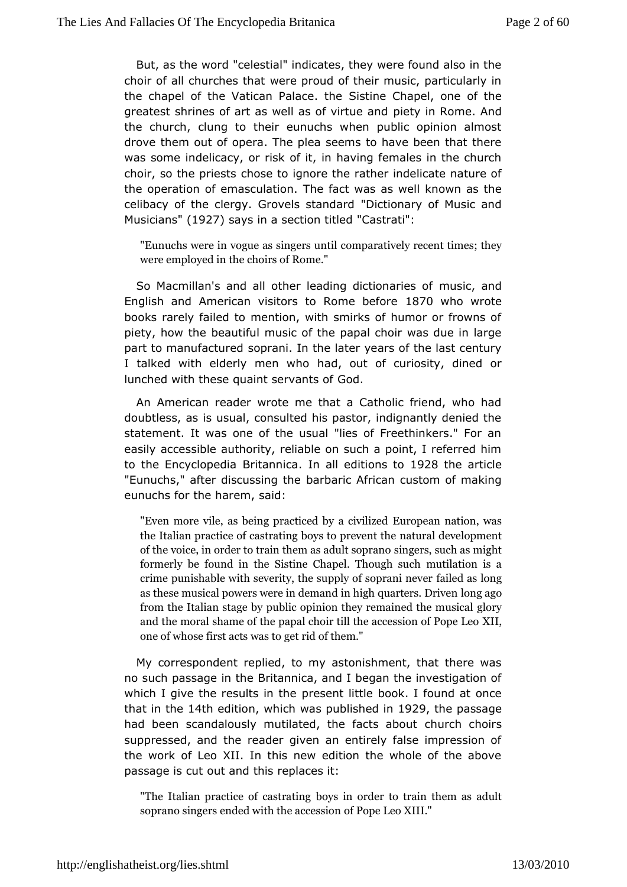[But, as the wo](http://englishatheist.org/lies.shtmlBut)edestial" indicates, they were found also in th choir of all churchwerth potroud of their music, particularly in the chapel of the Vatican Palatime to hapel, one of the greatest shrines of art as well as pote twiritrue Roamond. And the church, clung to their eunuchs when public opinion all drove them out of opera. The plea seems to have been that t was somedelicacy, or risk of it, in having females in the chu choir, so the pcheosste to ignore the rather indelicate nature of the operation of emascTuHatifoant was as well known as the celibacy of the clergy. Grove **'Distandary** of Music and  $M$ usicia'n $$927$ says in a section diatstendati":

"Eunuchs were in voque acsomiphagreartsivuently ilrecent times; they were employed in the combe of rs of

So Macmillan's and all other leading rolingsting, naamides of English and American visitors to R & m @ who fow pote booksarely failed to mention, with smirks of humor or frowns piety, how beautiful music of the papal choir was due in larg part to manufactum erdani. In the later years of the last century I talked with elderly mead whoout of curiosity, dined or lunched with these quaint seowdants of

An American reader wrote me that a Catholic friend, who doubtless, as is usual, consulted his pastor, indignantly deni statement. was one of the usual "lies of Freethinkers." For easily accessibthe crity, reliable on such a point, I referred hir to the EncyclopBerdtiannida all editionts 9 2 of the article "Eunuchs," after discustsantgathoe African custom of making eunuchs for the hsaaredm,

"Even more vile, as being practEcuer**ol** pheyana noaitviidinze onlas the Italian practice of castrating nady satod prevent the of the voice, in order to train th**e**m massersa, d**su**lt c**is** oapsramming ht formerly be found in the Sistine Chaptelation in ighasuch crime punishable with severity, the suippleyd offssboom on i never as these musical powers were in demand long ago quarters. D from the Italian stage by public opinion they borye mained the and the moral shame of the papal choir till X hle accession o one of whose first acts was to get rid of them."

My correspondent replied, to my astonishment, that there w no such passage Bmittamenica, and I began the investigation of which I give the resultpsresethtelittle book. I found at once that in theth edition hich was blished 19r29 the passage had been scandalously mutilated, the chiuncals albooiuts suppressed, and the reader given an entirely false impressi the work of Leo XII. In this new edition the whole of the a passage is ocuttand this replaces it:

"The Italian practice  $\phi$  foy  $\cos$  sin radingler to train them as adult soprano singers ended withft Plepæctess Xd hl."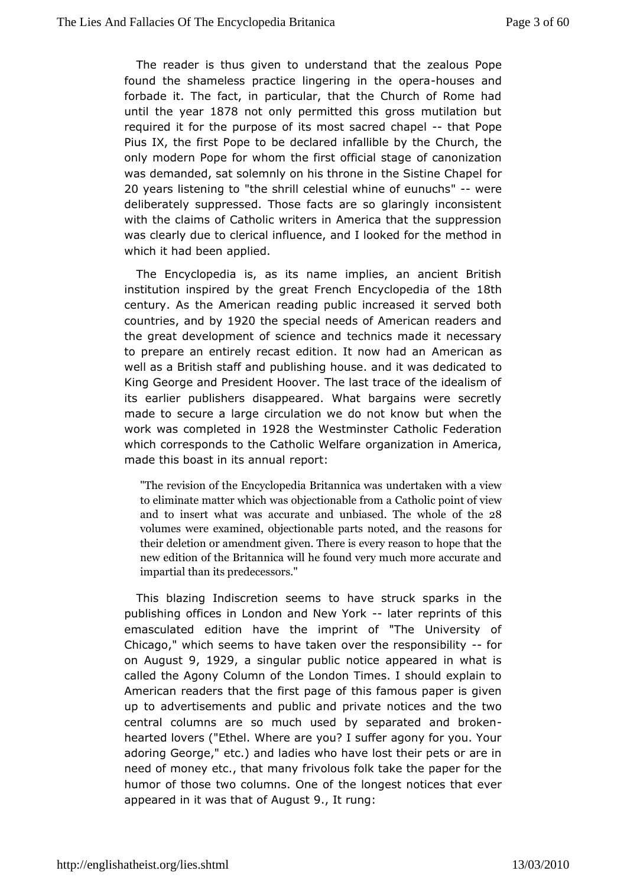[The reader is](http://englishatheist.org/lies.shtmlThe) thus given to undetheet azoedaltohuast Pope found the shameless practice lingering iouses and era forbade it. The fact, in particular, that the Church of Rome until the y  $\theta$   $\theta$   $\theta$   $\theta$  and  $\theta$  only permitted this gross mutilation but required it for the pumps smeont sacred chapped Pope Pius  $IX$ , the first Pope to bienfoldeld beloged by the Church, the only modern Pope for whom the first ooff ciation is at gion was demanded, sat solemnly on his throne in those Sistine Chapel 20 years listeninton et oshrill celestial whine "of-wermenchs" deliberately suppressed. Those facts are so glaringly inconsi with the daims of Catholic writers in America that the suppress was clearly duetocal influence, and I looked for the method in which it had  $\mathbf{a} \cdot \mathbf{b}$  applied.

The Encyclopedia is, as its name implies, an ancient Br institution inspired by the great French Encly& thopedia of the century. the American reading public increased it served bo countries and by 920 thespecial needs of American readers and the great development of scienche cash omade it necessary to prepare an entirely recast edition. Atmeoincalmadasan well as a British staff and publishing house. and it was dedic King George and President Hoover. The last trace of the ideal itsearlier publishers disappeared. What bargains were secr made to secularge circulation we do not know but when the work was complet bed 2 8th e Westminster Catholic Federation which corresponds to the Catholrigra Meritation in America, made this boast in its eapromtal

"The revision of the Encyclopeduimad Brritakaten iowaithwaas view to eliminate matter which was obGethicolnable infrom aiew and to insert what was accurate and ontital and the whole volumes were examined, objectionable parts omoted, and th their deletion or amendment given. There is every reason to new edition of the Britannica will he found very much more impartial than its predecessors."

This blazing Indiscretiono sheew mes struck sparks in the publishing offices in London and INet extrements of this emasculated edition have the imprint of "The University Chicago," which seems to have taken over the orresponsibility on Augu9t 1929 a singular public notice appeared in what is called the Agony Coltuhren London Times. I should explain to American readers that the firtshtis pagme ooufs paper is given up to advertisements and public and pandattehenotwices central columns are so much used by separated and brok heartel bvers ("Ethel. Where are you? I suffer agony for you. Y adoring Georgtes,.") and ladies who have lost their pets or are i need of money etcmatrhyatfrivolous folk take the paper for the humor of those two columnsheOhoen opest notices that ever appeared in it was that of, August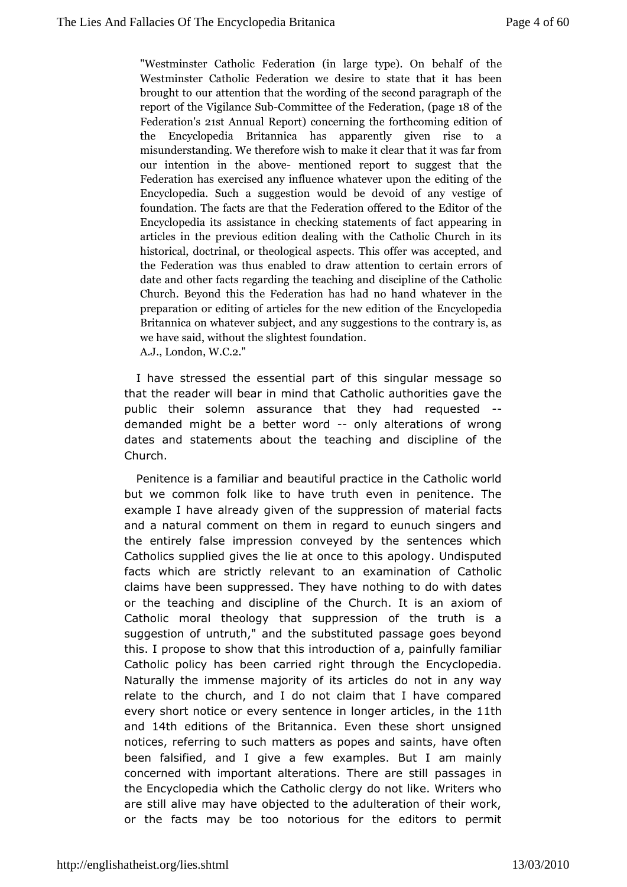["Westminst](http://englishatheist.org/lies.shtml)er Catholic Federation (ibnehalf geofty thee). On Westminster Catholic Federation we desirbeed astate that brought to our attention that the wording of the second par report of the Vigi-Caomoren iStue-be of the Fepda-ogneta-Btoiof nthe Federation of Federation of the Encyclopedia Britannica has apparently given rise  $m$  is understand it therefore wish to make it clear that it was far our intention ian botwheen entioned report to suggest that the Federation has exeimatil sues only whatever upon the editing of the state  $\mathbf r$  $Encyclopedia.$  Such a wssuud debeiodevoid of any vestige of foundation. The facts Feerdee that it on heffered to the Editor of the Encyclopedia its as shist cakring is not a tements of fact appearing articles in the prevideasliend with the Catholic Church in it historical, doctrinal, or spheet of solutions offer was accepted, an the Federation was thus enad beleadiotho to braowertain errors of date and other facts regarding ditshoeipthe interpreting atholic Church. Beyond this the Federation what has vheard in otheand preparation or editing of articles for  $Em$ e yrce apediation of the Britannica on whatever subject, and amontsagy destiass to the we have said, without the slightest foundation.  $A.$  J L.o n d oW.C.2."

I have stressed the essential part under the essage so that the reader will bear in mind that Catholic the thorities public their solemn assurance that they had requested demanded might a better word nly alterations of wrong dates and statements abteeuatchtheeq and discipline of the Church.

Penitence is a famibieau at hfoll practice in the Catholic world but we common folk like to haw entrath penitence. The example I have already given of the smuppermeisastion and the and a natural comment on them in regard to eunuch singers theentirely false impression conveyed by the sentences wh Catholics supplived the lie at once to this apology. Undispute facts which are stellet want to an examination of Catholic claims have been suppressed.nDhbeiyn on at we do with dates or the teaching and discipline of the Clautiom. of is an Catholic moral theology that suppression of the truth is suggestion untruth," and the substituted passage goes beyon this. I propose to the show this introduction of a, painfully familiar Catholic policy has beemicchatribedough the Encyclopedia. Naturally the immense majority of dots matrimules by way relate to the church, and I do not claim that I have compa every short notice or every sentence in ihoniquent harticles and14th editions of the Britannica. Even these short unsign notices, referring to a stuecr's as popes and saints, have often been falsified, and I givex am peews. But I am mainly concerned with important alterations. Pheseges istill the Encyclopedia which the Catholic clergy do not like. Write are still alive may have objected to the adulteration of their or thefacts may be too notorious for the editors to perm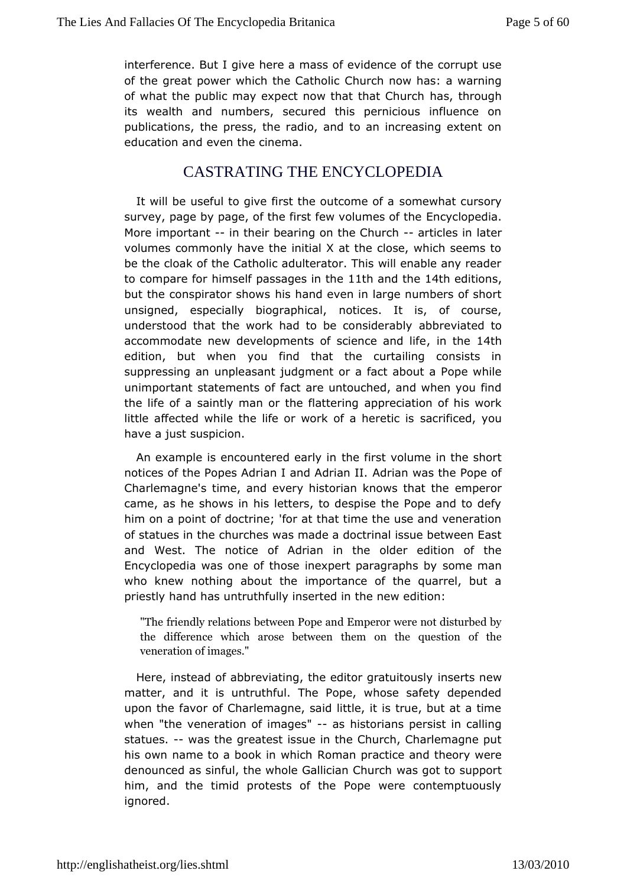interference. But heaeve mass of evidence of the corrupt use of the great power which the holatholic w has: a warning of what the public may expect now thahtatsh, ath Cohunghh its wealth and numbers, secured this pernicious influence publications, the press, the radio, and to an increasing exte education **and** n the cinema.

### CASTRATING THEENCYCLOPEDIA

It will be useful to give first the sounthelown the attack and solid survey, page by page, of the first few  $\not\!\texttt{E}$  polymoleospeodiahe More important their bearing on the - Cantuind bslanter volumes commonly have the initial X at the close, which seen be theloak of the Catholic adulterator. This will enable any  $r\epsilon$ to compare himself passages in the theord the the ditions but the conspirator hsishohwashd even in large numbers of short unsigned, especially biogmapticies. It is, of course, understood that the work had to be achobinse of leartaebolly to accommodate new developments of sciencthe4th life edition, but when you find that the curtailing consists suppressinguapleasant judgment or a fact about a Pope while unimportant statements a betward buched, and when you find the life of a saintly man or thæpplrætdearting on of his work little affected while the life or work socfical fineereltion olus have a just suspicion.

An example is encountered heafrilly stinvolume in the short notices of the Popes Adrian I an Addramin awna slithe Pope of Charlemagne's time, and every historian *kempwe sothat the* came, as he shows in his letters, to despise the Pope and to him on point of doctrine; 'for at that time the use and venera of statues inchueches was made a doctrinal issue between East and West. The notice ofinAdhimenolder edition of the Encyclopedia was one of those inexpert sparagraphs by who knew nothing about the importance of the quarrel, bu priesthy and has untruthfully inserted in the new edition:

"Theriendly relations between Pope and Emperor were not d thedifference which arose between them on the question veneration ades."

Here, instead of abbreviating, the editions egent ast uniet wusly matter, and it is untruthful. The Pope, whose safety deper uponthe favor of Charlemagne, said little, it is true, but at a when "the neration of imagess "historians persist in calling statues. was thegreatest issue in the Church, Charlemagne put his own name to a book Rromwan hich ractice and theory were denounced as sinful, the whole GalwiacsiagnotChourscuhp port him, and the timid protests of the Pope were contemptuou ignored.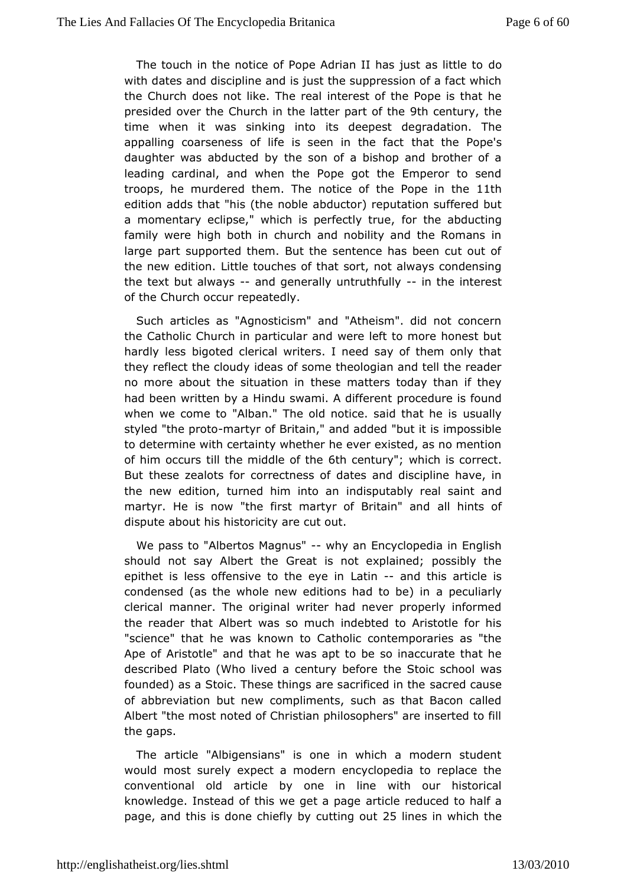[The touch in t](http://englishatheist.org/lies.shtmlThe)he notice of Pope Adrian II hadsolust as little with dates and discipline and is just the suppression of a fact the Church does not like. The real interest of the Pope is that  $p$  resided over C thue chin the latter pa $\emptyset$ th of ethnteurth e time when it was sinkings idecepest degradation. The appalling coarseness of life is seethain the Flape's daughter was abducted by the son of a bishop and brother leading cardinal, and when the Pope got the Emperor to s troops, he murdtehreend The notice of the Pope iith the edition adds that "his (tabed notole) reputation suffered but a momentary eclipse," which is pefrofectthe tartue ucting family were high both in church and nobility and the Roman large part supported them. But the sentence has been cut o the new editLottle touches of that sort, not always condensin the text but alw-aaynsdgenerally untruth-funlly he interest of the Church oepeatedly.

Such articles as "Agnosticism" and "Atheism". did not con the Catholic Church in particular and were left to more hone hardly lebsisgoted clerical writers. I need say of them only the they reflect the cdeasy of some theologian and tell the reader no more about the situal ides im atters today than if they had been written by a Hindu swamipreceldfute eeinst found when we come to "Alban." The old notice.ussaiadlity hat he is styled "the pmoatrotyr of Britain," and added "but it is impossibl todetermine with certainty whether he ever existed, as no mer of him occuits the middle of hthcentury which is correct But these zealots of reactness of dates and discipline have, in the new edition, turned himindritopuatably real saint and martyr. He is now "the first martyr of a Brittanins" and dispute about his historicity are cut out.

We pass "to bertos Magnush" y an Encyclopedia in English should not say AlbeGrethte is not explained; possibly the epithet is less offensive to Ltheiney and nthis article is condensed (as the whole new editions anapole or bling the pyin clerical manner. The original writer had never properly info the reader that Albert was so much indebted to Aristotle fo "science" thatwas known to Catholic contemporaries as "the Ape of Aristotle" and watata the to be so inaccurate that he described Plato (Who lived a century Stome of school was founded) as a Stoic. These things are sacrieficed uisnethe of abbreviation but new compliments, such as that Bacon  $c<sub>a</sub>$ Albert "the most noted of Christian philosophers" are inserted thegaps.

The article "Albigensians" is one in which a modern stud wouldmost surely expect a modern encyclopedia to replace t conventional old abryticbene in line with our historical knowledge. Instead of this we agreticale praecodeuced to half a pageand this is done chiefly by  $2.5$  litting gisnow thich the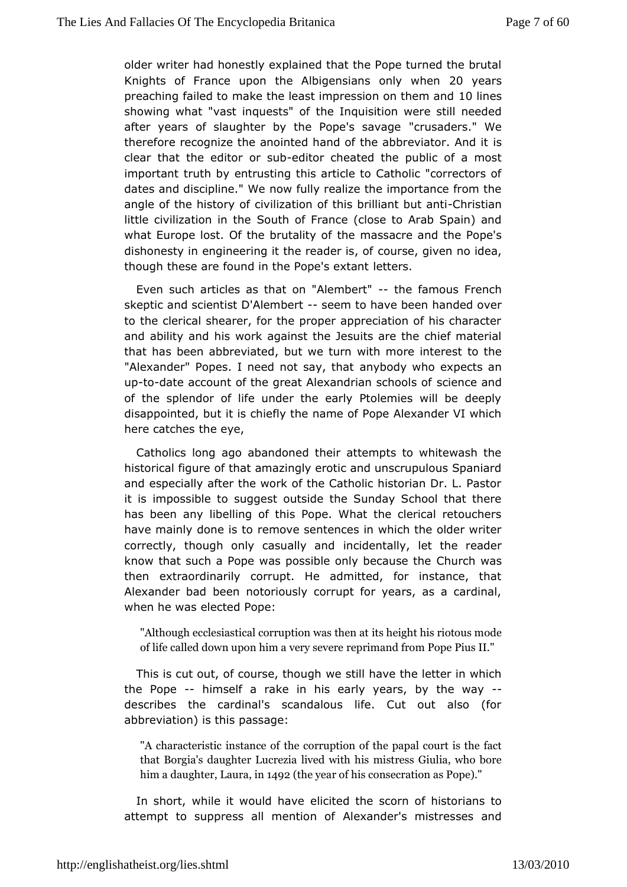[older writer had](http://englishatheist.org/lies.shtmlolder) honestly explained that the Pope turned the Knights of France upon the Albigensian  $2\$  weakys when preaching failmed the least impression on to theme sand showing what "vast inqutcheets" not usition were still needed after years of slaughter by the Po"pcelussasdaevras.q"e We therefore recognize the anointed hand of the aisbreviator. An clear that the editor-editus ubcheated the public of a most importantuth by entrusting this article to Catholic "correctors dates and discipline." We now fully realize the importance from angle of the hissit ocriwilization of this brilli-@mhtilstuitaanti little civilization Sionutthe eof France (close to Arab Spain) and what Europe lost. Of the brueahitays so fore and the Pope's dishonesty in engineering it the croeuarcheer, igsive fi no idea, though these are found in the P bepte es sextant

Even such articles as that on  $-$  A heem to een to French skeptic and scientist D'-A beeme breat have been handed over to thelerical shearer, for the proper appreciation of his char and ability mainsd work against the Jesuits are the chief material that has been abbrebuid tewde, turn with more interest to the "Alexander" Popes. I need notansyabyo, dyhawtho expects an up-to-date account of the great Alexandrisacriesnacheo and of of the splendor of life under the early Ptolemies will be d disappointed, but it is chiefly the name of Pope Alexander VI here catches  $eye$ ,

Catholics long ago abandoned their attempts to whitewash historical figure of that amazingly erotic and unscrupulous Sp andespecially after the work of the Catholic historian Dr. L. F it ismpossible to suggest outside the Sunday School that th has been any elling of this Pope. What the clerical retouche have mainly doneremove sentences in which the older writer correctly, though only casumatide and ally, let the reader know that such a Pope was possible on Cyh ubreccha uwsaes the then extraordinarily corrupt. He admitted, for instance, Alexander bad been notoriously corrupt for years, as a card when he wealsected Pope:

"Although ecclesiastical corruipssion meigy hats himse migattous mode of life called down upon himeparimeanydsfervoem ePope Pius II."

This is cut out, of courswee that oily have the letter in which the Pope-himself a rake in his earbyy yteharsway describes the cardinal's scandalous life. Cut out also abbreviation) is this passage:

"A characteristic ithestance requestion of the papal court is the f that Borgia's daughtbein du with his mistress Giulia, who bor him a daughat erani492 heyear of his consecration as Pope)."

In short, while it would idial order the scorn of historians to attempt to suppress all meAnteixonandoner's mistresses and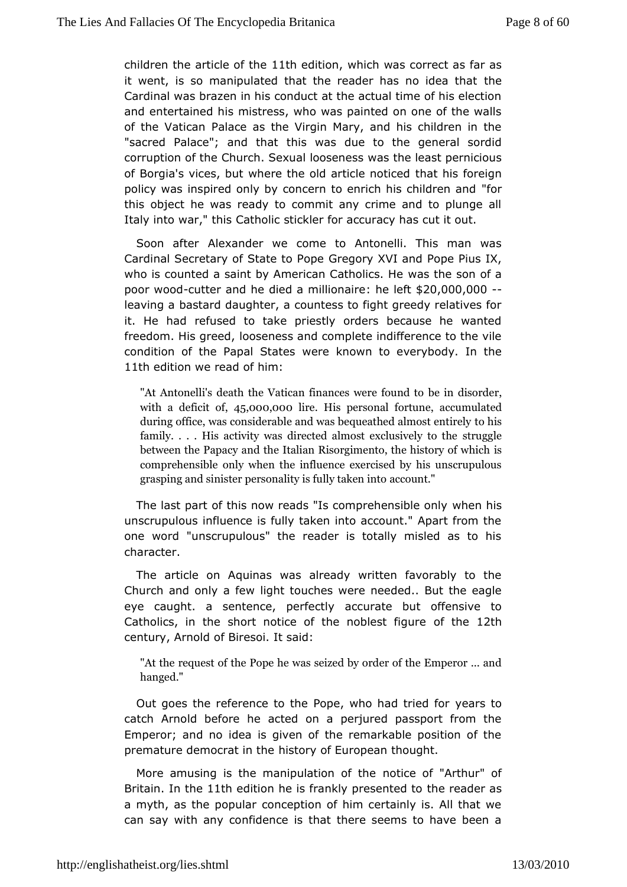children the article toth tehdeition which was prect as far as it went, is so manipulated that the reader htahse no idea that Cardinal was brazen in his conduct at the actual time of his e andentertained his mistress, who was painted on one of the w of the VatiPanhace as the Virgin Mary, and his children in th "sacred Palace"; anthitshawtas due to the general sordid corruption of the Church. Sexuawla book eness t pernicious of Borgia's vices, but where the old tahrat tchesn foot rie each policy was inspired only by concern to enrich fais children ar this object he was ready to commit any crime and to plunge Italy inwear," this Catholic stickler for accuracy has cut it out.

Soon aft $\triangle$ hexander we come to Antonelli. This man was Cardinal Secretary of Stat@regor proproviduand Pope Pius IX, who is counted a saint by American wCaasthtohleicsson Heef a poor wo-conditter and he died a millieo heafting .000,000 leaving a bastard daughter, a countess to fight greedy relativ it. Hehad refused to take priestly orders because he wante freedom. His greesleness and complete indifference to the vile condition of the Papa weSinteat kenown to everybody. In the 11th edition we rehaid n:of

"At Antonelli's death the Vatican fin $\tan \theta$  designed  $\theta$  ound to with a deficit 5,000,000 eHis personal fortume ulated during office, was considerable and was bequeisthed almost family.  $\ldots$  . His activity was directed abmrousoing beex clusively to between the Papacy and the Italian Risorgimishto, the histo comprehensible only when the influence exercised by his grasping and sinister personalitacios funitly taken into

The last part of this now reads "Is compwebensible only unscrupulous influence is fully taken into account." Apart fro oneword "unscrupulous" the reader is totally misled as to character.

Thearticle on Aquinas was already written favorably to t Church and only bigfretw touches were needed.. But the eagle eye caught. a sentence,  $\sqrt{a}$  extercatily but offensive to Catholics, in the short notice of the onfold heets  $2t$  hfigure century, Arnold of Biresoi. It said:

"At the quest of the Pope he was seized by order of the  $Em<sub>1</sub>$ hanged."

Out goes the reference to the Pope, who has the died for catch Arnold before he acted on a perjured passport from Emperon;nd no idea is given of the remarkable position of t premature democrathiinsttchrey of European thought.

More amusing is the manipulatrionticoef othe Arthur" of Britain the 1th edition he is frankly presenteed deor as a myth, as the popular conception of him certainly is. All th can say with any confidence is that there seems to have be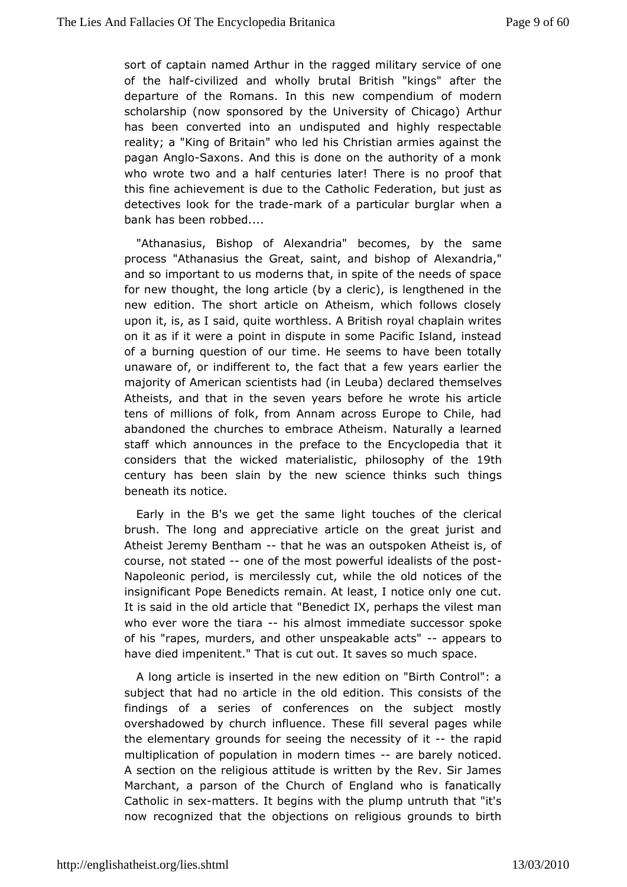sort of cappained Arthur in the ragged military service of one of the  $h$ alf ilized and rolly brutal British "kings" after the departure of the Romans. In ctohmispemedwium of modern scholarship (now sponsored by the Univers ith of Chicago) has been converted into an undisputed and highly respect reality;" King of Britain" who led his Christian armies against pagan Angolaxons And this is done on the authority of a monk who wrote two and a half cætretrulries here is no proof that this fine achievement is due to Febele Cattihoon, i cbut just as detectives look for the atkade a partibulatar when a bank has been robbed....

"Athanasius, Bishop of Alebeacnodmetas", by the same process "Athanasius the Great, saint, Aalneckabnichtiniap" of and so important to us moderns that, in spite of the needs of for new thought, the long article (by a cleric), is lengthened newedition. The short article on Atheism, which follows clo upon it, is, seasidl, quite worthless. A British royal chaplain writ on it as if it wee reain dispute in some Pacific Island, instead of a burning question time out the seems to have been totally unaware of, or indifferent to, the few cyethest earlier the majority of American scientists had (in the embabil deslared Atheists, and that in the seven years before he wrote his a tens of millions of folk, from Annam across Europe to Chile abandoned the rches to embrace Atheism. Naturally a learned staff which announcespriefabe to the Encyclopedia that it considers that the wicked mapthilalistich, of 1the century has been slain by the new sciendbintomsinks such beneath its notice.

Early in the B's we get the same  $\log h$ the occleane sal brush. The long and appreciative article on the great jurist Atheist Jeremy Ben-tthant he was an outspoken Atheist is, of course, nsotated-one of the most powerful idealists of the post Napoleonic perimde, roslessly cut, while the old notices of the insignificant Pope Beemedicts At least, I notice only one cut. It is said in the old artBelnethat IX, perhaps the vilest man who ever wore the--thasaalmoismtmediate successor spoke of his "rapes, murders, and other unspearable satus" have died impenitent." That is cut out. It paves so much

A long article is inserted in the new edition on "Birth Contr subject that had no article in the old edition. This consists findings af series of conferences on the subject mostly overshadowed by church infines and inference and pages while the elementary grounds for seeing to the ithe bessatpyid multiplication of population in  $m$ - $\sigma$  dae enbtained  $\sigma$  ticed. A section on the religious attitude is written by the Rev. Sir Marchant, a parson of the Church of England who is fanati Catholic senxmatters. It begins with the plump untruth that "it's now recognized that the identions on religious grounds to birth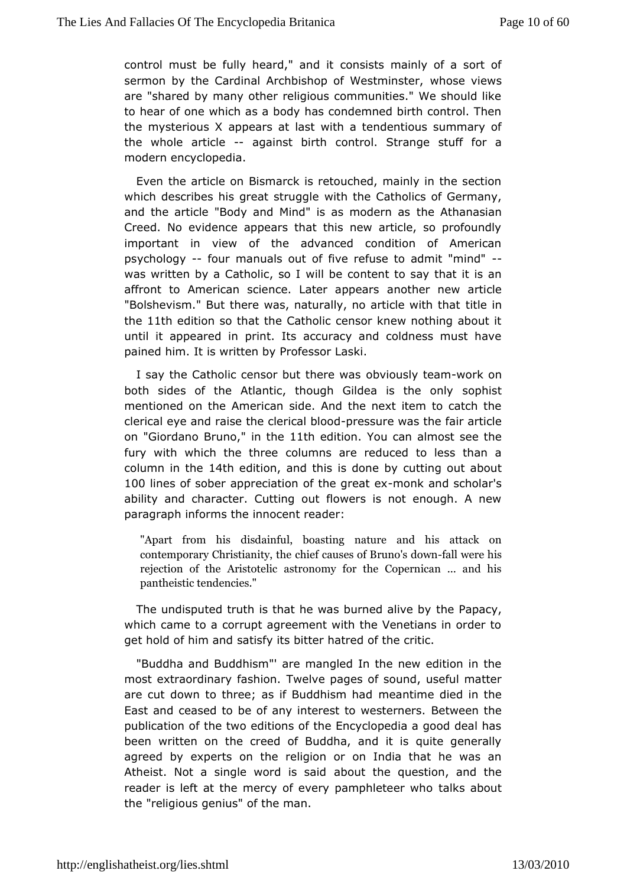[control must be f](http://englishatheist.org/lies.shtmlcontrol)ully heard d'on airsd sitmainly of a sort of sermon by the Cardinal Archbishop of wWestem vines west. are "shared by many other religious communities." We should tohear of one which as a body has condemned birth control. the mysterious and post at last with a tendentious summary of the whole articlægainst birtohntrol. Strange stuff for a modern encyclopedia.

Even the artic Beisomarck is retouched, mainly in the section which describes his greatwisttrutghgele Catholics of Germany, and the article "Body and Mind" is abem & the arma sisan Creed. No evidence appears that this new article, so profo important in view of the advanced condition of Americ psychology fourmanuals out of five refuse to admit "mind" was written by a Cathowidl be content to say that it is an affront to American science. Laternotahoepre. article "Bolshevism." But there was, naturally, no tat the ie with that the11th edition so that the Catholic censor knew nothing about until it appeared in print. Its accuracy and coldness must pained himis Iwritten by Professor Laski.

I say the Catholic censor butobly eders was examinik on both sides of the Atlantic, though Gildessopisistthe only mentioned on the American side. And the next item to catch clericale and raise the cleripad stal oned was the fair article on "GiordaBnroun, ö in the 1th editioYnou can almost see the fury with which the colluemens are reduced to less than a column in the 14th edition and this is doom cutting out about 100 lines of sober appreciation of-mhoenigræms the oxlar's ability and character. Cutting out flowers is not enough. A paragraph informs the innocent reader:

"Apart from dhsidainful, boasting nature and his attack contemporary Christochief y catuleses of Bruina bl's we low his rejection of the Aarsistontomy for the Copernican ... and h pantheiseindencies."

The undisputed truth is that he was burnee eaplings, by which came to a corrupt agreement with the Venetians in ord gethold of him and satisfy its bitter hatred of the critic.

"Buddha a Budddhism"' are mangled In the new edition in the most extraordinary fast wheild we pages of sound, useful matter are cut down to three; as if Budhdehaisminheadlied in the East and ceased to be of any interest Betweshethers. publication of the two editions of the Encyclopedia a good de been written on the creed of Buddha, and it is quite gene agreed by expents the religion or on India that he was an Atheist. Not a single word biosuts a hobe question, and the reader is left at the mercy of every pamph who talks about who the "religious genius" of the man.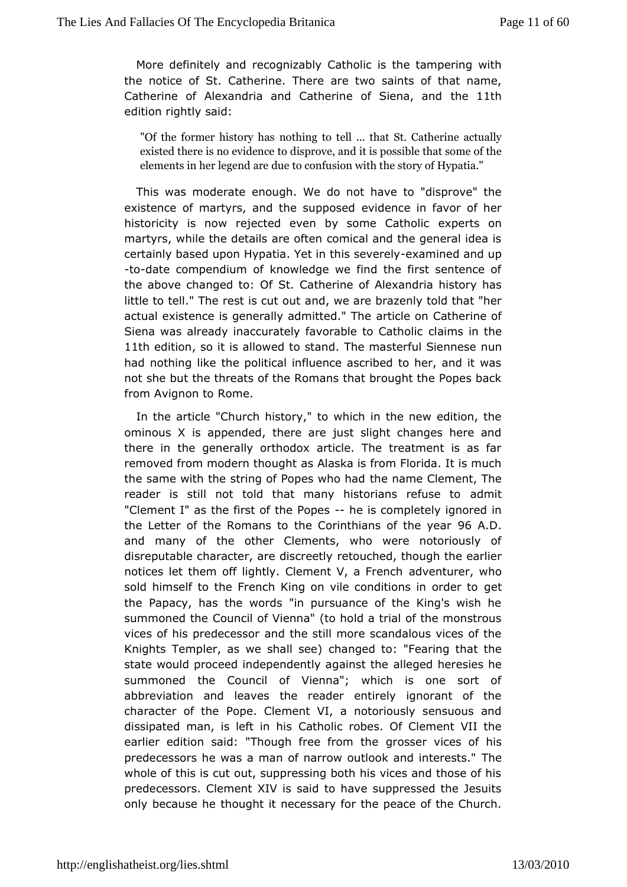[More definitely](http://englishatheist.org/lies.shtmlMore) exerodanizably Catholic is the tampering with the notice of St. Catherinage Theoresaints of that name, Catherine of Alexandria and Catherine bife Sitchna, and edition rightly said:

"Of the former histoothyin hgas tell ... that St. Catherine actu existed there is nto edwischer nove, and it is possible that some of elements in her legento apenfusion with the story of Hypatia.'

This was modeerabeugh. We do not have to "disprove" the existence of martyrs, and thee suppencesseed n favor of her historicity is now rejected even by sompeerCsatbolic martyrs, while the details are often comical and the general i certainly based upon Hypatia. Yet inextainsins end earned yup -to-datecompendium of knowledge we find the first sentence the above changed So: ©atherine of Alexandria history has little to tell." The rest  $a\,s\,d\,c\,u\,w\,\cdot\omega\,d\,u\,r$  and  $\alpha\,u\,v\,d\,d\,r$  to  $d\,d\,t$  that "her actual existence is generally adamitticede. "on InCeatherine of Siena was already inaccurately favorablaims Cratthoelic 11th editiosmo it is allowed to Tshteamdasterful Siemunnese had nothing like the political influence ascribed to her, and not sheut the threats of the Romans that brought the Popes back from AvignoRdme.

In the article "Church history," to which in the new edition ominous  $X$  is appended, there are just slight changes here there in tomenerally orthodox article. The treatment is as fa removed from modern tahsouAd abka is from Florida. It is much the same with the string of Poptehse what on ha Collement, The reader is still not told that many historiæd msitrefuse to "Clement I" as the first of -t-he Plopes mpletely ignored in theLetter of the Romans to the Corinthian9s6 AD. the year and many of toltheer Clements, who were notoriously of disreputable character, are rediscreedy though the earlier notices let them off lightly. Clemenatd We natuFreen, cunho sold himself to the French King on vile condited bns in order the Papacy, has the words "in pursuance of the King's wis summoned the uncil of Vienna" (to hold a trial of the monstrous vices of his predecereds stome still more scandalous vices of the Knights Templer, as we schaaln see to: "Fearing that the state would proceed independentlyaldegends hethesies he summoned the Council of Vienna"; which is one sort abbreviation and leaves the reader entirely ignorant of character of Ptomee. Clement VI, a notoriously sensuous and dissipated man, is left aitholis robes. Of Clement VII the earlier edition said: "Though fregerofsrsoem whices of his predecessors he was a man of narrow outlook haend interests.' whole of this is cut out, suppressing both his vices and those predecessors. Clement XIV is said to have suppressed the J only because hhought it necessary for the peace of the Church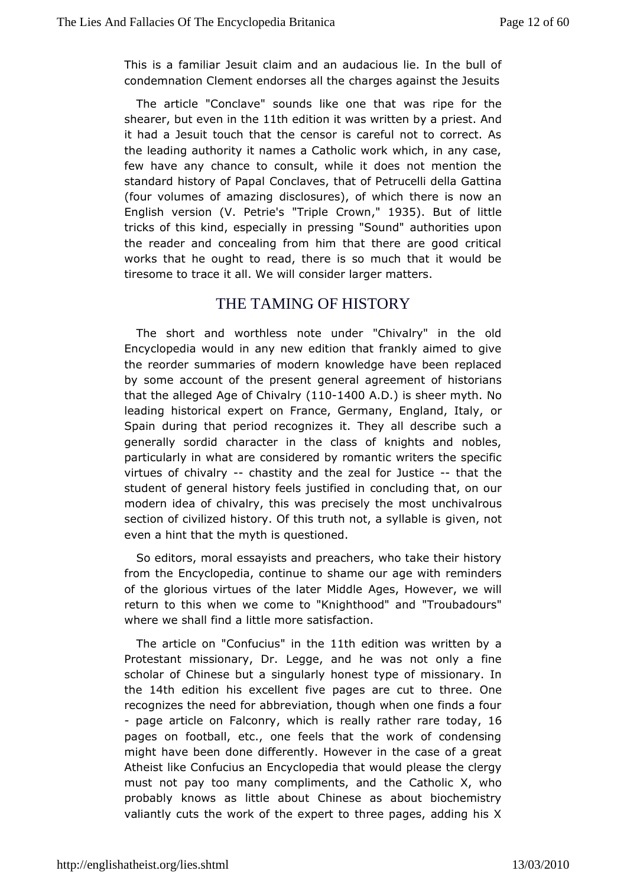[This is a familia](http://englishatheist.org/lies.shtmlThis)r cleaismuit and an audacious lie. In the bull of condemnation Clement endorsharaldsthagainst the Jesuits

The article "Conclave" sounds likweasomepetheatr the shearebut even in 1the edition it was writpeneby and it had a Jesuit touch that the censor is careful not to corre the leading authority it names a Catholic work which, in any few have achyance to consult, while it does not mention the standard history of Paplalves, that of Petrucelli della Gattina (four volumes of and aximasures), of which there is now an English version (V. PetrieCso WThrip985. But of little tricks of this kind, especially in preasustimagrit Seasunuption the reader and concealing from him that there are good cri works that he ought to read, there is so much that it would tiresome to tirtaall. We will consider larger matters.

### THE TAMING OF HISTORY

The short and worthless note under "Chivalry" in the Encyclopedia would in any new edition that frankly aimed to give the reordseurm maries of modern knowledge have been replaced by some account of the goernees rear it agreement of historians that the alleged Age  $of$  ( $C/h$  $0$   $400$  $AD$ .) is sheer myth. No leading historical expert on France, Germanyor England, Ital Spain during that period recognizes it. They all describe s generalbordid character in the class of knights and noble particularly in whead nasidered by romantic writers the specific virtues of chiva thy a stity at the zeal for Justice the student of general history feelsconstundend in hat, on our modern idea of chivalry, this was precusselhy vtahle omsst section of civilized history. Of this truth gnot na not another is even a hint that the myth is questioned.

So editors, mexargedyists and preachers, who take their history from the Encyclopedia, to onsthiame our age with reminders of the glorious virtues of the lages, MHodule ver, we will return to this when we come to "Knid'Fitrhooudoda" doaunds" where we shall find a little more satisfaction.

The articolne "Confucius the 1th edition was written by a Protestant missionarlyegor, and he was not only a fine scholar of Chinese but a singutapley onformeisstionary. In the 14th edition his excellent five pages hrasene. Cunteto recognizes the need for abbreviation, though when one finds - page article on Falconinchy is really rather ranos today pages ofrootball, etc., one feels that the work of condensir might have been diofmeerently. However in the case of a great Atheist like Confueinusy almopedia that would please the clergy must not pay too many complimentents  $C$  and the  $C$ , who probably knows as little about Chinese as about biochemi valiantly cuts the work of the expert to three pages, adding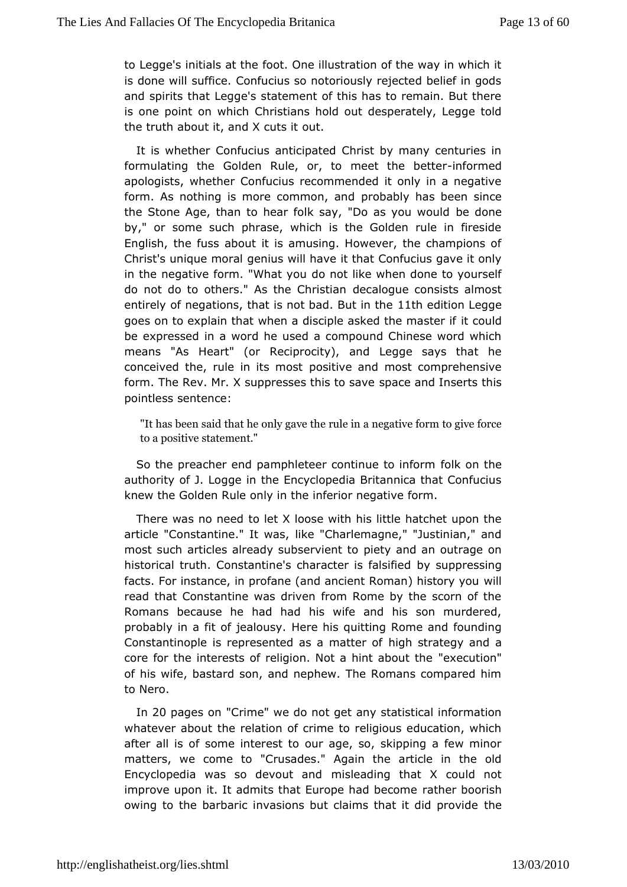to Leggehstials at the foot. One illustration of the way in which is done waulfice. Confucius so notoriously rejected belief in g and spirits the ange's statement of this has to remain. But there is one point on @hrcshtians hold out desperately. Legge told the truth about it, and oluteuts it

It is whether Confucius anticipated Christ by many centuries formulating the Golden Rule, or, to meientformeedbetter apologists, whet the rius recommended it only in a negative form. As nothing is more comprobabaly dhas been since the Stone Age, than to hear folk say, "D teasd oynceu would by," or some such phrase, which is the Golden rule in fire Englishhe fuss about it is amusing. However, the champions Christ's unique greanials will have it that Confucius gave it only in the negative form. "Whoat a woulke when done to yourself do not do to others." As the deConarlios giuaen consists almost entirely of negations, that is not bath Beudtition the egge goes on to explain that when a disciple askted otuhled master if be expressed in a word he used a compound Chinese word w means "Absteart" (or Reciprocity), and Legge says that he conceived the, rule in ptossimionst and most comprehensive form. The Rev. Mr. X suppressess phaisset ansdave serts this pointless sentence:

"It has beet that inde only gave the rule in a negative form to  $q$ to a possitiantement."

So the preacher end pamphleteer contifination inform authority of J. Logge in the Encyclopedia Britannica that Cor knew the Golden Rule only in the inferior negative form.

There was no needdt X loose with his little hatchet upon the article "Constantine." lilktew"aCsharlemagne," "Justinian," and most such articles already subpsiety i and tan outrage on historical truth. Constantine's charadotyer suppofreed ssifined facts. For instance, in profane (and ancient Rwomhlan) history you read that Constantine was driven from Rome by the scorn of Romansbecause he had had his wife and his son murdered probably in a fit of jeheelnoeushyis quitting Rome and founding Constantinople is represented ashiag im astituent econty and a core for the interests of religion. Not a eximate una boonu"t the of his wife, bastard son, and nephew. The Romans compared toNero.

In20 pages öCrim" ewe do not get any statistical information whatever about the relation of crime to religious education, after allofssome interest to our age, so, skipping a few mine matters, we come Ctosades." Again the article in the old  $Encyclopedia was so devmuits) can be used to be a new direction.$ improve upon it. It admits that Europerah had becommen owing to the barbaric invasions but claims that it did provid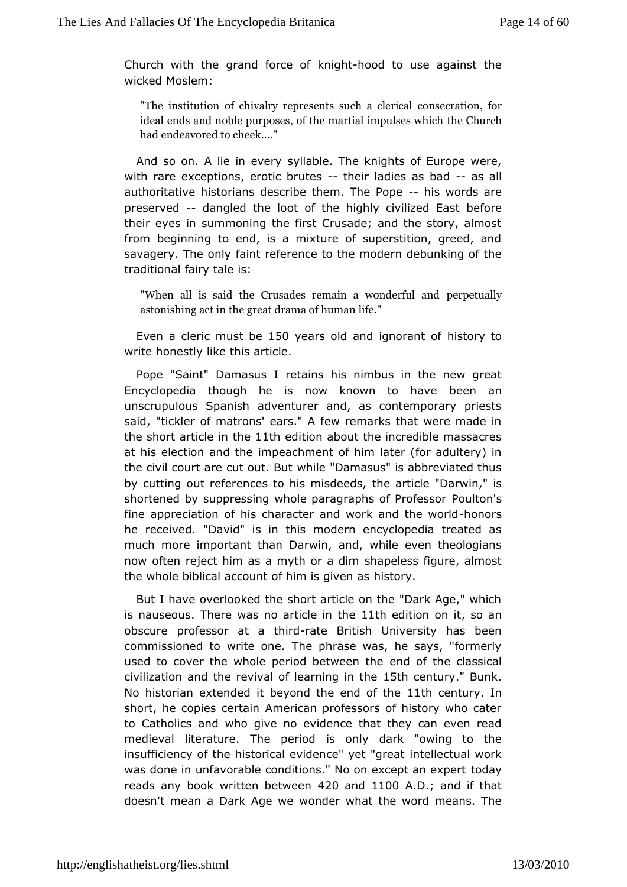[Church with the g](http://englishatheist.org/lies.shtmlChurch)rand force-hoof okntion huise against the wickedMoslem:

"The institution of chivalry represent the securation clear call  $\alpha$ ideal ends and noble purposes, of the thin art Cuallurion houlses whi had endeavored to cheek...."

And so on. A lie inselvent weble. The knights of Europe were, with rare exceptions, eroti-cthberiut dadies as - baad all authoritative historians describe the mhis TheorPdospare preserved dangled the loot of the highly cive for ed East their eyes in summoning the first Crusade; and the story, al frombeginning to end, is a mixture of superstition, greed,  $\epsilon$ savagery. The fainty reference to the modern debunking of the traditional fairis tale

"When all is said the Crusades remapmerpetwoon bleeful and astonishing act in the great ldfreath a of human

Even a cleric muts 50 by ears old and igno has not to write honestly like this article.

Pope "Saint" Damarseut saints his nimbus in the new great Encyclopedia though he is now knowbeet to anave unscrupulous Spanish adventurer and, as contemporary pri said"tickler of matrons' ears." A few remarks that were made the short artid hee lifth edition about the incredible massacres at his election and pthe achiment of him later (for adultery) in the civil court are cutwohuile BD tamasus" is abbreviated thus by cutting out references to hisheniadteiebes, "Darwin," is shortened by suppressing whole paragrap Phouton's Professor fine appreciation of his character and work condsthe world he received. "David" is in this modern encyclopedia treated much more importthannt Darwin, and, while even theologians now often reject him as a mythshoampealedsism figure, almost the whole biblical account of him is sogyven as

But I have overlooked the short article on the "Dark Age," v is nauseousbere was no article 1th tendeition ossoitan obscurperofessor at a-rtahtierd British University has been commissioned to writehonehrase was, he says, "formerly used to cover the whole period beentow ecefin the eclassical civilization and the revival of lea $\delta$ thicenturyhe Bunk. No historian extended it beyond the 1tehnocenftutthyme short, he copies certain American professors of history who to Catholaged who give no evidence that they can even read medieval literature. Theispecrimolyd dark "owing to the insufficiency of the historical evidemet et ligenturand revent k was done in unfavorable conditions." No on tooxdcaeypt an expert reads any book written betweened 100 AD.; and if that doesn't mean Dark Age we wonder what the word means. The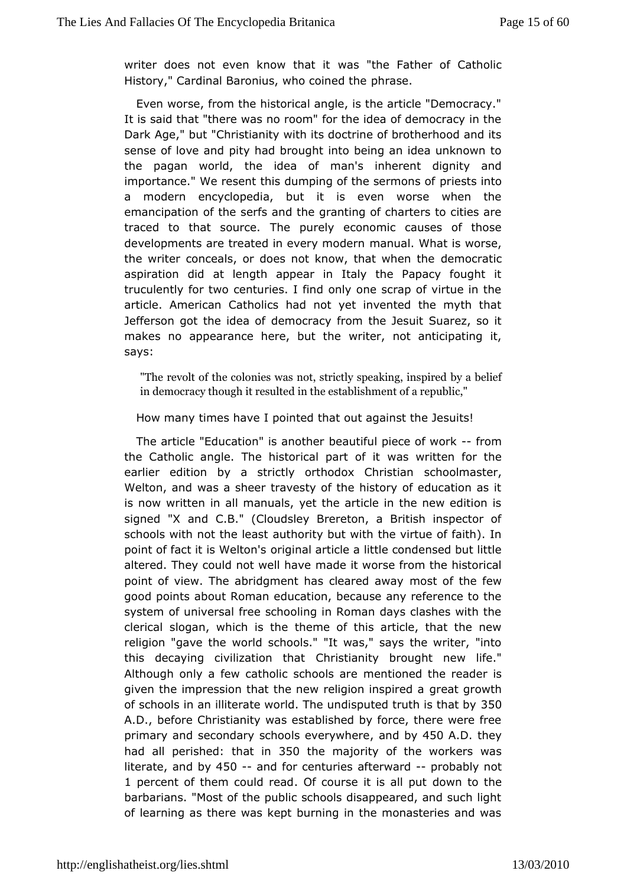[writer does not](http://englishatheist.org/lies.shtmlwriter) even know wath at the Father of Catholic History," Cardinal Baronius, whphraseed the

Even worse, from the historical angle, is the article "Democ It is said that "there was no room" for the idea of democracy Dark Age, Ut "Christianity with its doctrine of brotherhood and sense of love pathy dhad brought into being an idea unknown to the pagan world, the idmean's inherent dignity and importance." We resent this dumping of phieestearmontos of a modern encyclopedia, but it is even worse when th emancipation finite serfs and the granting of charters to cities a traced to that souhee.purely economic causes of those developments are treated in even an mande White is worse, the writer conceals, or does not know, dento when the aspiration did at length appear in Italy the Papacy fough truculently for two centuries. I find only one scrap of virtue article American Catholics had not yet invented the myth that Jefferson got the iddema octacy from the Jesuit Suarez, so it makes no appearance here, wbittertheot anticipating it, says:

"The revolt of the  $x$ s loonies trictly speaking, inspired by a b in democracy theosughited in the establishment of a republic,"

How many times lhavented that out against the Jesuits!

The article "Education" is eau bit flud rpiece of - worm that the Catholic angle. The historicawla pawrite this the earlier edition by a strictly orthodoxhoCohlmiasitær, Welton, and was a sheer travesty of the history of education is now written in all manuals, yet the article in the new edit signed "a And C.B." (Cloudsley Brereton, a British inspector schools with not thæut astly but with the virtue of faith). In point of fact it is Woellgomas article a little condensed but little altered. They could not wheld ehatvevorse from the historical point of view. The abridgment has crieated fatworew good points about Roman education, because any reference t system of universal free schooling in Roman days clashes wi clericalogan, which is the theme of this article, that the n religion "gavew bhted schools." "It was," says the writer, "into this decaying civilizati Chirishtathity brought new life." Although only a few catholic smochmotoibs each ethe reader is given the impression that the new reli**giroenatings pointend** a of schools in an illiterate world. The undispuße5d truth is that A.D., before Christianity was established by force, there wer primar $\gamma$ nd secondary schools eyeamydw be  $60$  AD. they had all perished: taat time majority of the workers was literatend  $b450-$ -and for centuarite est ward probably not 1 percent of them couloffreadinse it is adlow pout to the barbarians. "Most of the public schools disappeared, and suc of learning as there was kept burning in the monasteries and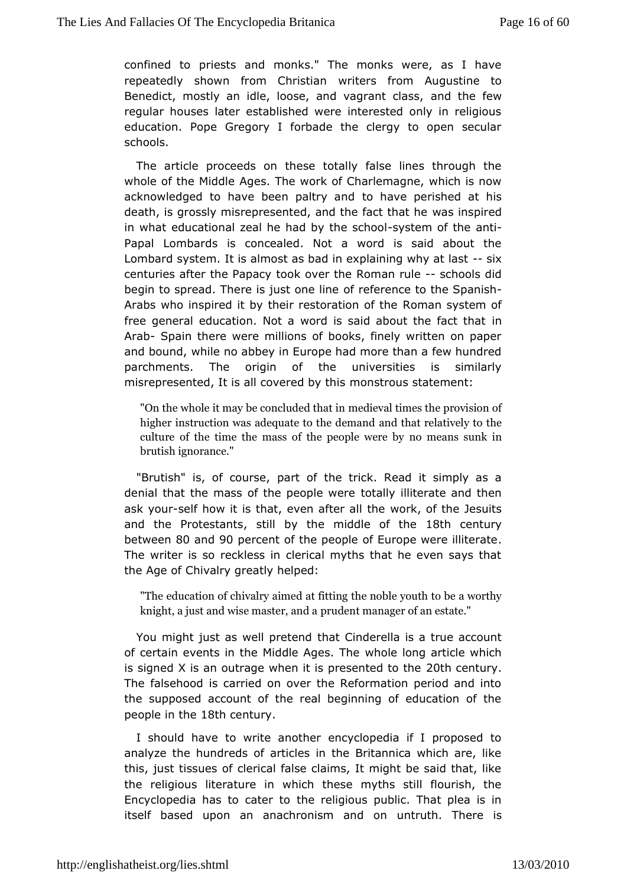confined poiests and monks." The monks were, as I have repeatedly shown from Cwristeirs from Augustine to Benedict, mostly an idle, loose, and anadrahe deawss, regular houses later established were interested only in religious education. Pope Gregory I forbade the clergy to open sec schools.

Thearticle proceeds on these totally false lines through whole of the MAdgdelse. The work of Charlemagne, which is now acknowledged to have been ptaolthyavaen perished at his death, is grossly misrepresented, and twh as fancs ptihred he in what educational zeal he had bay sthe ms of hotomid-i Papal Lombards is concealed. Not a word is said about Lombard systlet mis almost as bad in explaining-wiky at last centuries after the tPoapkaover the Roman srahiols did begin to spread. There is jussift roenfeerleinee to the Spanish Arabs who inspired it by their restoRroantiaom soyfstben of free general education. Not a word is said about the fact that Arab Spain there were millions of books, finely written on pa and bounwdhile no abbey in Europe had more than a few hundre parchments. The origithe of universities is similarly  $m$  is represented, It is all cover redsby theis tatement:

"On the whole it may be comedued althiantes in the provision of higher instruction was adequatend other to the mediant relatively to the culture of the time the mass of the precapise swumenke iby brutish ignorance."

"Brutish" is, of cparteof the trick. Read it simply as a denial that the mass of the peotpallely wielrieterate and then ask yousnelf how it is that, even afworrkalbfthtone Jesuits and the Protestantils by the middle  $\delta$  & hthe ntury betwee 30 and 90 percent of the people of Europe were illiterate Thewriter is so reckless in clerical myths that he even says the Age Cohivalry greatly helped:

"The education of chivalitry inaginal read ble youth to be a worthy knight, a just and wise pmadeent, manadager of an estate."

You might just as well that terid derella is a true account of certain events in the MiddlewhAcqleesloTibearticle which is signed X is an outrage when it is pleads the method to the The falsehood is carried on over the Reformation period and the supposed account of the real beginning of education of people in 18th century

I should have to write another encyclopedia if I proposed analyze the hundreds of articles in the Britannica which are this, jutsitsues of clerical false claims, It might be said that, the religidutserature in which these myths still flourish, th Encyclopedia has to date retologious public. That plea is in itself based upon an anachronism ntaunton. On here is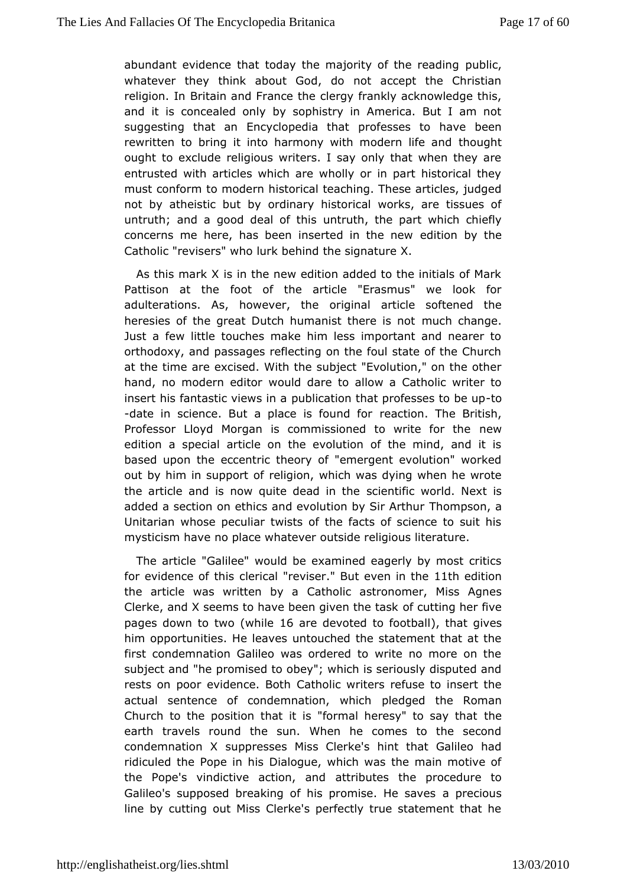[abundant evidence](http://englishatheist.org/lies.shtmlabundant) that today the majority pouf bltince reading whatever they think about God, do not accept the Christ religion. Blmitain and France the clergy frankly acknowledge th and it is conceale by only by stry in America. But I am not suggesting that an Encycloppendia the states to have been rewritten to bring it into harmony with mtoholoeurghtlife and ought to exclude religious writers. I say only that when the entrusted with articles which are wholly or in part historical must confotrom modern historical teaching. These articles, judge not by atheistic boundibnyary historical works, are tissues of untruth; and a good deal unot frutthis the part which chiefly concerns me here, has been inserted dintion heby ewhe Catholic "revisers" who lurk behind the signature X.

Asthis mark  $X$  is in the new edition added to the initials of Pattison at thet of the article "Erasmus" we look for adulterations. As, howeveerigintal article softened the heresies of the great Dutch humanist multenchianget Just a few little touches make him less important and neare orthodoxy, and passages reflecting on the foul state of the C at the time excised. With the subject "Evolution," on the oth hand, no modern ewobitubud dare to allow a Catholic writer to insert his fantastic view bolicration that professes to be up -date in science. But a place is eat the of out a place is  $\mathcal{A}$ Professor Lloyd Morgan is commissioned to ewrite for the edition a special article on the evolution of the mind, and based upome eccentric theory of "emergent evolution" worke out by him in supproentigoion, which was dying when he wrote the article and is now quite deecaldenithifitcheworld. Next is added a section on ethics and evolutio Thhompson Arthur Unitarian whose peculiar twists of the facts of science to s mysticism have no place whatever outside religious literature.

The articlealilee" would be examined eagerly by most critic for evidence ot lueris a "revise" rBut even in 1the edition the article was writtenCabilyolaic astronomer, Miss Agnes Clerke, and  $X$  seems to have been goin  $\mathbf c$  and the the structure task five pages down to (while 16 are devoted to food head onlives him opportunities. He leaves untouched the statement that a firstondemnation Galileo was ordered to write no more on the subject and p" the prised to obey"; which is seriously disputed an rests on poor evidenc@atBoth writers refuse to insert the actual sentence of condemnati**on**ed gwend chine Roman Church to the position that it is "formal hertehsey" to say that earth travels round the sun. When he comes to the secc condemnation which esses Miss Clerke's hint that Galileo had ridiculed the PopeDimalbigsue, which was the main motive of the Pope's vindictive actacthribanteds the procedure to Galileo's supposed breaking of his promaisperechious aves line by cutting out Miss Clerke's perfectly true statement th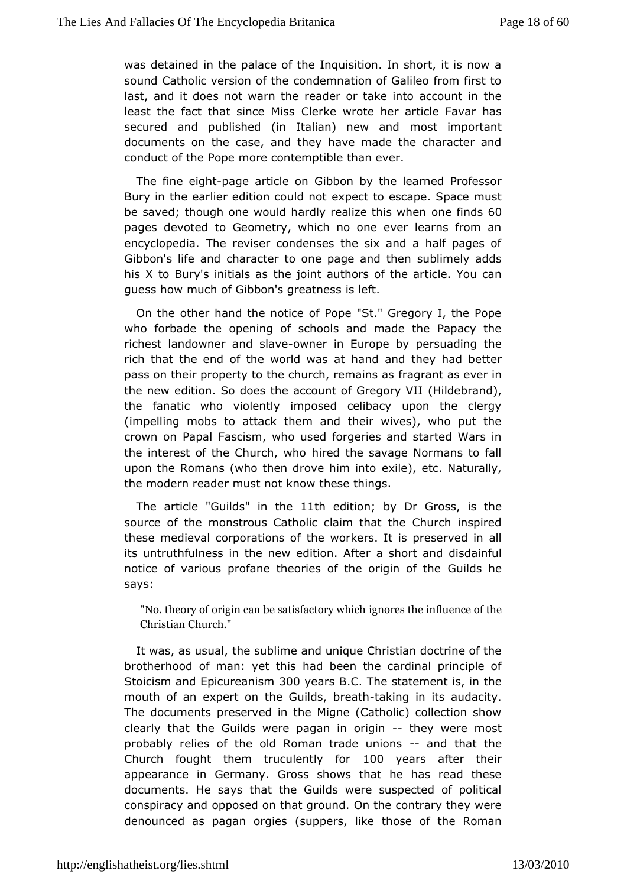[was detained in](http://englishatheist.org/lies.shtmlwas) the palace of the Inquisition. In short, it is soundCatholic version of the condemnation of Galileo from fir: last, and it domeswarn the reader or take into account in the least the fact that sin Cleer Mess wrote her article Favar has secured and published (in Italian) morset wimannoditant documents on the case, and they have made the character conduct of the Pope more contemptible than ever.

The fine e-ipaghotearticle on Gibbon by the learned Professor Bury in the earlier editione **and the teachers of the space must** be saved; though one would hardly readinze ftimids when pages devoted to Geometry, which no one ever learns from encyclopedia. The reviser condenses the six and a half pag Gibbon's bained character to one page and then sublimely adds his X to Bury's initized sjoaisht authors of the article. You can quess how much of Gibbon's in reeatiness

On the other hand the notice of Pope "St." Gregory I, the who forbade the opening of schools and made the Papacy richest landowneslavewner in Europe by persuading the rich that the end of the world and and tthey had better pass on their property to the churchr, a get anatimess as wer in the new edition. So does the account  $\beta$ Hildebrand Will the fanatic who violently imposed celibacy upon the cle (impelling mobs to attack them and their wives), who put crown on PaFpaasdcism, who used forgeries and started Wars in the interest of the Churchined who be savage Normans to fall upon the Romans (who then droveexihierh, ientto. Naturally, the modern reader must not know these things.

Thearticl&Guilds in the 1th editiony Dr Gross the source of the monstrous Catholic claim that the Church inspired these medieval corporatthenwooters. It is preserved in all its untruthfulness in the new edaits on the disdainful notice of various profane theories of the undid gim eof the says:

"No. theory of origin can be signiosificant while ance of the Christian Church."

It was, as ustual, sublime and unique Christian doctrine of the brotherhood of man: yhead thoisen the cardinal principle of Stoicism and Epicur & @ Ower ars CB Thestatement is, in the mouth of an expert on the Gui-Itaks, in Large at  $\frac{1}{2}$  and  $\frac{1}{2}$ The documents preserved in the Migne (Catholic) collection clearly that the Guilds were paganthey owigie most probably rebifesthe old Roman trade--umanions hat the Church fought them truculent of yeogers after their appearance in Germany. Gross shows that he has read th documents. He says that the Guilds were suspected of pol conspiracy  $a$  pdosed on that ground. On the contrary they were denounced as pagan (ssugpipessrs, like those of the Roman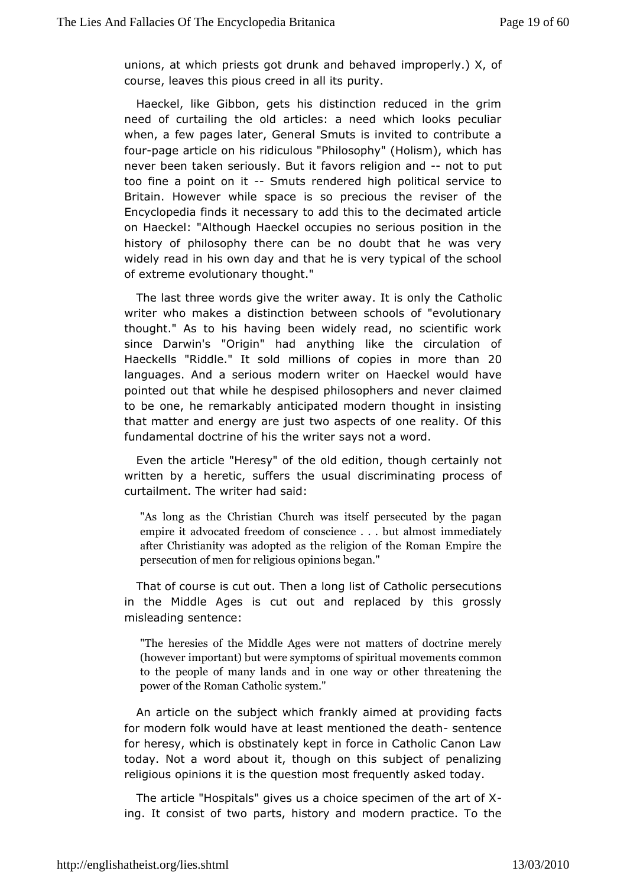[unions, at which p](http://englishatheist.org/lies.shtmlunions)riests got drunk  $\liminf$  doeshral  $\mathbf{v}$  exists of course, leaves this pious crepend it w. all its

Haeckel, like Gibbon, gets his distinction reduced in the need of curtailing the old articles: a need which looks per when, a few qes later, General Smuts is invited to contribute fou-page article omidhicsulous "Philosophy" (Holism), which has never been taken seriousflayvo Bustretligion - annod to put too fine a point-o $\mathbf S$  mitts rendered phologinical service to Britain. However while space is so precioushehe reviser o Encyclopedia finds it necessary to add this to the decimated onHaeckel: "Although Haeckel occupies no serious position i history philosophy there can be no doubt that he was very widely read in his own to have beed is very typical of the school of extreme evolution and gyht."

The last three words give the writer awa $\mathcal{Q}$  atholisic only the writer who makes a distinction between schools of "evolutic thought." As to his having been widely read, no scientific since DarwihOsrigin" had anything like the circulation of Haeckells "Riddle." mhtilbion hos of copies in mo2roe than languages. And a serious moderhlawercikel would have pointed out that while he despised philosophaemse and never to be one, he remarkably anticipated modern thought in insi thatmatter and energy are just two aspects of one reality. Of fundamentalctrine of his the writer says not a word.

Even the article "Hetheyoldfedition, though certainly not written by a heretic, suffers diberiumsiunalting process of curtailment. The writer had said:

"Aslong as the Christian Church was itself persecuted by empireadtvocated freedom of conscience . . . but almost im afteChristianity was adopted as the religion of the Roman persecubifomen for religious opinions began."

That of course is cluttemuallong list of Catholic persecutions in the Middle Ages is cut replaced by this grossly misleading sentence:

"The heresites Middle Ages were not matters of doctrine r (however importwert) but we home of spiritual movements commonly to the people of many loanned swamy doninother threatening the power of the Romany Ctatholic

An article on the subject which frame kby indiming of a pacts for modern folk would have at least ment-jeen the death for heresy, which is obstinately kept in force in Catholic Can today. Not a word about it, though on this subject of penal religioupinions it is the question most frequently asked today

The artic Heospitals" gives us a choice specimen of the art of ing. It consist opfarwso, history and modern practice. To the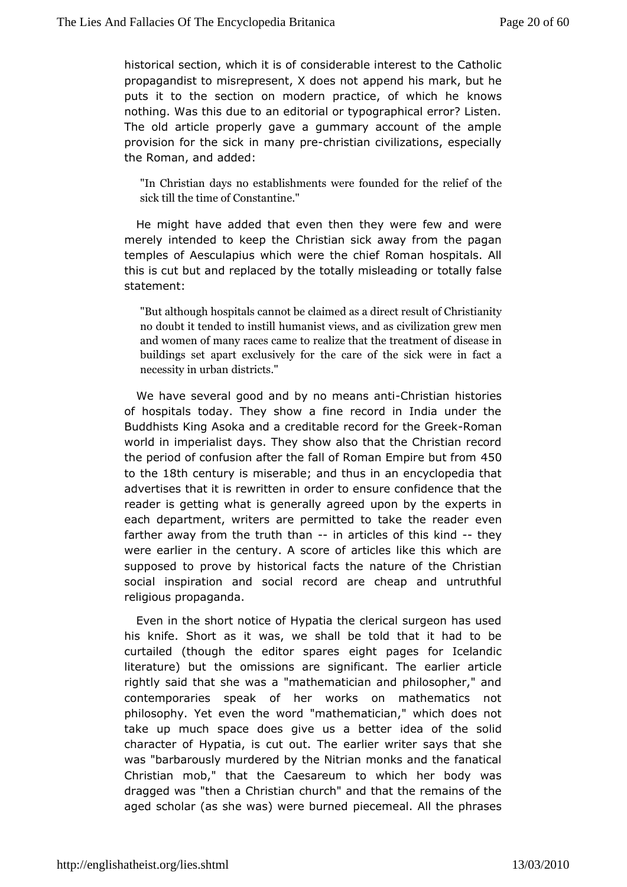[historical section, w](http://englishatheist.org/lies.shtmlhistorical)hi**ch** nistidse roatble interest to the Catholic propagandist to misrepresent, aXppdemeds hingst mark, but he puts it to the section on modern practicek, now which he nothing. Was this due to an editorial or typographical error? Theold article properly gave a gummary account of the amp provision for the nsmicakny parteristian civilizations, especially the Roman, added:

"In Christian days no establishmenttshewe of the of dehote for sick till the time of Constantine."

He mightave added that even then they were few and were merely intended to keCehprishtean sick away from the pagan temples of Aesculapius which were man absortials. All this is cut but and replaced by the totaltogranlig leadsing or statement:

"But although hospita**tsatamemoasoe** direct result of Christian no doubt it tended to anistill wiews, and as civilization grew r and women of many rance as in  $z$  and the treatment of disease buildings set apart exthesioverley of or the sick were in fact a  $n e c e s s i t y$  ind  $i$ s than  $i s$ ."

We have several good and by no-Omhe antistan antionies of hospitals today. They show a fine record in India under Buddhists King Asoka and a creditable record mit the Greek world imperialist days. They show also that the Christian rec the period of fusion after the fall of Roman  $E \nrightarrow 600$  e but from to the 8th century miserable; and thus in an encyclopedia that advertises that it is rewridteentoinensure confidence that the reader is getting what is generuaplby about due experts in each department, writers are permitted to teak een the reader farther away from the truthnithatricles of this thiend were earlier in the century. A score of articles like this which supposed ptroove by historical facts the nature of the Christian social inspiration southing record are cheap and untruthful religious propaganda.

Even in tshheort notice of Hypatia the clerical surgeon has us his knife. Short was it we shall be told that it had to be curtailed (though the edito eigshptarpeasges for Icelandic literature) but the omissions are sigenalice annuart  $\overline{\textbf{h}}$  be rightly said that she was a "mathematician and philosopher,' contemporaries speak of her works on mathematics no philosophy. Yet evew rthe "mathematician," which does not take up much space does give usdea boefttehre solid character of Hypatia, is cut out. The earliers weriter says that was "barbarously murdered by the Nitrian monks and the fana Christianmob," that the Caesareum to which her body was dragged was "then a Cohrustila" and that the remains of the aged scholar (as she was) wepiecheum enach. All the phrases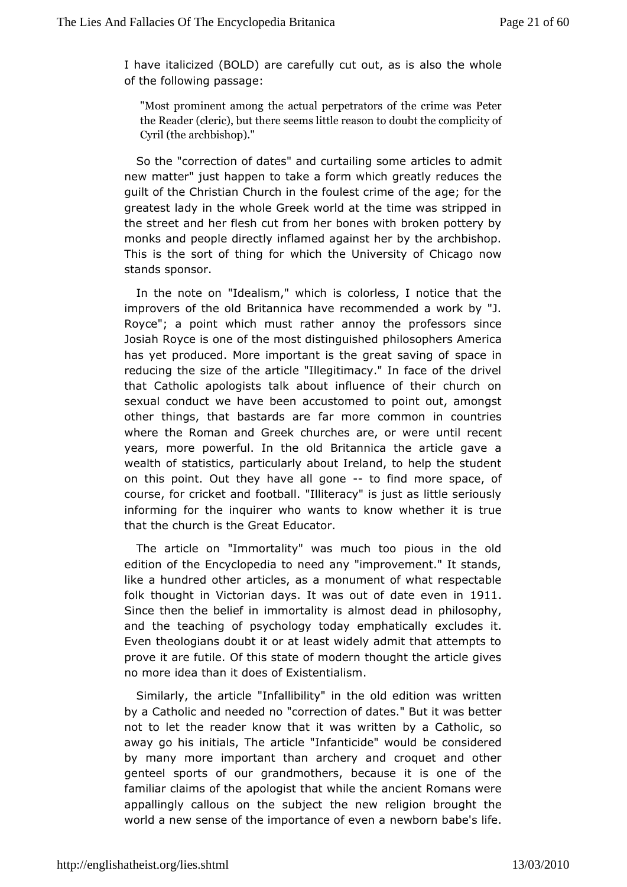[I have italiciz](http://englishatheist.org/lies.shtmlI)ed (BOLD) are carefully alsot to but, wholes of the following passage:

"Most prominent the moandual perpetrators of the crime was P the Reader (cleric), ebonts thielde reason to doubt the complicity Cyril (ahehbishop)."

So the "correction of dates" and cuarthaidliens to common the to a find the some and the to a find the some and the to a find the some  $\frac{1}{2}$ new matter" just happen to take a form which the eatly reduces guilt of the Christian Church in the foulest crime of the age; greatest lady in the whole Greek world at the time was stripped the streænd her flesh cut from her bones with broken pottery monks and pedprleectly inflamed against her by the archbishop. This is the sort of thwilmig the othe University of Chicago now stands sponsor.

In the note "bohealism," which is colorless, I notice that the improvers of thBrotladnnica have recommended a work by "J. Royce"; a point which musatnmathe annofessors since Josiah Royce is one of the most **philosophers America** has yet produced. More important is the gpaat saving of reducing the size of the article "Illegitimacy." In face of the that Catholic apologists talk about influence of their churd sexual condwethave been accustomed to point out, amongst other things, that bastafradrs maguee common in countries where the Roman and Greek churches uartel, oecwnete years, more powerful. In the old Britannica the article gave wealth of statistics, particularly about Ireland, to help the student on thisoint. Out they have all to offined more space, of course, for crick ed oab all. "Illiteracy" is just as little seriousl informing for the invaludine wants to know whether it is true that the church is the december.

The article on "Immortality" was much too pious in the edition of the Encyclopedia to need any "improvement." It stands, like a hundorehder articles, as a monument of what respectable folk thought in Vicoltaby sand was out of date even tin Since then the belief in immad mta sitty dead in philosophy, and the teaching of psychology today exeminations in the teaching of psychology today examinations in Even theologians doubt it or at least widely admit that attem prove it are futile. Of this state of modern thought the article no moriedea than it does of Existentialism.

Similarly, the athit the libility" in the old edition was written by a Catholic and need enotremontion of dates." But it was better not to let the reader know thwartittenw by a Catholic, so away go his initials, The article "Infabretic bones" dwe onedd by many more important than archery and croquet and oth genteed ports of our grandmothers, because it is one of the familiar claims  $a\hat{p}$  othe anticulation while the ancient Romans were appallingly callous on the hesubject religion brought the world a new sense of the importannceew obforenvebmabae's life.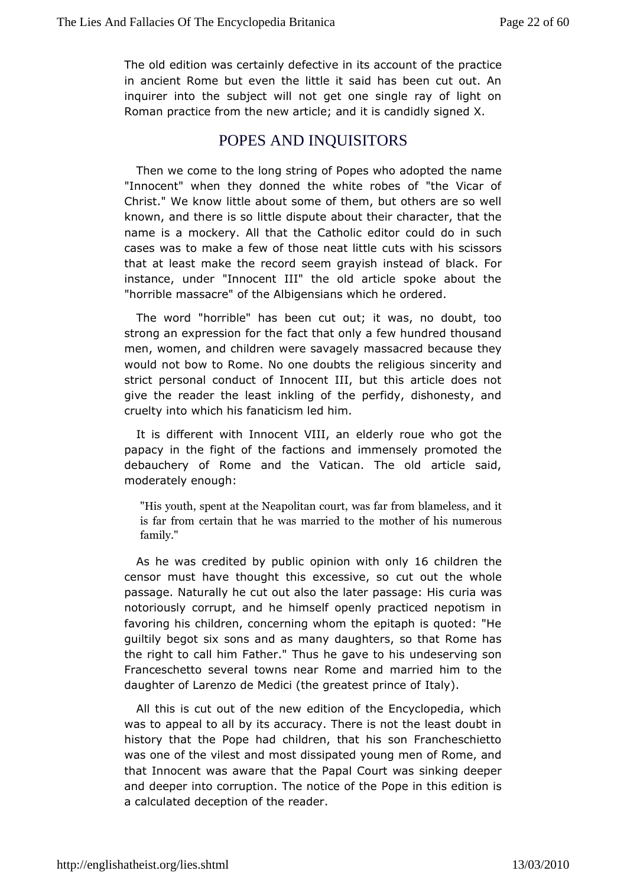[The old edition](http://englishatheist.org/lies.shtmlThe) was certainly defective iheits actionent of in ancient Rome but even the little it said has been cut ou inquirer into the subject will not get one single ray of light Roman practicen the new article; and it is candidly signed  $X$ .

#### POPESAND INQUISITORS

Then we come to the long string of Popel bewing med opted "Innocent" when they donned the white robes of "the Vicar ChristWe know little about some of them, but others are so w known, and thereliits leodispute about their character, that the name is a mockery. All Chatholhie editor could do in such cases was to make a few of those ut the awtitlhit hiles scissors that at least make the record seem graybils ahc kins Read of instance, under "Innocent III" the old article spoke about "horrible massacre" of the Albigensians which he ordered.

The wor"chorrible" has been cut out; it was, no doubt, too strong an expressionfact that only a few hundred thousand men, women, and children werenassavaagreeldy because they would not bow to Rome. No one doubts ithe eerrietly igainds strict personal conduct of Innocent III, but this article doe give the reader the least inkling of the perfidy, dishonesty cruelty inwthoich his fanaticism led him.

It is different with Innocenel Verly anoue who got the papacy in the fight of the factions apdommomeed stehley debauchery of Rome and the Vatican. The old article  $s_i$ moderately enough:

"His youth, spent at the Newaapsolfiatan from murtul, ameless, and it is far from certain that he wamsomhaerried hos the merous family."

As he was credited by ppin bolinc with  $\theta$  algonildren the censor must have thought this excets sout the whole passage. Naturally he cut out also the lateriaawaage: His notoriously corrupt, and he himself openly practiced nepotis favoring his children, concerning whom the epitaph is quoted guiltily begoixt sons and as many daughters, so that Rome has the right to call him Father. gave to his undeserving son Franceschetto several towns nearm a Rrome ad anich to the daughter of Larenzo de Medici (the greate by a prince of

All this is cut out of the new edition of the Encyclopedia, was to appeal to all by its accuracy. There is not the least d historyhat the Pope had children, that his son Francheschie was one of the avildesmost dissipated young men of Rome, and that Innocent was aware RhaphilthCeourt was sinking deeper and deeper into corruption. The **Rotice** in thit has edition is a calculated deception of the reader.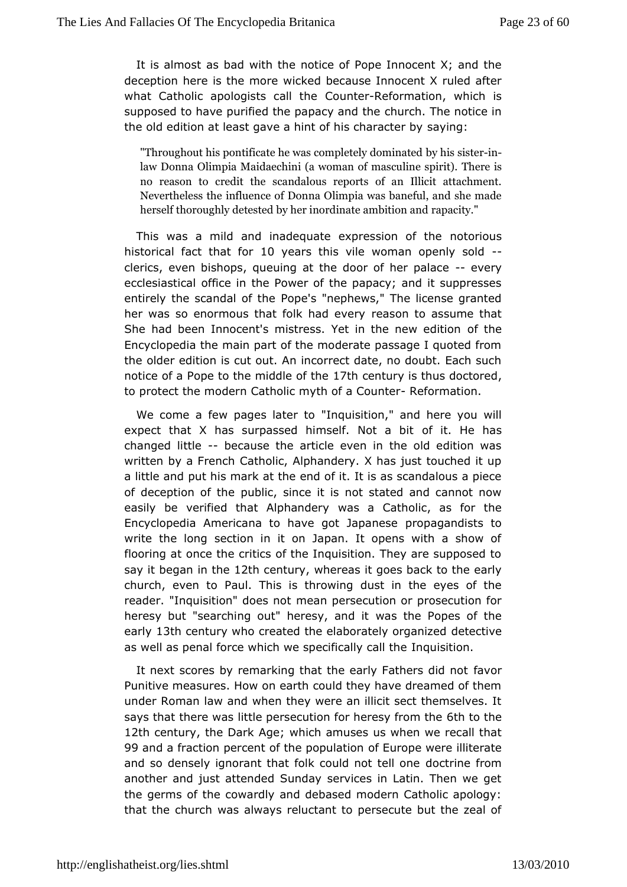[It is almost](http://englishatheist.org/lies.shtmlIt) bad with the notice of Pope Innocent  $X$ ; and the deception here is the inchere because Innocent X ruled after what Catholic apologists Cocalnit of the formation, which is supposed to have purified the paranav cand the enotice in the old edition at least gave a hint of basying haracter by

"Throughout his pontificate he was choymplets is telominated law Donna Olimpia Maidaechini (a womanThoefren asculine spir no reason to credit the scandalous reports of an Illicit Nevertheless the influence of Donna Olimpia was baneful, hers thoroughly detested by her inordinapte ambition and

This was a mild and inadequate exprensosticomorous the historical fact thao  $\theta$  vears this vile woman openly sold clerics, even bishops, queuing at the doof extert palace ecclesiasto thice in the Power of the papacy; and it suppresses entirely the scandalPobet's "nephews," The license granted her was so enormous that folk readoeveoyassume that She had been Innocent's mistress. Yet in bhetheew edition Encyclopedia the main part of the moderate passage I quoted theolder edition is cut out. An incorrect date, no doubt. Each notice op a pe to the middle 1 of the ntury is thus doctored to protect the mcchetholic myth of a CReendemation.

We come a few pages late muits it ion," and here you will expect that  $X$  has surpassed himsel  $\delta$ . Not He bhit as changed littleecause the article even in the old edition was written by a French Catholic, Alphandery. X has just touched a little aprud his mark at the end of it. It is as scandalous a pi of deception oputheic, since it is not stated and cannot now easily be verified that Alwasnder Gatholic, as for the Encyclopedia Americana to have gptopagandisets to write the long section in it on Japan. It opens with a sho flooring at once the critics of the Inquisition. They are suppo say ibtegan in the 2th century wy hereas it goes back to the early church, even Paul. This is throwing dust in the eyes of the reader. "Inquisition" drow annot rsecution or prosecution for heresy but "searching out" herewsays, tahred Piopes of the early 3th century who created the elaborateley ecchigy anized as well as penal force which we spedinfiquablightionall the

It next scores by remarking that the early fauthers did not Punitive measures. How on earth could they have dreamed of undeRoman law and when they were an illicit sect themselves says that therdittes persecution for heres of the toom this be 12th centurthe Dark Aweich amuses us when we recall that 99 and a fraction percent of the opdEpurlanation were illiterate and so densely ignorant that folk could to anto the lifer comme another and just attended Sunday services in Latin. Then we the germs of the cowardly and debased modern Catholic apol that the chuwas always reluctant to persecute but the zeal of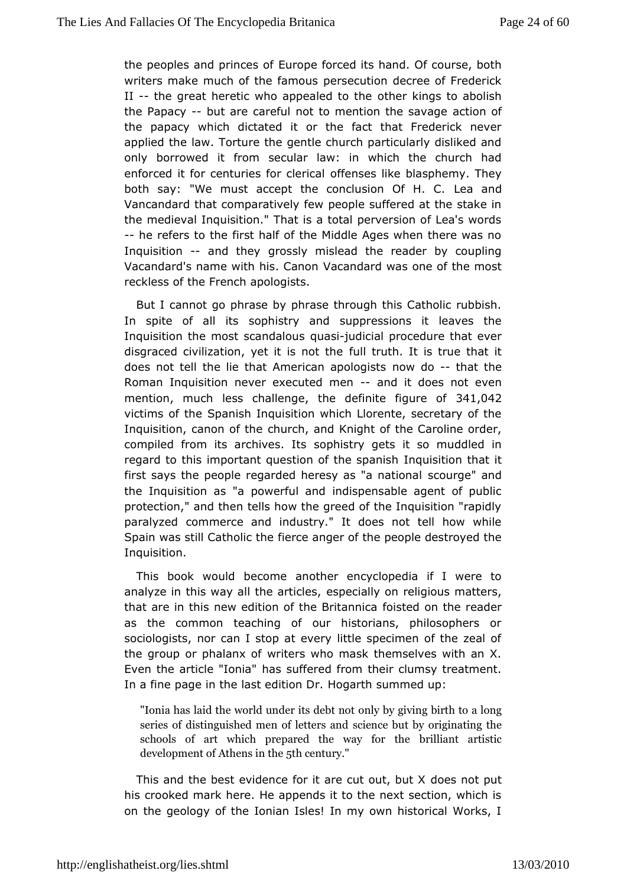[the peoples and](http://englishatheist.org/lies.shtmlthe) pri**fice soluted its hand.** Of course, both writers make much of the pear an equation decree of Frederick II -- the great heretic who appeabed erokings to abolish the Papacybut are careful not to mention abbiosma yo age the papacy which dictated it or the fact that Frederick n applietche law. Torture the gentle church particularly disliked only borrowed rotm secular law: in which the church had enforced it for centuries foofffecteris alke blasphemy. They both say: "We must accept the conclusion CafindH. C. Vancandard that comparatively few people suffered at the sta themedieval Inquisition." That is a total perversion of Lea's \ --he refersthe first half of the Middle Ages when there was n Inquisition and the grossly mislead the reader by coupling Vacandard's name with hive a Caandoand was one of the most reckless of the French apologists.

But bannot go phrase by phrase through this Catholic rubbi In spite of allsopt sistry and suppressions it leaves the Inquisition the most scanuda biodiscial procedure that ever disgraced civilization, yet itfuild nout thin elt is true that it does not tell the lie that American own pobloghinats the Roman Inquisition never execut and michology not even mention much less challenge definite figure  $42$ victims of Shenish Inquisition which Llorente, secretary of the Inquisition, canon confutole, and Knight of the Caroline order, compiled from its archises histsy gets it so muddled in regard to this important question of nthue siplamish at it first says the people regarded heresy sacs u"ragen" a tain dal the Inquisition as "a powerful and indispensable agent of  $$ protection," and then tells how the greed of the Inquisition "r  $p$ aralyze $\infty$ bmmerce and industry." It does not tell how while Spain was still Cathfolding a haenger of the people destroyed the Inquisition.

This book wobuddome another encyclopedia if I were to analyze in this way all the spet callely, on religious matters, that are in this new edition of the Buretanmidae reader as the common teaching of our historians, philosophers sociologists, nor can I stop at every little specimen of the z the growp phalanx of writers who mask themselves with an  $\lambda$ Even the article "has nia " fered from their clumsy treatment. In a fine page in the last elobig aorth Darummed up:

"Ionia has laid the world unodnelly ibsy onleabith no buirth to a long series of distinguished mensconenleeathoust bongdoriginating the schools of art which prepared tho eil wanyt foortisthied development of Ath5thcsentury."

This and the best evidence for it aredocuets onut t but X his crooked mark here. He appends it to the next section, wh on the geology of the Ionian Isles! In my own historical Wor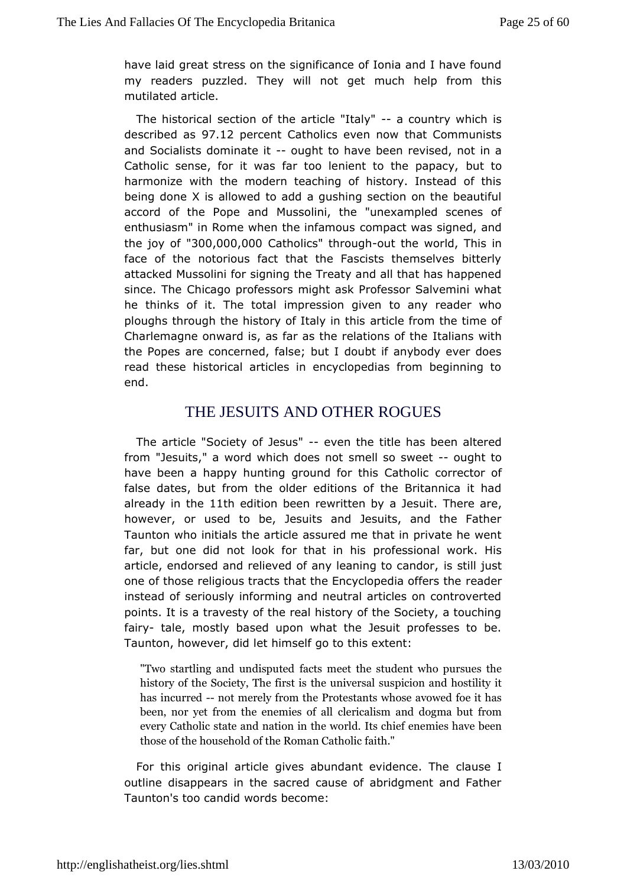have lagdeat stress on the significance of Ionia and I have fo my readers puzzThedy will not get much help from this mutilated article.

The historisce action of the article - "altaby u"ntry which is described 9as 12 percendatholics even now that Communists and Socialists dominatueghit to habeeen revised, not in a Catholic sense, for it was far too lenientbud the papacy, harmonize with the modern teaching of history. Instead of being dole is allowed to add a gushing section on the beautifully accord of the PopeMuas resolini, the "unexampled scenes of enthusiasm" in Rome when the comframed unsas signed, and the joy '63f00,000,000 athol'id broughout theworld, This in face of the notorious fact that the Fascists themselves bi attacked Mussolini for signing the Treaty and all that has hap since. The Cago professors might ask Professor Salvemini wh he thinks of it. The miporteasion given to any reader who ploughs through the history of atraiglenfitoms the time of Charlemagne onward is, as far as the relations swith the the Popes are concerned, false; but I doubt if anybody ever read these historical articles in encyclopedias from beginni end.

## THE JESUITS AND OTHER ROGUES

The article "Socibet yus-f-even the title has been altered from "Jesuits," a word which models spot we not to have been a happy hunting ground for c thrirse c C antholic false dates, but from the older editions of the Britannica i already in thit the edition been rewritten by Thae dee sauries however, osed to be, Jesuits and Jesuits, and the Fathe Taunton who initials thessuuteed eme that in private he went far, but one did not look for phraotfeisnsibinsal work. His article, endorsed and relieved of any leasing thilo use that or, one of those religious tracts that the Encycleadedia offers the instead of seriously informing and neutral articles on contro points. It is a travesty of the real history of the Society, a to fair-ytale, mostly based upon what the Jesuit professes to Taunton, howevelret dhidmself go to this extent:

"Two startling and ufactsponteed the student who pursues the history of the Society,  $h \bar{d}$  huen if versions is suspicion and hostility has incurreedt merely from the stants whose avowed foe it has been, nor yet from the eonler-miceasism fraachd dogma but from every Catholic state and natibs cimiethe enemies have been those of the household of the aRtohm"an Catholic

For this original article gives abundant cleawistee nice. The outline disappears in the sacred cause of abridgment and F Taunton's too candid words become: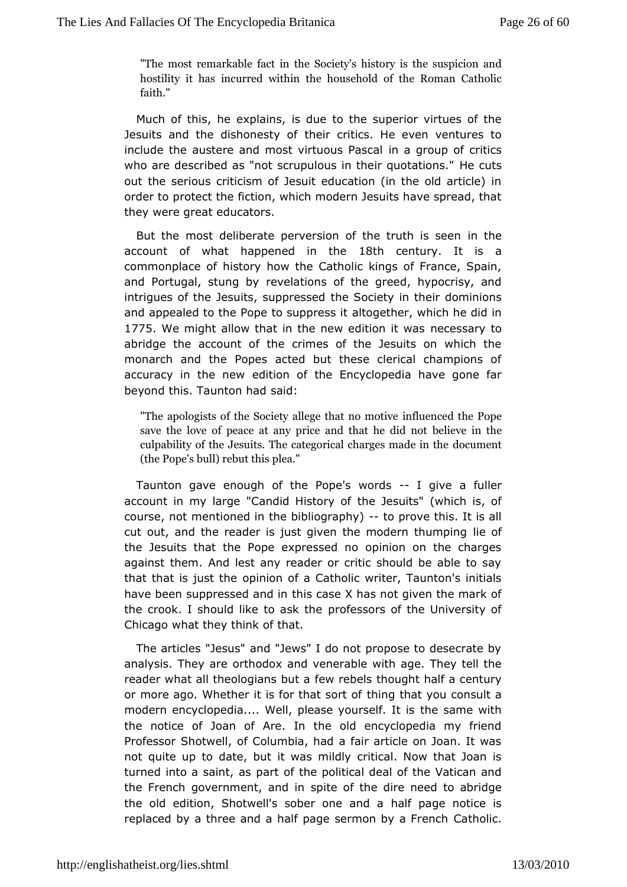["The most](http://englishatheist.org/lies.shtml) remarkable fotienty's history is the suspicion and hostility it has incurtheed hwo uthe hold of the Roman Catholic faith."

Much of this extpedains, is due to the superior virtues of the Jesuits and the dishortheiv ofitics. He even ventures to include the austere and most virtimo as a Poausocal for critics who are described as "not scrupulous in the eircqusotations." out the serious criticism of Jesuit education (in the old arti order to protect the fiction, which modern Jesuits have spread they wegeeat educators.

But the most deliberate perversion of thentitute is seen account of what happened  $1$ i $8$ th the ntury t is commonplacehicsftory how the Catholic kings of France, Spain and Portugal, stung veloations of the greed, hypocrisy, and intrigues of the Jesuits, stuppepresasing dy in their dominions and appealed to the Pope to **surpared the rit** which he did in 1775 We might allow that in the new edite iccens sita row atso abridge the account of the crimes of the Jesuits on which monarch and the Popes acted but these clerical champions accuracy in the edetwon of the Encyclopedia have gone far beyond this. Taunteaidad

"The apologists of the Society alihede eth candom of the  $\theta$  to perhapsing  $\theta$ save the love of peace at any pricebahid vehan heedid not culpability of the Jesuits. The categoridacumanges made in (the Pope's bull) rebut this plea."

Taunton gave enougthe Pope's world spive a fuller account in my large "Candid the est be yubtfs" (which is, of course, not mentioned in the bi-bition parroas workings. It is all cut out, and the reader is just given the mbideom thumping the Jesuits that the Pope expressed no opinion on the cha againsthem. And lest any reader or critic should be able to that that is jusdpumeon of a Catholic writer, Taunton's initials have been suppressed has  $\alpha$  and  $\alpha$  has not given the mark of the crook. I should like to rasks shows of the University of Chicago what they think of that.

Thearticles "Jesus" and "Jews" I do not propose to desecrat analysis. The prahedox and venerable with age. They tell the reader what all theologians betheas thought half a century or more ago. Whether it is for tthiantg stohrat to you consult a modern encyclopedia.... Well, pleasetheusaenlé. withis the notice of Joan of Are. In the old encyclopedia my fr Professor Shotwell, of Columbia, had a fair article on Joan. not quite tuop date, but it was mildly critical. Now that Joan turned into a saimattasf the political deal of the Vatican and the French government, spainte on the dire need to abridge the old edition, Shotwell's soberhalf epand aotice is replaced by a three and a half page serm Cathoylia. French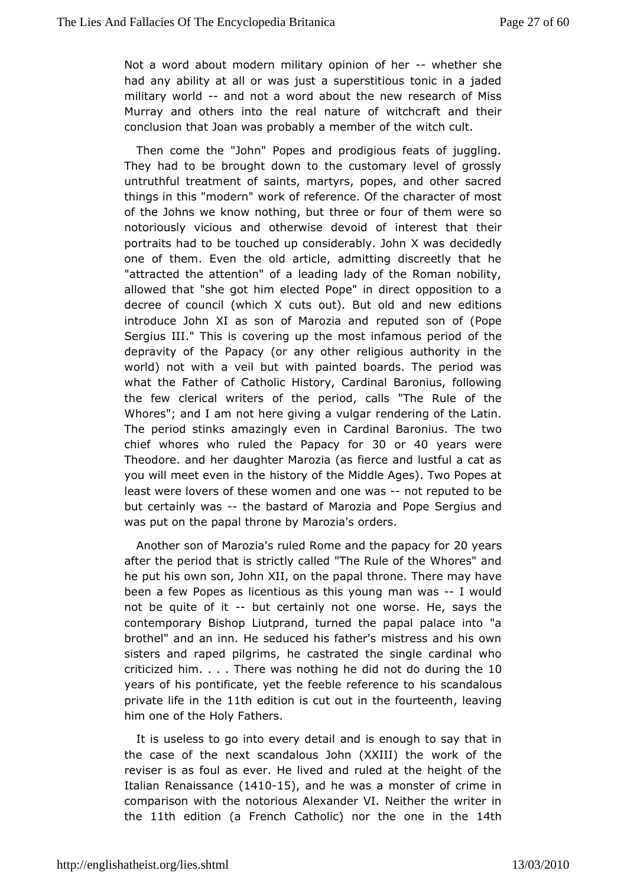[Not a word abo](http://englishatheist.org/lies.shtmlNot)ut modern military opinwionetherhehe had anability at all or was just a superstitious tonic in a ja military wo-r-ldnd not a word about the new research of Miss Murray and others into the tureab f witchcraft and their conclusion that Joan was probably a mettembecrubtf.the

Then come the "John" Popes and prodigious feats of jugg They had to be brought down to the customary level of gro untruthfurleatment of saints, martyrs, popes, and other sacre things in this "movdoern bot reference. Of the character of most of the Johns we know nothhinge butfour of them were so notoriously vicious and otherwise inteenversitd that their portraits had to be touched up considerabley.cidloodhlny X was one of them. Even the old article, admitting discreetly that "attracted the attention" of a leading lady of the Roman not allowed that e got him elected Pope" in direct opposition to decree of council (wohut che  $\delta$ ut). But old and new editions introduce John XI as son of Mmarpuied and nof (Pope Sergius III." This is covering up the most on falmeous period depravity of the Papacy (or any other religious authority in world)not with a veil but with painted boards. The period w what the FatheCaoholic History, Cardinal Baronius, following the few clerical writerspeorfiothecalls "The Rule of the Whores"; and I am not here giving ndeving and the Latin. The period stinks amazingly even in Cardinealtw Boaronius. chief whores who ruled the  $P$  $a$  $\phi$  accry40 foymears were Theodore.  $\theta$  and daughter Marozia (as fierce and lustful a cat as you will meet evenhiinstohrey of the Middle Ages). Two Popes at least were lovers of these wome ewas and treputed to be but certainly -warse bastard of Maro Pioapen Sergius and was put on the papal throne by Marozia's orders.

Anothesron of Mar's zrialed Rome and the pa2p0ayceya for after the period shtaitcily called "The Rule of the Whores" and he put his own son, Johth & Ip a pand throne. There may have been a few Popes as licentious amaathiws aysolum yould not be quite of biut certainly not one worse. thee, says contemporary Bishop Liutprand, turned the papal palace int brothel" aand inn. He seduced his father's mistress and his ov sisters and raped pihigriomass, trated the single cardinal who criticized him.  $\ldots$  . There was dinot thing the during of the years of his pontificate, yet the feebheisrecteamedhaloutspo private life in the edition is cut out in the fleavine enth him one of the Holy Fathers.

It is useless to go into evaenryl idseleaniolugh to say that in the case of the next scandalous John  $w$  o( $r$  $X$  $X$ blfl) thee reviser is as foul as ever. He lived and ruled at the height Italian Renaiss  $(4405)$ , and he was a monster of crime in comparison whitch notorious Alexander VI. Neither the writer in  $the 1$ <sup>th</sup> edition Frenc $\alpha$ atholic or the one in 1<sup>4th the</sup>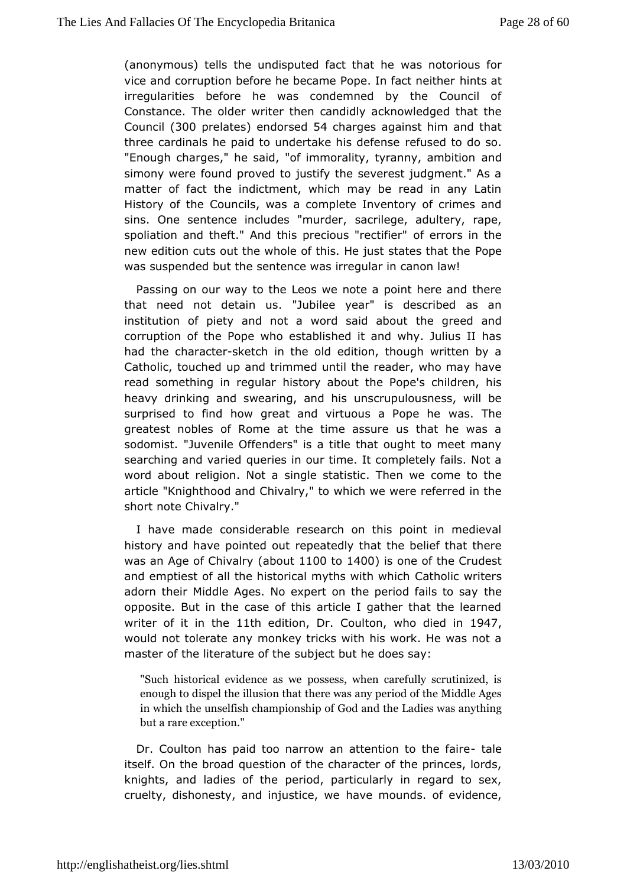[\(anonymous\)](http://englishatheist.org/lies.shtml) tells the undisputed faces the aborheeus for vice and corruption before he became Popeninits fact neither irregularities before he was condemned by the Council Constance. J h h over writer then candidly acknowledged that the Counc(300 prelat) essndorse5d4 charges against him and that three cardinals he paid to undertakee fluised efends o. "Enough charges," he said, "of immorality, temachny, ambition simony were found proved to justify the severest judgment." matter dact the indictment, which may be read in any Lati History of the Councids cownapslete Inventory of crimes and sins. One sentence includessacmulredoper, adultery, rape, spoliation and theft." And this precionfuser "roerstiifnethe new edition cuts out the whole of this. He ju**Bopseates that the** was suspended but the sentence was irregular in canon law!

Passing  $\omega$ un way to the Leos we note a point here and there that need not detainJubsilee year" is described as an institution of piety and not a word the said read od uaind corruption of the Pope who established it and why. Julius I had the charasckteurch in the old edition, though written by a Catholito, uched up and trimmed until the reader, who may have read something in rheigsut bary about the Pope's children, his heavy drinking and swearingun**sc**duphuis usness, will be surprised to find how great and virtuousasa. Flopee he greatest nobles of Rome at the time assure us that he wa sodomistJuvenile Offenders" is a title that ought to meet ma searching and vopute des in our time. It completely fails. Not a word about religion.si hout eastatistic. Then we come to the article "Knighthood and Chwwhachty, whet owe referred in the short note Chivalry."

I have madensiderable research on this point in medieval history and have pointed beauticly that the belief that there was an Age of Ch(avbad uy 100 to 140  $\beta$  is one of the Crudest and emptiest of all the historical my Chasthwoiltiho whriters adorn their Middle Ages. No expert on the peheod fails to sa opposite. But in the case of this article I gather that the  $le$ write of it in thuth edition r. Coulton who died 1947 would not toleratme oan kyey tricks with his work. He was not a master of the literaturs au boife  $ch$  but he does say:

"Such historical evidpossesss, we hen carefully scrutinized, enough to dispel the till leurse i own a shand y period of the Middle Ages in which the unselfish championdhtipeoffadies was anything but a rare exception."

Dr. Coulton has paid too narrow an attenti-omalteo the faire itself. On the bquoexedion of the character of the princes, lords knights, and ladies poetritchde, particularly in regard to sex, cruelty, dishonesty, and injbatice emowends. of evidence,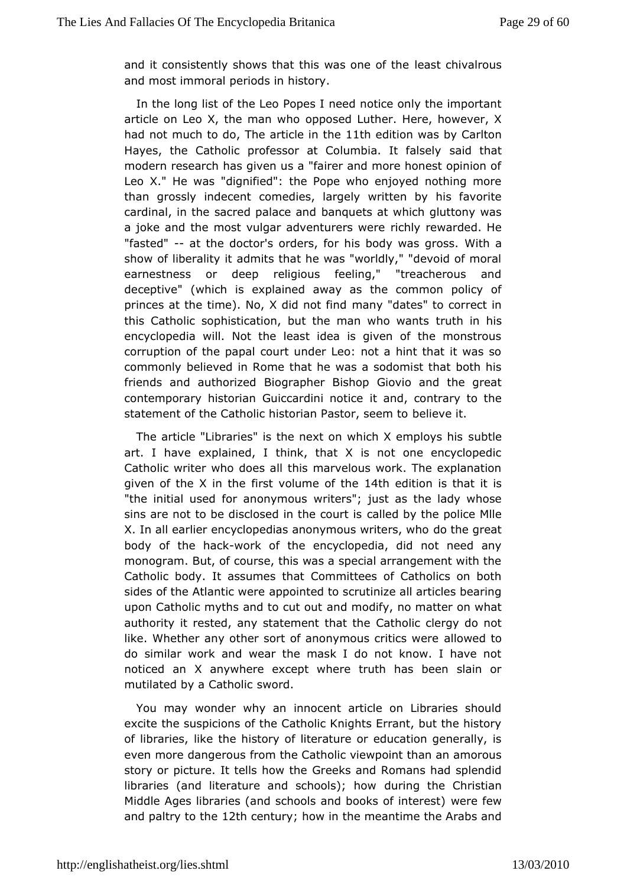[and it consisten](http://englishatheist.org/lies.shtmland)tly shows that this where same hip that here is and most immoral periods in history.

In the long litshte offeo Popes I need notice only the important article on Leo  $X$ , the mo $x$  power Luther. Here, however,  $X$ had not much to hole article in the dition was by Carlton Hayes, the Catholic professor at Columsba ad thattalsely modern research has given us a "fairer and more honest opini LeoX." He was "dignified": the Pope who enjoyed nothing  $m_1$ than grossly indeoemetdies, largely written by his favorite cardinal, in the sacred palam quetts dat which gluttony was a joke and the most vulgar adventucrhelrys rewareerded. He "fasted" at the doctor's orders, for his bodW ith as gross. show of liberality it admits that he was "worldly," "devoid of earnestness or deep religious feeling," "treacherous and deceptive" (whiceh xpilsained away as the common policy of princes at the time). No, X dmdamyot" d'artels" to correct in this Catholic sophistication, but the mtanuthwhion whants encyclopedia will. Not the least idea is given of the mons corruption of the papal court under Leo: not a hint that it w common by elieved in Rome that he was a sodomist that both h friends and authorized apher Bishop Giovio and the great contemporary historian Guiccandini choticetrary to the statement of the Catholic historian Plasticen, esistem to

The article "Libraries" is the next on whicshub X lemploys his art. I have explained, I think, that  $X$  is not one encyclop Catholwcriter who does all this marvelous work. The explanati given of the X ifrirsh evolume of 4the edition is that it is "the initial used for anown ytmeosu's; just as the lady whose sins are not to be disclosed incalled by the police Mile X. In all earlier encyclopedias anonymodus twheeitgreatwho body of the hwaccrkk of the encyclopedia, did not need any monogram. But, of course, this was a special arrangement wit Catholic boldyassumes that Committees of Catholics on both sides of the Atlantap pwoeineted to scrutinize all articles bearing upon Catholic myths and taondum coduity, no matter on what authority it rested, any statemeChatholic the ergy do not like. Whether any other sort of anonymoals o conticts were do similar work and wear the mask I do not know. I have not noticedn X anywhere except where truth has been slain o  $m$ utilated by a  $C$  ast when  $\mathsf{tdc}$ 

You may wonder why an innocent article on Libraries sho excitthe suspicions of the Catholic Knights Errant, but the history of librarilese the history of literature or education generally, even more dang eromsthe Catholic viewpoint than an amorous story or picture. It tells Gheewk shand Romans had splendid libraries (and literature and schoolang; thhoew Christian Middle Ages libraries (and schools and bweeks betwinterest) and paltry to 1 Pthe centurly yow in the meantime the Arabs and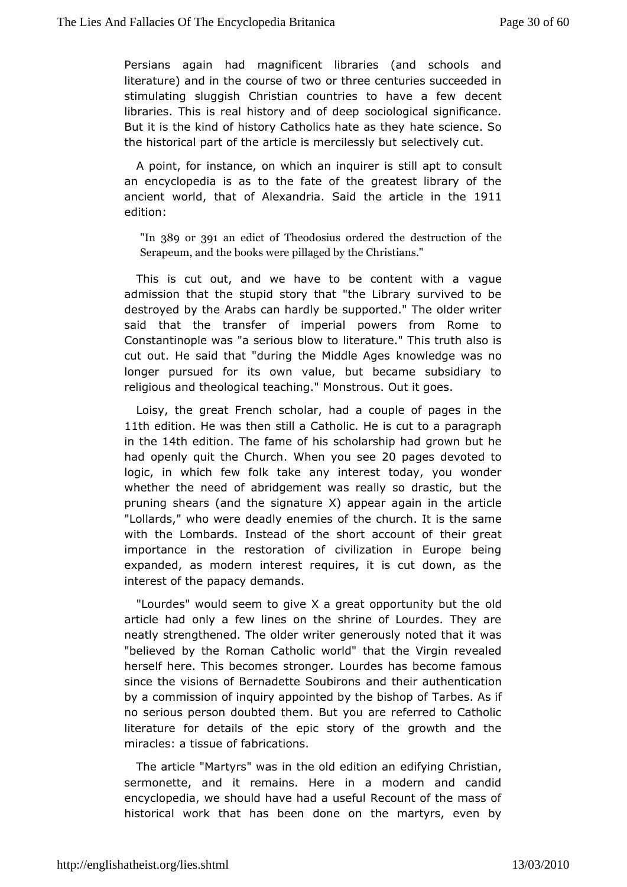[Persians again h](http://englishatheist.org/lies.shtmlPersians)ad magnificent libraries (and schools literature) and  $\mathsf{im} \mathsf{u} \mathsf{h} \mathsf{se}$  of two or three centuries succeeded in stimulating sluggish C to institution to have a few decent libraries. This is real history sagnodiod bodeab significance. But it is the kind of history Catholichsaheatsecizesnother  $\sqrt{S}$ o the historical part of the article is smeeleccitlievsesly y count

A point, for instance, on which an inquirectoinss usittill apt an encyclopedia is as to the fate of the greatest library of ancient worthdat of Alexan**oSaiad** the article in 9 the edition:

"In389 or391 an edict of Theodosius destructed on the fthe Serapeum, and the books wer Chpistages. "by the

This is cut out, and we have to be comague with a admission that the stupid story that "the Library survived t destroy by the Arabs can hardly be supported." The older writ said that the tramsfert perial powers from Rome to Constantinople was "a serioluisebalow edo" This truth also is cut out. He said that "during the KMiddwdled Agews as no longer pursued for its own value, but became subsidiary religious and theological teaching." Monstrous. Out it goes.

Loisy, the eat French scholar, had a couple of pages in the 11th editiche was the etnill a Catholic. He is cut to a paragraph in the4th editio The fame of sb hsolarship had grown but he had openly quit the CNhhuen byou see page devoted to logic, in which few folk take any interest today, you wor whetherthe need of abridgement was really so drastic, but the pruning shears (ansdghheeture  $X$ ) appear again in the article "Lollards," who were deadly ememoiheus conf. It is the same with the Lombards. Instead of the shothear copruenatt of importance in the restoration of civilization in Europe b expanded, as modern interest requires, it is cut down, as interest of ptahpeacy demands.

"Lourdes" would seem to give X a great oppoolndunity but the article had only a few lines on the shrine of Lourdes. The neatlytrengthened. The older writer generously noted that it "believed by Rtomean Catholic world" that the Virgin revealed herself here. This betroomger. Lourdes has become famous since the visions of Bernadettan Soubirons athentication by a commission of inquiry appointed b $\Psi$  ath bee stands position no serious person doubted them. But you are referred to Cat literature for details of the epic story of the growth and miraclestiasue of fabrications.

The article "Martyrs" was in the  $\alpha$ d difeyd hto of hanstian, sermonette, and it remains. Here in a modern and canc encyclopedia, we should have had a useful Recount of the  $m<sub>i</sub>$ historical with rakt has been done on the martyrs, even by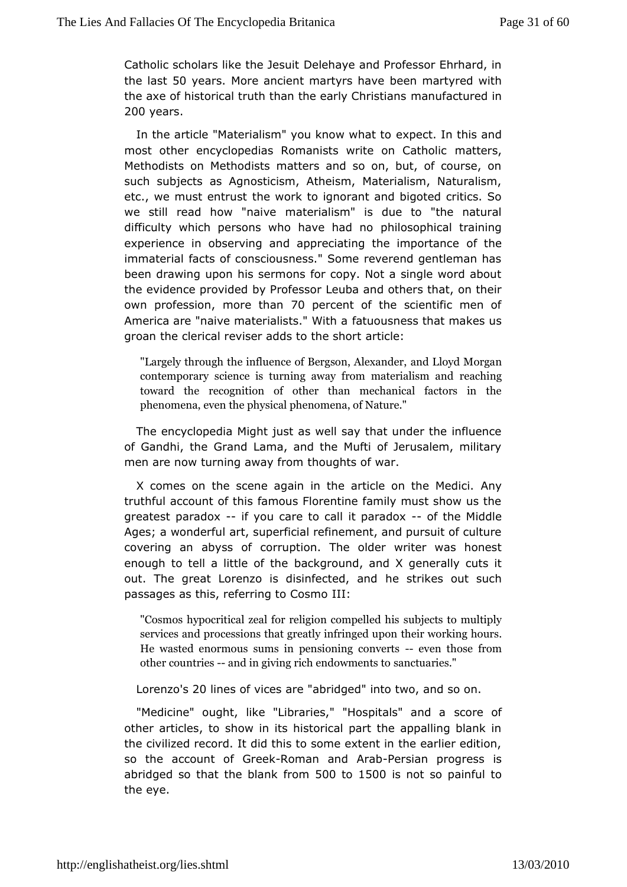[Catholic scholars l](http://englishatheist.org/lies.shtmlCatholic)ike Dheelelhe as we tand Professor Ehrhard, in the last 0 years More ancient martyr beleavenartyred with the axe of historical truth than the emandly uC charistic and isn 200 y e ars

In the article "Materialism" you kenop we outheln to his and most other encyclopedias Romanists writerator  $\mathfrak{C}$  atholic Methodists on Methodists matters and so on, but, of course suchsubjects as Agnosticism, Atheism, Materialism, Naturali etc., we must enthree swork to ignorant and bigoted critics. So we still read how "matieerialism" is due to "the natural difficulty which persons who hap heil on same al training experience in observing and appreciating difiethiom portance immaterial facts of consciousness." Some reverend gentlemar beendrawing upon his sermons for copy. Not a single word ab the evidence proby de dofessor Leuba and others that, on their own professimore that opercent of the scientific men of America are "naive materialisftest.u" o Ws the sas that makes us groan the clerical reviser addsatroithe short

"Largely through the influence of **Bedgkbony, dA Mex ragnacher**, contemporary science is turning away from a mangerialism and  $\mathbf{a}$ toward the recognition of other than mechanical facto phenomena, even the physical phenomena, of Nature."

Theencyclopedia Might just as well say that under the influ $\epsilon$ of Gandhi, Ghand Lama, and the Mufti of Jerusalem, military men are now turning awtahyo ting chinis of war.

X comes on the scene again in the articleAny the Medici. truthful account of this famous Florentine family must show u greate $p$  aradoxif you care to call it -panfadhox  $M$ iddle Ages; a wonderfulsuperficial refinement, and pursuit of cultur covering an abyscsorounption. The older writer was honest enough to tell a littlebaccfkghoeund, and X generally cuts it out. The great Lorenzo is disinheectsetdikes sdout such passages as this, referring Ito Cosmo

"Cosmos hypocritical zeal for relisquiboine cotos mitope hineud tilipilsy services and processions that gr**eatly workinged houpos**. He wasted enormous sums in penseover inhops confrome mts other countaineds in giving rich ends awn unteuratrsiets."

Loren  $\infty$  0 lines of vice  $\infty$  barried gent totwo, and so on.

"Medicine" ought, like "Libraries," "Hospotrælsöfand a other articles, to show in its historical part the appalling bl the civilized record. It did this to some extent in the earlier  $\epsilon$ so theaccount of G-Recentan and APPabsian progress is abridged so that the fr**bhash olk** to 1500 is not so painful to the eye.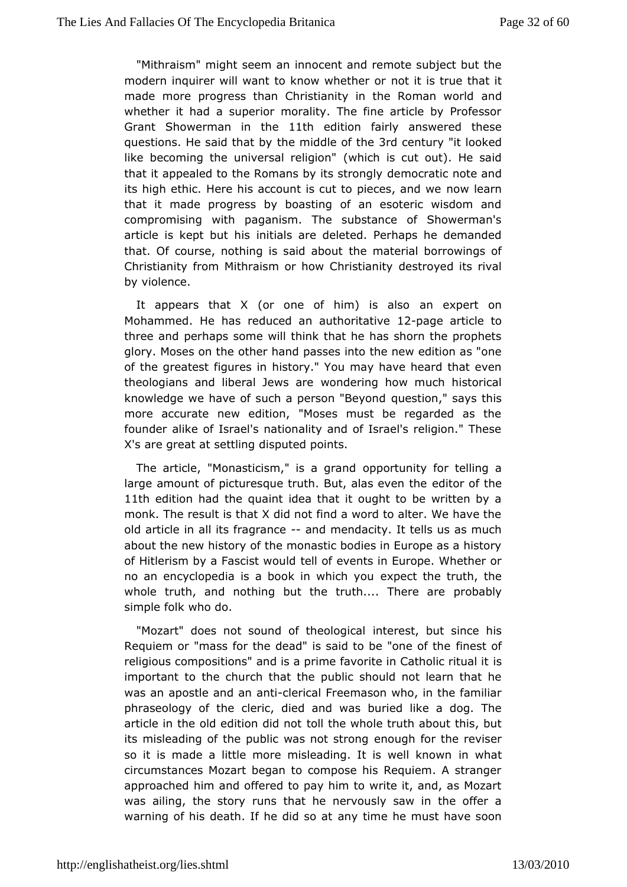["Mithraism"](http://englishatheist.org/lies.shtml) might seemoaent and remote subject but the modern inquirer will want to known wth et his rtowe that it made more progress than Christianity in than Roman world whether it had a superior morality. The fine article by Prof GrantShowerman in the edition fairly answered these questions. He said that mbiddle of 3rt the centurity looked like becoming the universal whell ide " cut out). He said that it appealed to the Romans by deinsostracting Invote and its high ethic. Here his account is cut to owe besagnand we that it made progress by boasting of an esoteric wisdom compromising with paganism. The substance of Showerma article is kept buntithiass are deleted. Perhaps he demanded that. Of course, nothing is stated machine untal borrowings of Christianity from Mithraism or howd Eshtmicsyte adnity stival by violence.

It appears that  $X$  (or one of hima) is  $x$  pads to on Mohammed e has reduced an authole pation and the to threeand perhaps some will think that he has shorn the proph glory. Moses on the thand passes into the new edition as "one of the greatest fighistorin." You may have heard that even theologians and liberal wonwastearineg how much historical knowledge we have of such a persquires "beyo" not ays this more accurate new edition, "Moses must be regarded as founder alike of Israel's nationality and of Israel's religion." X's argereat at settling disputed points.

The article, "Monasticism," beppeorgtuanity for telling a large amount of picturesque truth. But, editas reoweth the 11th edition had the quaint idea that it ought to be written monk. The result is that X did not find a word to alter. We ha old articheall its fragrance mendacity. It tells us as much about the new hicsftothe monastic bodies in Europe as a history of Hitlerism by a Fascisstlw of used ents in Europe. Whether or no an encyclopedia is a book ine xypheicth the eutruth, the whole truth, and nothing but the truth.p.r.obTahbeliye are simple folk who do.

"Mozart" does not sound of time erest cabut since his Requiem or "mass for the dead" is said to ibe stook of the religious compositions" and is a prime favoriteisn Catholic rit important to the church that the public should not learn that was anapostle and ancheentical Freemason who, in the familiar phraseology of cltehreic, died and was buried like a dog. The article in the old editiotrolditch a ow hole truth about this, but its misleading of the public was mooutg bit form gthe reviser so it is made a little more misleading. Itinisw well known circumstances Mozart began to compose his Requiem. A stra approached mand offered to pay him to write it, and, as Moza was ailing, the sutosythat he nervously saw in the offer a warning of his death. If headiyd time ea he must have soon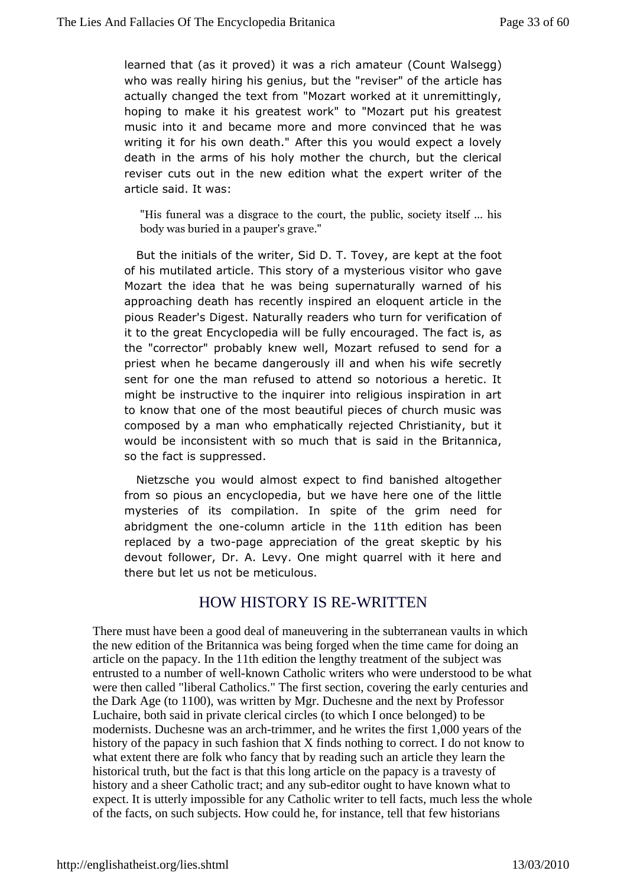[learned that \(as it](http://englishatheist.org/lies.shtmllearned) proved) it was a  $\mathcal{C}$  identified and  $\mathcal{C}$  and  $\mathcal{C}$  is a right  $\mathcal{C}$  is a right  $\mathcal{C}$  is a right  $\mathcal{C}$  is a right  $\mathcal{C}$  is a right  $\mathcal{C}$  is a right  $\mathcal{C}$  is a right  $\mathcal{C}$ who was really hiring his genius, but theat techies enral sof the actually changed the text from "Mozart worked at it unremitti hoping to make it his greatest work" to "Mozart put his great music into and became more and more convinced that he was writing it for his own Adfeatht. Mis you would expect a lovely death in the arms of his holy mhouther, thet the clerical reviser cuts out in the new edition whyer the expert relationships and the relationship with the relationship of the the theory of the  $\frac{1}{2}$ article said. It was:

"His funeral was a odissogerace ourt, the public, society itself  $\ldots$ body was buried in garapyaeu per's

But the initials of the writer, Sid D. T. allow heev foacrte kept of his mutilated article. This story of a mystoawoeus visitor wh Mozart the idea that he was being supernaturally warned  $o<sup>+</sup>$ approachidhegath has recently inspired an eloquent article in t pious Reader's DNgewstally readers who turn for verification of it to the great Encycloped fallwil encouraged. The fact is, as the "corrector" probably knew wreelfly sMdoztaort send for a priest when he became dangerously ill and ewhethy his wife sent for one the man refused to attend so notorious a heret mightbe instructive to the inquirer into religious inspiration in to know that of the most beautiful pieces of church music  $w_i$ composed by a manemwphoatically rejected Christianity, but it would be inconsistent with the  $\frac{1}{10}$  would be inconsistent with the same  $\frac{1}{10}$ so the fact is suppressed.

Nietzsche woould almost expect to find banished altogether from so pious an encyclopewdeahave here one of the little mysteries of its compilation. In sgrime orfeet the for abridgment the conemn article in 1the edition has been replaced by aptawgo appreciation of the great skeptic by his devout follower, A. Levy. One might quarrel with it here and there but let us moetticulous.

## HOW HISTORY IS REWRITTEN

There musthave been a good deal of maneuvering in the subterranean vaults in which the newedition of the Britannica was being forged when the time came for doing an article on the papacy'n the11th edition the lengthy treatment of the subjects entrusted to a number of we thown Catholic writers who were understood to what were then called "liberal Catholics." The first section, covering they centuries and the Dark Age (to 1100), was written by MgrDuchesne and threast by Professor Luchaire, both said in private clerical circles (to which the belonged) to be modernists. Duchesne was an atrothmer, and he writes the est 1,000 years of the history of the papacy in such fashion that  $X$  find thing to correct. I do not know to what extent there are folk who fancy that reading such an article they learn the historical truth, but the fact is that this long article on the papacy is a travesty of history and a sheer Catholicact; and any subditor ought to have known what to expect. It is utterlyimpossible for any Catholic writer to tell facts, much less the whole of thefacts, on such subjects. How could he, for instance, tell that few historians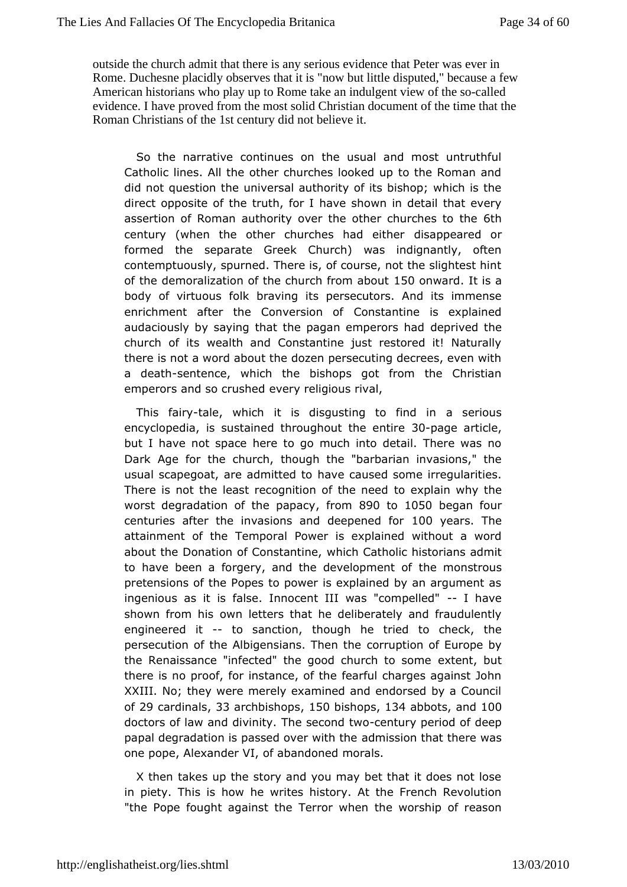[outside the church admit that th](http://englishatheist.org/lies.shtmloutside)ere is any serious evidence that Peter was ever Rome. Duchesne placidly observes that it is "now but little dispubed, a few American historians who play up to Rome take an indulgent view and so-called evidence. I have proved from the most solid Christian document of the that the Roman Christians of thest century did not believie.

So the narrative continues on the usual and most untruth Catholic lines. All the other churches looked up to the Roma did no tuestion the universal authority of its bishop; which is direct opposithe eotruth, for I have shown in detail that every assertion of Roman awe whe other churches the the century (when the other churches chiaselp peetahreerd or formed the separate Greek Church) was indignantly, oft contemptuously, spurned. There is, of course, not the slightest of thelemoralization of the church flr500monawbaonutht is a body of virtufcouls braving its persecutors. And its immense enrichment after the ConveCsoirosntantine is explained audaciously by saying that the pagan demopreived sthad church of its wealth and Constantine just restored it! Natu there is not a word about the dozen persecuting decrees, even a deathsentence, which the bishops got from the Christia emperors and so crewselr or dreligious rival,

This fa-itrayle, which it is disgusting tao sferridouisn encyclopedisa sustained throughout  $t$  is  $\Theta$  peameteir earticle, butI have not space here to go much into detail. There was Dark Age for cthe ch, though the "barbarian invasions," the usual scapegoat, are ad mat the dcaused some irregularities. There is not the least recognition to the top and  $\mathbf v$  the worst degradation of the fpoamp & os of to 1050 began four centuries after the invasions and dieOeOpyeenaerdsTheer attainment of Ttemeporal Power is explained without a word about the Donation of Conwshianhin Ceatholic historians admit to have been a forgery, and the development troofus pretensions of the Popes to power is explained by an argume ingenious as it is false. Innocent III wasI "bormepelled" shown from dows letters that he deliberately and fraudulently engineered -itto sanctioth, ough he tried to check, the persecution of the Albigensians or Tun petrioth of Europe by the Renaissance "infected" the good cheutemttobsome there is no proof, for instance, of the fearful charges agains XXIII. No; they were merely examined and endorsed by a Cou of 29 cardinals archbishops 0 bishops 34 abbots nd 100 doctors of law and diwenistocond-dwootury period of deep papal degradation is passed ovaed minusishonhehat there was one pope, Alexander VI, of abandoned morals.

X then takes up the story and you may bet that it does not  $\vdash$ in piety. This ows he writes history. At the French Revolution "the Pope fought agaihstrohewhen the worship of reason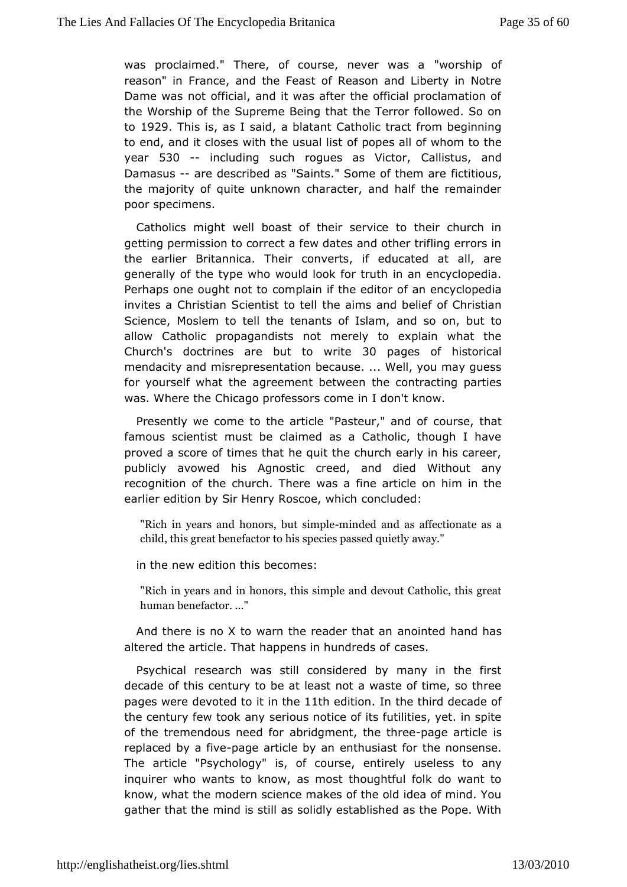[was proclaimed](http://englishatheist.org/lies.shtmlwas)." There, of course, n'owwardshiwn a sofa reason" in France, and the Feast of Reason and Liberty in Damewas not official, and it was after the official proclamation the Worship heaf Supreme Being that the Terror followed. So or to 1929 This *i*as I said blatant Catholic tract from beginning to end, and it closes with thoef upsouped sliashtl of whom to the year530 -- including such rogues as Callicstous, and Damasus are described as "Saints." Some foot the masare the majority of quite unknown character, and half the remain poorspecimens.

Catholics might well boast of their service to their churc getting permission to correct a few dates and other trifling er the earlier Britannica. Their converts, if educated at all, generally oftybe who would look for truth in an encyclopedia Perhaps one ought croom ption if the editor of an encyclopedia invites a Christian Scientheet alomteeland belief of Christian Science, Moslem to tell the tenanans dosol solam, but to allow Catholic propagandists not merely to explain what Church doctrines are but to 30 w piages of historical mendacity amid representation because. ... Well, you may gues for yourself whad greement between the contracting parties was. Where the Chicago profests dred on d the how.

Presently we come to the article "Pasbeuuse", at matof famous scientist must be claimed as a Catholic, though  $I \parallel$ proved a score of times that he quit the church early in his c publiclyavowed his Agnostic creed, and died Without any recognition of the churcwas The fiene article on him in the earlier edition by Sir Henry Rocsconcoeludwehdich

"Rich in years and honorms inbuleed saimmabilianes tionate as a child, this great benefactor to his aweagies passed quietly

in the new edition this becomes:

"Rich years and in honors, this simple and devout Catholic, humabnenefactor...."

And there is no  $X$  to warn the reader intertiberal hand has altered the article. That happens inalsesdreds of

Psychical research was still considered by many in the decadef this century to be at least not a waste of time, so th pages were devtoot etd in thitch edition the third decade of the century few toseraoys notice of its futilities, yet. in spite of the tremendous need botidgment, the -plange earticle is replaced by aphige article beynthusiast for the nonsense. The article "Psychology" is, of coursseel, essent tioelayny inquirer who wants to know, as most thoughtful folk do wan know, what the modern science makes of the old idea of mind gather that mulimed is still as solidly established as the Pope. W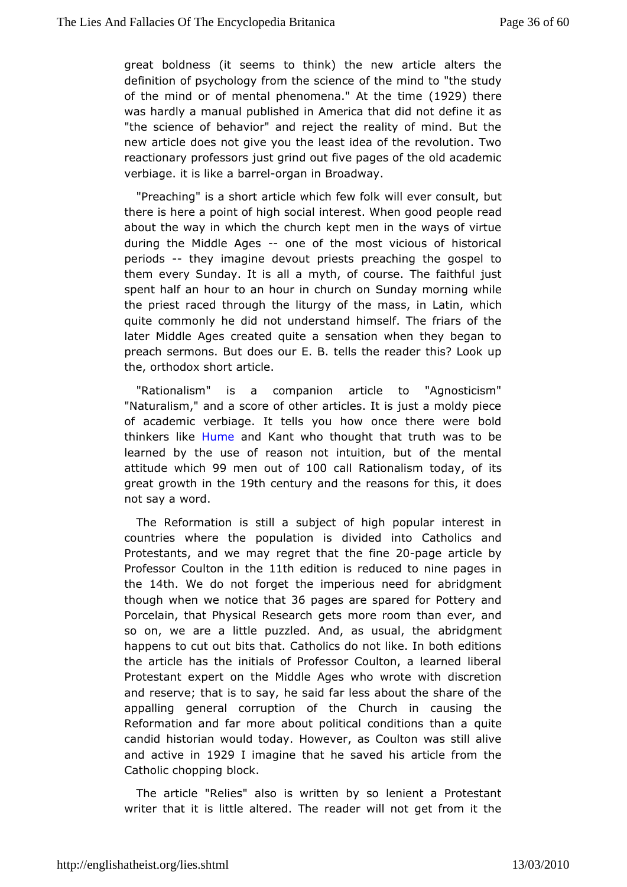[great boldness](http://englishatheist.org/lies.shtmlgreat) (it  $\epsilon$  to the new article alters the definition of psychology from  $\phi$  hethsecime incole to "the study of the mind or of mental phenomena." (149t2 hibetime was hardly a manual published in America that did not define "the science of behavior" and reject the reality of mind. Bu new articlees not give you the least idea of the revolution. T reactionary professorgs ind out five pages of the old academic verbiage. it is bake ed rgan in Broadway.

"Preaching" is a short article whwildhefweew food his ult, but there is here a point of high social intepesstpleW headgood about the way in which the church kept men in the ways of v during the Middle-Agnes of the most vicious of historical periods-theyimagine devout priests preaching the gospel to them every Sunday. It misy tahl, aaf course. The faithful just spent half an hour to an hour inSucrhduarch homoning while the priest raced through the liturgy of the wrhiashs, in Latin, quite commonly he did not understand himself. The friars of late Middle Ages created quite a sensation when they began preach sermonsdoBeust our E. B. tells the reader this? Look up the, orthodox sahtbirctle.

"Rationalism" is a companion article to "Agnosticisi "Naturalism," and a score of other articles. It is just a moldy of academic verbiage. It tells you how once there were  $b_{\perp}$ thinkers IH umeand Kant who thought thavtastruth be learned by the use of reason not intuition, but of the me attitudwhich99 men out boocall Rationalism, obdiay great growth im the entury and the reasons for this, it does not say a word.

The Reformatisonstill a subject of high popular interest in countries where the populdaitvioched is into Catholics and Protesta, nats of we may regret that the parametricle by Professor Coulton 1ith the dition is reduced to nine pages in the14th. We do not forget the imperious need for abridgment though when we ntohtat366 pages are spared for Pottery and Porcelain, that Physical Resmearmehrogents than ever, and so on, we are a little puzzled. And, abridgumad ntthe happens to cut out bits that. Catholics do not like. In both  $ev$ the article has the initials of Professor Coulton, a learned Protesta expert on the Middle Ages who wrote with discretion and reserve; that is he said far less about the share of the appalling general corruption Chaufrchhein causing the Reformation and far more about political counditeions than a candid historian would today. However, as Coulton was still andactive in 0291 imagine that he saved his article from the  $C$  atholic choppoint  $C$ 

The article "Relies" also is written by so lenient a Prote writer that it is little altered. The reader will not get from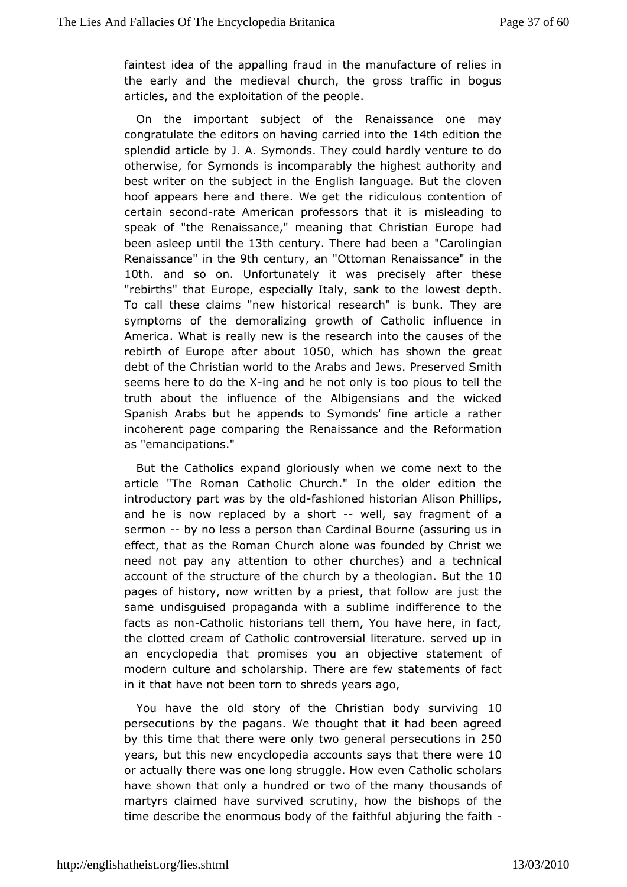faintes dea of the appalling fraud in the manufacture of relie the early and mbdieval church, the gross traffic in bogus articles, and the explotheetipe nopie.

On the important subject of the Renaissance one ma congratulate the editors on having carried dimitonthee splend adticle by J. A. Symonds. They could hardly venture to otherwise, for Symsondsomparably the highest authority and best writer on the subjeEnghisth danguage. But the cloven hoof appears here and there. Wediculous the rootention of certain secroanton American professors that it elading to speak of "the Renaissance," meaning that Christian Europe beemasleep until 18 the centurly here had be "Chaaolingian" Renaissance" in the entura n"Ottoman Renais's am other 10th and so olunfortunately was precisely after these "rebirths" that Europe, especially Itallyo, we sank depth he To call these claims "new historical research" is bunk. The symptoms of the demoralizing growth of Catholic influence America. What as iven is the research into the causes of the rebirth of Europe aftet 050 which has shown the great debt of the Christian world to the e wisab Psreasned rved Smith seems here to do-ithge a X id he not only is to deplictuhse to truth about the influence of the Albigensians and the wic Spanis Arabs but he appends to Symonds' fine article a rath incoherent page comtherine enaissance and the Reformation as "emancipations."

But the Cathoebipand gloriously when we come next to the article "The Roman CatholicInChubechal"der edition the introductory part was by fatshheioonledd hist**atiso**n Phillips, and he is now replaced by--aweshiprsay fragment of a sermon-by no less a person than Cardinal Bourne (assuring us effect, that the Roman Church alone was founded by Christ w need not pay any attend ther to hurches) and a technical account of the structure of the to the and  $\alpha$  is a theological summa the  $\alpha$ pages of history, now written by a priexarte that flotelow same undisguised propaganda with a sublime indifference to facts as  $n$ Coantholic historians tell them, You have here, in far the clottwerdeam of Catholic controversial literature. served up an encyclopedia pthomantises you an objective statement of modern culture and scholarshipfe Whet at ameents of fact in it that have not been torn to algoneds years

You have the old story of the Christian body surviving persecutions by the pagans. We thought that it had been ag by this time theate were only two general per & 60utions in years, but this new encyacolopopendisa says that the troe were or actually there was one long sterweging I Ceatholic scholars have shown that only a hundred or two hoofus and many have changing martyrs claimed have survived scrutiny, how the bishops of timedescribe the enormous body of the faithful abjuring the fa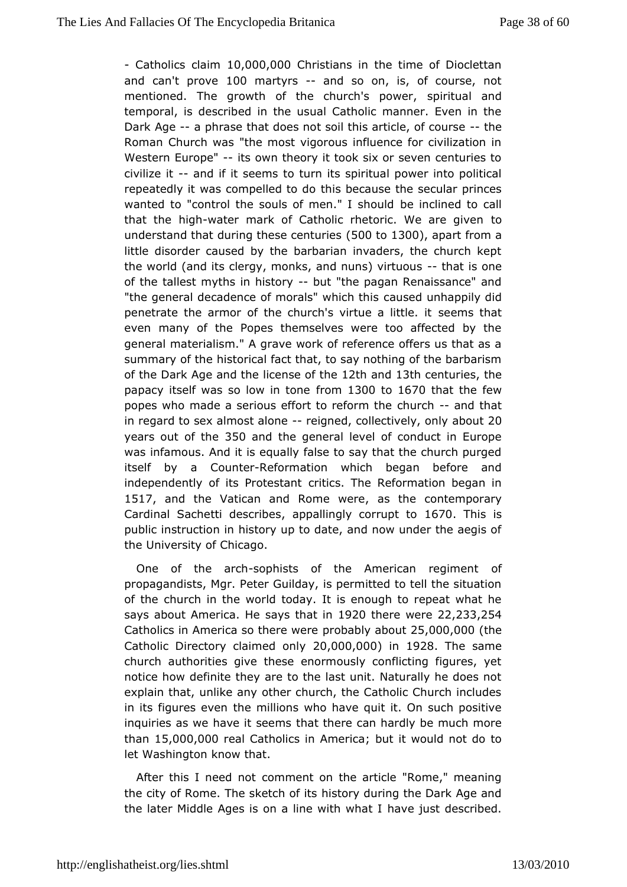- [Catholics cl](http://englishatheist.org/lies.shtml-)a um 000,000 hristians in the time of Dioclettan and catn prove100 martyrs- and so on, is, of course, not mentioned. The growth of the churcsh is it pure and temporal, is described in the usual Catholic manner. Even in Dark Agea phrase that does not soil this articlee of course RomanChurch was "the most vigorous influence for civilization Western Europet's own theory it took six or seven centuries to civilize-iand if it setom surn its spiritual power into political repeatedly it was compellibids the deuse the secular princes wanted to "control the souls of methe "incstine eut dto call that the hingahter mark of Catholic rhetoric. When are given understand that during these(5c0e0nt bol Bioeds apart from a littleisorder caused by the barbarian invaders, the church k the world (and leitsgy, monks, and nuns) - vihitautous sone of the tallest myths in-hbistothithe pagan Renaissance" and "the general decadence of morals:"a whed hunhhiss ppily did penetrate the armor of the church's virstelem a ltittalte. it even many of the Popes themselves were too affected by generandaterialism." A grave work of reference offers us that a summary of himsetorical fact that, to say nothing of the barbaris of the Dark Age ahid ethise of 1t $2t$ he and  $3t$ h centuritense papacy itself was so lowfromm1too @eto1670 that the few popes who made a serious effort to huerficher manthe hat in regard to sex almostralgned, collective aboom 20 Dy years out of 3th Geand the general level of conduct in Europe wasinfamous. And it is equally false to say that the church pu itself by GounteReformation which began before and independently of its Prontication and Reformation began in 1517 and the Vatican and Romes with resontemporary Cardinal Sachetti desappibles ingly corrupe to 700 This is public instruction in history up to date, and now under the ae theUniversity of Chicago.

One of the  $a$ smocphhists of the American roefgiment propagandists, Mgr. Peter Guilday, is permitted to tell the sit of the hurch in the world today. It is enough to repeat what says about Americsa.  $y$  she that 1902 Othere we $22$ , 233, 254 Catholics in America so theore awe by eab $25L, t000,00$  (to he Catholic Directory claim  $200000000$  1928 The same church authorities give these enormously conflicting figures notice how definite they are to the last unit. Naturally he do explait that, unlike any other church, the Catholic Church inclu in its figures tehvee mmillions who have quit it. On such positive inquiries as we have ithat thesing can hardly be much more than15,000,000 al Catholics in America would not do to let Washington know that.

After this I need omontent on the article "Rome," meaning the city of Rome. The skettics hoot identing the Dark Age and the later Middle Ages is on a linehawwiethjuwshladelscribed.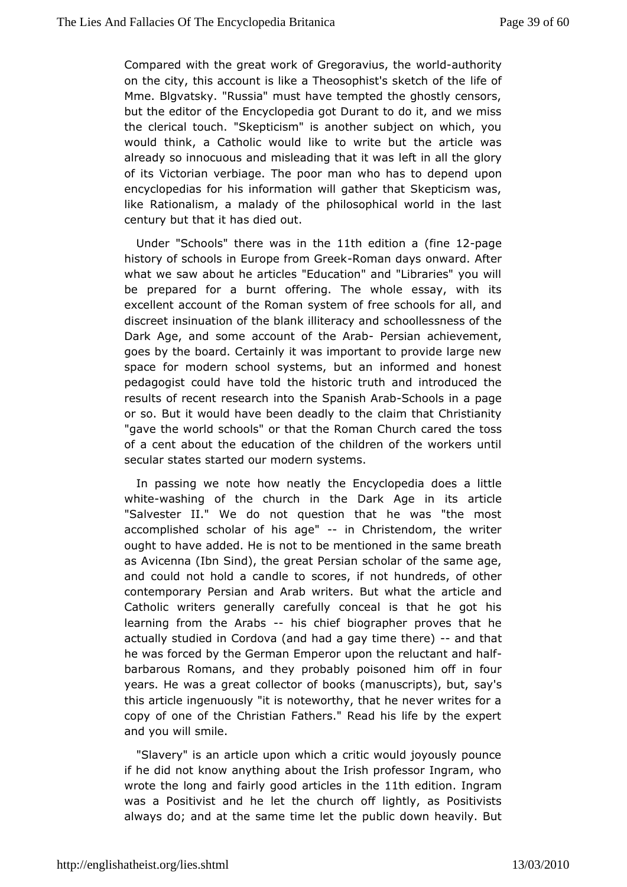[Compared with the g](http://englishatheist.org/lies.shtmlCompared)reat work of Gregoradiut hot the on the city, this account is like a Theosophisfte sosketch of the Mme. Blgvatsky. "Russia" must have tempted the ghostly cens but the ditor of the Encyclopedia got Durant to do it, and we n the clerical to Sokepticism" is another subject on which, you would think, a Catholic wboulwrithe but the article was already so innocuous and misleading fthiat all whe glory of its Victorian verbiage. The poor man whou phoans to depend encyclopedias for his information will gather that Skepticism likeRationalism, a malady of the philosophical world in the century but thhatsitdied out.

UnderSchoo" Ishere was in 1the edition (fine12-page history of schools in Europe-Rroom a Gordeaeyks onward. After what weaw about he articles "Education" and "Libraries" you be prepared fobrurant offering. The whole essay, with its excellent account of the Romoafn fseyes technools for all, and discreet insinuation of the blank siclhiteral aness of the Dark Age, and some account of Ptehrosianachievement, goes by the board. Certainly it was important to provide large space for modern school systems, but an informed and hor pedagogist chawe told the historic truth and introduced the results of recent resealneh Simalonish -Ssincahbools in a page or so. But it would have been deadilm thatth Christianity "gave the world schools" or that the Romath eChoussh cared of a cent about the education of the children of the workers secular states started our modern systems.

In passing we note how the ee Ething y clopedia does a little whitewashing of the church in the Darks Aggreicle "Salvester II." We do not question that he was "the mc accomplished scholar of hisn a@beristendom, the writer ought to hadded. He is not to be mentioned in the same breat as Avicenna (Ibn Singde), atheersian scholar of the same age, and could not hold a candle tonostconuensd, reifls, of other contemporary Persian and Arab writers.a Btutlewhantd the Catholic writers generally carefully conceal is that he go learning from the Arbaibs chief biographer proves that he actually studnie Coordova (and had a gay time antheline) he was forced by the **G**eopme aonr upon the reluctant and half barbarous Romans, and they probabliym poffsoimed our years. He was a great collector of books (meanw'scripts), but, this article ingenuously "it is noteworthy, that he never write copy of one of the Christian Fathers." Read his life by the and you wsimille.

"Slavery" is an article upon which a critic would joyously p if he did not know anything about the Irish professor Ingram, wrote the land fairly good articles the etchine id maram was a Positivist and the deturch off lightly, as Positivists always do; and at the same tipmueblliect down heavily. But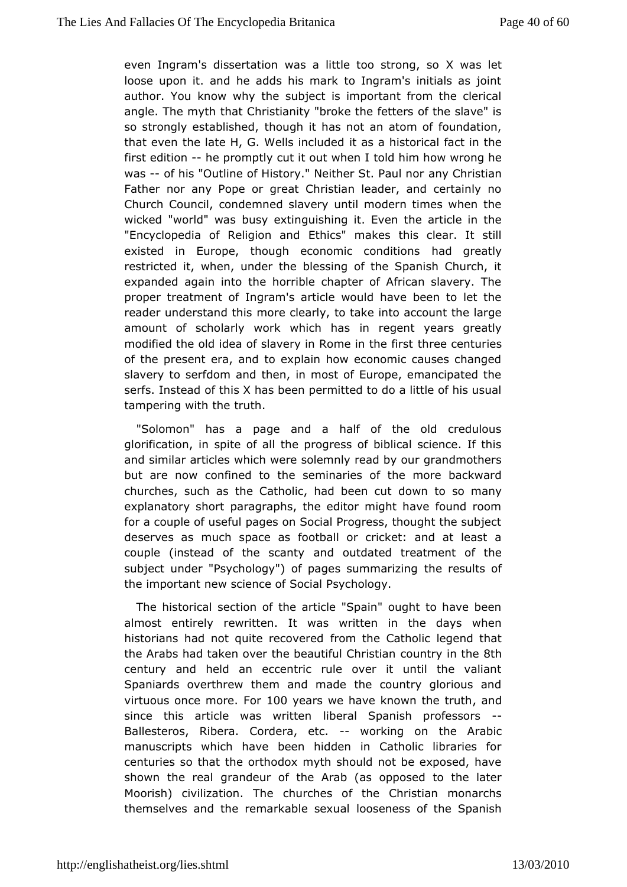[even Ingram's d](http://englishatheist.org/lies.shtmleven)issertation was a little Xowasstrbentg, so loose upon it. and he adds his mark to Ingram's initials as author. You know why the subject is important from the cle angle. The muthant Christianity "broke the fetters of the slave" so strongly establibed, it has not an atom of foundation, that even the late H, G. Wells ancauld escontical fact in the first editione promptly cut it out towhole mim how wrong he was--of his "Outline of History." Neithean St C Praistian Father nor any Pope or great Christian leader, and certain Church Council, condemned slavery until modern times when wicked "world" bway extinguishing it. Even the article in the "Encyclopedia of ReligEdhicasn" dmakes this clear. It still existed in Europe, though economichadonditeinathy restricted it, when, under the blessing of the Spanish Chur expanded again into the horrible chapter of African slavery propetreatment of Ingram's article would have been to let t reader understand othe sclearly, to take into account the large amount of scholarly work whinchregast years greatly modified the old idea of slavery in Rothme encement ufnimest of the present era, and to explain how economic causes cha slavery to serfdom and then, in most of Europe, emancipated serfs. Insteadhis X has been permitted to do a little of his usual tampering withtruhter.

"Solomon" has a page and a half of the old credulou glorification, spite of all the progress of biblical science. If the and similar artwibleb were solemnly read by our grandmothers but are now confined stom the ries of the more backward churches, such as the Catholic, hobodwheton soutmany explanatory short paragraphs, the editor might have found r for a couple of useful pages on Social Progress, thought the : deserves masuch space as football or cricket: and at least and couple (instead of the and a not uptidated treatment of the subject under "Psychology") of pagesthseumnensaurlitzsing of the important new science of Social Psychology.

Thehistorical section of the article "Spain" ought to have t almost entired written. It was written in the days when historians had not quite reconvetheed Catholic legend that the Arabs had taken over the beauto buln Crhyrist Bahme century and held an eccentric rule over it until the val Spaniards overthrew them and made the country glorious  $i$ virtuous once mFoornt00years we have known the enderuth since this article was liwbreithed n Spanish professors Ballesteros, Ribera. Corderaworektiong othe Arabic manuscripts which have been hidden in Catholic libraries centuries so that the orthodox myth should not be exposed, shown the ropadndeur of the Arab (as opposed to the later Moorish) civilization.huThees of the Christian monarchs themselves and the remarkabloeosseen west of the Spanish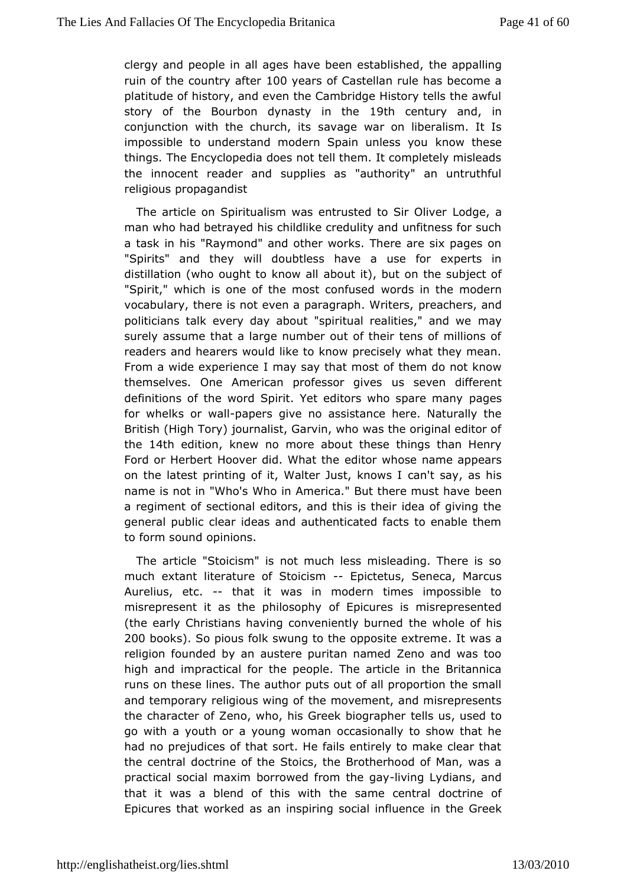[clergy and people](http://englishatheist.org/lies.shtmlclergy) in all ages have beemee spaballished, ruin of the country Galyears of Castellan rule has become a platitude of history, and even the Cambridge History tells the story of the Bourbon dynasty in the entury and conjunction with the chus racking et swar on liberalism. It Is impossible to understand modern Spaihnawlethses yeou things. The Encyclopedia does not tell them. It completely mis the innocent reader and supplies as "authority" an untrut religious opagandist

The article on Spiritualism was entrusted od to pe Sia Oliver man who had betrayed his childlike credulity and unfitness for a task in his "Raymond" and other works. There are six page "Spirits" and twhiely doubtless have a use for experts in distillation (who ought to a boow iall but on the subject of "Spirit," which is one of the mowsbrodosnfusehde modern vocabulary, there is not even a paragprapphe.htMe/rrsitearad politicians talk every day about "spiritual remalyities," and we surely assume that a large number out of their tens of millio readers and hearers would like to know precisely what they mean. From a wide expetien a say that most of them do not know themselves. One American professors externes different definitions of the word Spirit. Yet editors who pespare many for whelks or-pwapldrs give no assistance here. Naturally the Britis(High Tory) journalist, Garvin, who was the original editor the14th edition ew no more about these things than Henry Ford or Herbert Hoover did. e Wihat whose name appears on the latest printing of it, Walter claunsit, skanyo,was I his name is not in "Who's Who in America." But beene must have a regiment of sectional editors, and this is their idea of givi general public clear ideas and authenticated facts to enable them to form souppodnions.

The article "Stoicism" is not much less misleading. There much extant literature of -StEopicistentus, Seneca, Marcus Aurelius, e-t-cthat it was in modern times impossible to misrepresent it as the phoilo Epipchuyres is misrepresented (the early Christians having conventibe the whole rated his 200 books So pious folk swung to the opposlitt ewent the me religion founded by an austere puritan named Zeno and was high aniothpractical for the people. The article in the Britann runs on these linesauthor puts out of all proportion the small and temporary religious the impowement, and misrepresents the character of Zeno, who, his Greekllsiagsraphed to go with a youth or a young woman occasionally to show that he had no prejudices of that sort. He fails entirely to make clear the central alctrine of the Stoics, the Brotherhood of Man, was practical social monaxriomwed from th-elivgiang Lydians, and that it was a blend of this swemib the entral doctrine of Epicures that worked as an inspiring sinctuble influenched in the U.S.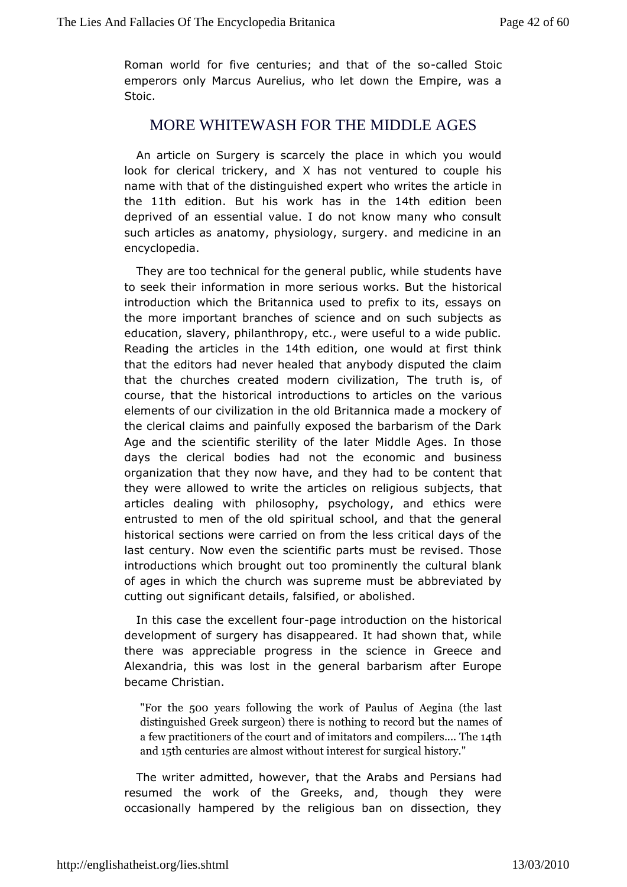[Roman world for](http://englishatheist.org/lies.shtmlRoman) five centuries: and that least Stieics of emperors only Marcus Aurelius, who let down the Empire, w Stoic.

# MORE WHITEWASH FOR THE MIDDLE AGES

An article Sourgery is scarcely the place in which you would look for clerical tricke and and ot ventured to couple his name with that of the distinguished wreike psentified the what icle in the 11th editio But his work has in 4th hee ditid one en deprived of an essential value. I do not know many who cor sucharticles as anatomy, physiology, surgery. and medicine in encyclopedia.

They are too technical for the generast upduebnits, hwanished by to seek their information in more serious historical But the introduction which the Britannica used to prefix to its, essa the more important branches of science and on such subject educatiosnavery, philanthropy, etc., were useful to a wide pub Reading the articles is 4th edition the would at first think that the editors had nevethate any obody disputed the claim that the churches created modern Tchi ilizuatthoms, of course, that the historical introductions to aartoics as on the elements of our civilization in the old Britannica made a mock theclerical claims and painfully exposed the barbarism of the Age and the entific sterility of the later Middle Ages. In the days the clerical badies ot the economic and business organization that they now have, atmodbtehecyonhtaednit that they were allowed to write the articlessubojnecries), intimbants articles dealing with philosophy, psychology, and ethics entrusted to men of the old spiritual school, and that the ge historics and ctions were carried on from the less critical days of last century.  $\frac{dV}{dt}$  the scientific parts must be revised. Those introductions which brougght pount inently the cultural blank of ages in which the church was subpereamble remuisated by cutting out significant details, abals ined, or

In this case the excel-beangte found troduction loonst to high call development of surgery has disappeared. It had shown that, there was appreciable progress in the science in Greece Alexandria, this lows as in the general barbarism after Europe becam@hristian.

"For th5e00 years following the work AcefgiPau (thse offast distinguished Greek surgeon) there ist methampes oof ecord but a few practitioners of the court acroomlip.ifl.earnEshtelt.4dhrs and and 5h centuries are almost withouglicratlehesstofy."

The writer admitted, however, thaanthe Arsabas had resumed the work of the Greeks, and, though they wer occasionally hampered by the religious ban on dissection,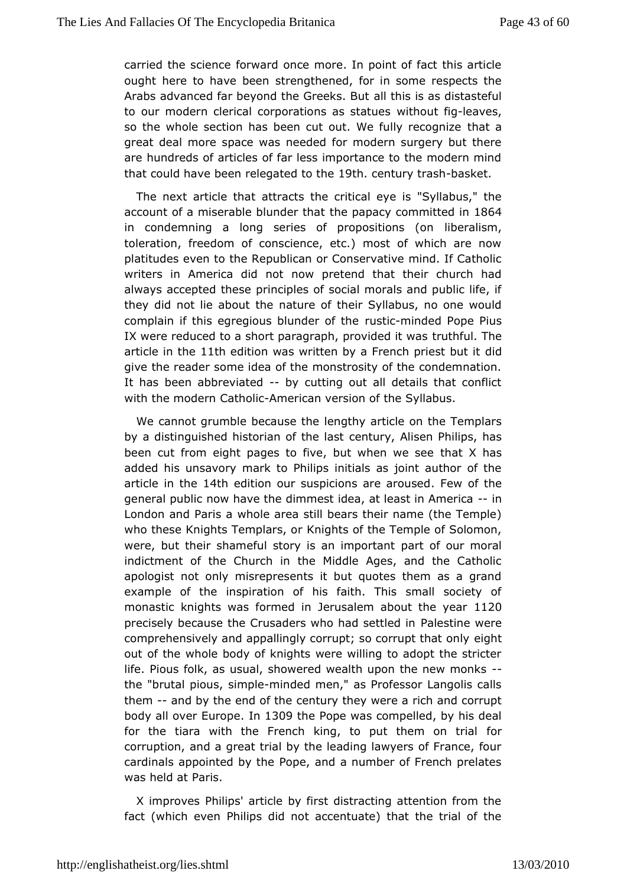[carried the](http://englishatheist.org/lies.shtmlcarried) ence forward once more. In point of fact this arti ought here to haves treengthened, for in some respects the Arabs advanced far beyond the Solleten kiss is uats distasteful to our modern clerical corporationwsitahsousttaffeceeevses. so the whole section has been cut out. Wethfautly recognize great deal more space was needed for modern surgery but t arehundreds of articles of far less importance to the modern that could heaveen relegated the this entury trabsable bet.

The next articleatthatts the critical eye is "Syllabus," the account of a miserable bluthelepathandy committe664in in condemning a long series of propbibletiahism (on toleration, freedom of conscience, etc.) most of which are platitudes even to the Republican or Conservative mind. If  $C\epsilon$ writers Ammerica did not now pretend that their church had always accepted pthiensceples of social morals and public life, if they did not lie abonuattuthee of their Syllabus, no one would complain if this egregious blundsetricoindbe Pope Pius IX were reduced to a short paragraph,  $\mathfrak b$ rowhidueld Tthewas article in the edition was written by a French diporiest but it give the reader some idea of the monstrosity of the condemnation. It has been abbreviated cutting out all details that conflict with the mod Ceathol Acmerican version of the Syllabus.

We cannot grumble becalesethive article on the Templars by a distinguished historian coefnthey, Jastisen Philips, has been cut from eight pages to five, butt when the ssee added his unsavory mark to Philips initials as joint author  $\overline{a}$ article in 14th edition our suspicions are eaw coursehde generaplublic now have the dimmest idea, at leasnt in America London and Pawisolæ area still bears their name (the Temple) who these Knights TempKinairgshtor of the Temple of Solomon, were, but their shameful story is apmaritmopforotrantmoral indictment of the Church in the Middle Ages, and the Catl apologist not only misrepresents it but quotes them as a g example of ihepiration of his faith. This small society of monastic knights was foulnemed bail mem about the 11260 ar precisely because the Crusaders who Phaalde satent blewdeine comprehensively and appallingly corrupt; so ccing that only comprehensively out of the whole body of knights were willing to adopt the st lifePious folk, as usual, showered wealth upon--the new monk the "brutal pisoiumspleninded men," as Professor Langolis calls them--and by the end ocfenthely they were a rich and corrupt body all over Eulno1p3e09the Pope was spelled, by his deal for the tiara with the French king, to put folmem on trial corruption, and a great trial by the leading lawyers of France cardinals appointed by the Pope, and a number of French pre was held Paatris.

X improves Philips' article by first distracting attention from fact (which even Philips did not accentuate) that the trial of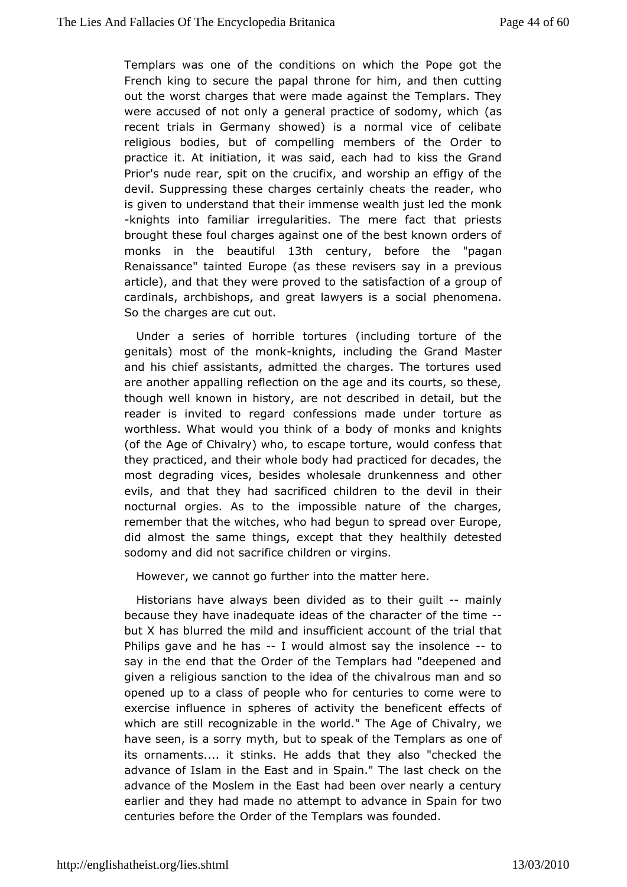Templars woanse of the conditions on which the Pope got the French king to secure the romap aborthim, and then cutting out the worst charges that were mtande Taegmapihas rs. They were accused of not only a general practice 6 assodomy, which recent trials in Germany showed) is a normal vice of celi religioubsodies, but of compelling members of the Order to practice it. At initia the said, each had to kiss the Grand Prior's nude rear, spit on the addoc word for the prior's nude rear, spit on the devil. Suppressing these charges cether in the cheats of is given to understand that their immense wened the just led the -knights into familiar irregularities. The mere fact that pr broughthese foul charges against one of the best known orders monks in the eautiful 3th century before the pagan Renaissance" tainted Europer of a issethse seeay in a previous article), and that they were prosarted flact tilomen of a group of cardinals, archbishops, and great lawypehrenicsmensaocial So the charges are cut out.

Under a series of horrible (incontuctions torture of the genitals) most of the kning om the including rational Master and his chief assistants, admitted the charges. The tortures are another appalling reflection on the age and its courts, so thoughwell known in history, are not described in detail, but reader is inviterdegtaord confessions made under torture as worthless. What would you thoody of monks and knights (of the Age of Chivalry) who, to escape coom feasing, that uld they practiced, and their whole body had practiced for decade most degrading vices, besides wholesale drunkenness and o evils, and tthe the ad sacrificed children to the devil in their nocturnal orgies. As imopolisible nature of the charges, remember that the witches, who had read uon to Europe, did almost the same things, except that dtehtee ysteedalthily sodomy and did not sacrifice children or virgins.

However, we ennot go further into the matter here.

Historians have alwayds vboe ed as to their- gnuailhtly because they have inadequate  $i$  id hears and the the set ime but X has blurred the mild and insuffictibe entrainad ot unath of Philips gave and hel hwacsuld almost say the in-stoolence say in the end that the Order of the Templars had "deepened given ræligious sanction to the idea of the chivalrous man and opened up to a ocflapsesople who for centuries to come were to exercise influence in spahetiveisty of the beneficent effects of which are still recognizable in The Awgoerlodf." Chivalry, we have seen, is a sorry myth, but to speak as to the Toe mplars its ornaments.... it stinks. He adds that they also "checked advance of Islam in the East and in Spain." The last check on advance of Moslem in the East had been over nearly a centur earlier and they had maaternew to advance in Spain for two centuries before the Order of the as feomunicles.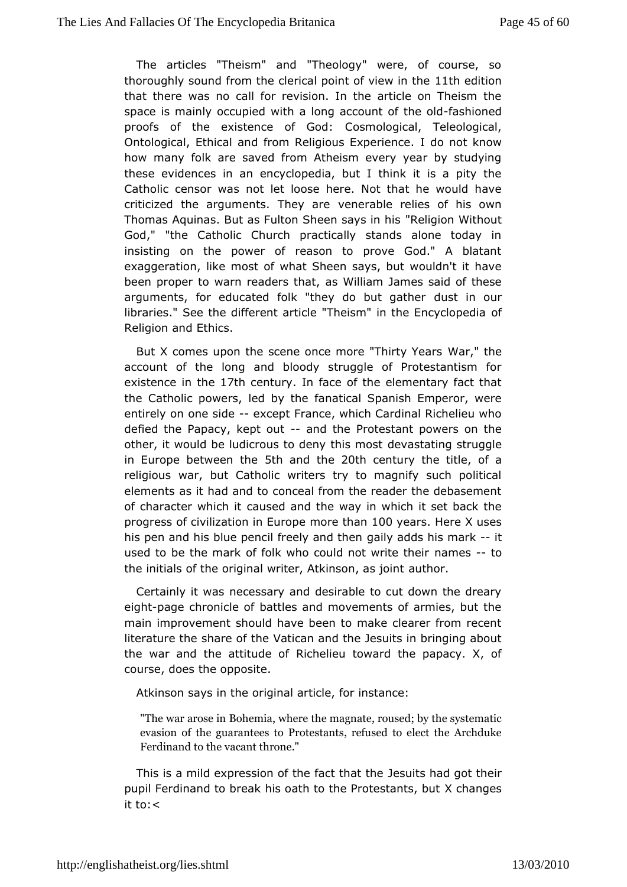[The articles](http://englishatheist.org/lies.shtmlThe) "Theism" and "Theology" were, of course, thoroughly sound from the clerical point to the eideiwian the that the weas no call for revision. In the article on Theism t space is mainly ocwuth and long account of falshe in online down that  $\alpha$ proofs of the existence  $\alpha$  os Ghood posical, Teleological, Ontological, Ethical and from Religious of Expoetriken nowe. how many folk are saved from Atheism every year by study thesevidences in an encyclopedia, but I think it is a pity Catholic censom was thoose here. Not that he would have criticized the arguments.  $\overline{\textbf{v}}$  begraablee relies of his own Thomas Aquinas. But as Fulton SheëRes agis nn Whitshout God," "the Catholic Church practically stands alone toda insisting on the power of reason to prove God." A blat exaggeration, mobset of what Sheen says, but wouldn't it have been proper to warn readæss Wilhaitam James said of these arguments, for educated folk "they dodustuting a bluer libraries." See the different article "Theism" in the Encyclop Religion and Ethics.

But X comes upon the scene once more W"aTrh "rttyhe Years account of the long and bloody struggle of Protestantism existence the $\pi$ h centurly face of the elementary fact that the Catholic poweedrsby the fanatical Spanish Emperor, were entirely on one-seix deep Firance, which Cardinal Richelieu who defied the Papacy, kepanduth Protestant powers on the other, it would be ludicrous to dechey valus it mogs ts truggle in Europe betwee  $5t$  hthænd the  $20t$ h century the,  $\delta$  iftle religious war, but Catholic writers try to magnify such pol elements it had and to conceal from the reader the debaseme of character whical sied and the way in which it set back the progress of civilization  $\dot{m}$  meuthal  $\dot{m}$  Oyears Here X uses his pen and his blue pencil freelayil and dolls elmis - miderk used to be the mark of folk who could namewaite their the initials of the original writer, Athurthom, as joint

Certainly it was necessary and desirable to cut down the d eighpage chronicle of battles and movements of armies, but mainimprovement should have been to make clearer from rece literature the sht he Vatican and the Jesuits in bringing about the war and the attitre doeheolfieu toward the papacy.  $X$ , of course, does the opposite.

Atkins osmays in the original article, for instance:

"The war arbebeimia, where the magnate, roused; by the sys evasion on the guarantees to Protestants, refused to elect the  $\lambda$ Ferdinand to a dant throne."

This is a mild expression of the Jfeasculits antaichegot their pupil Ferdinand to break his oath to the *R* rochten a transits, but it to:<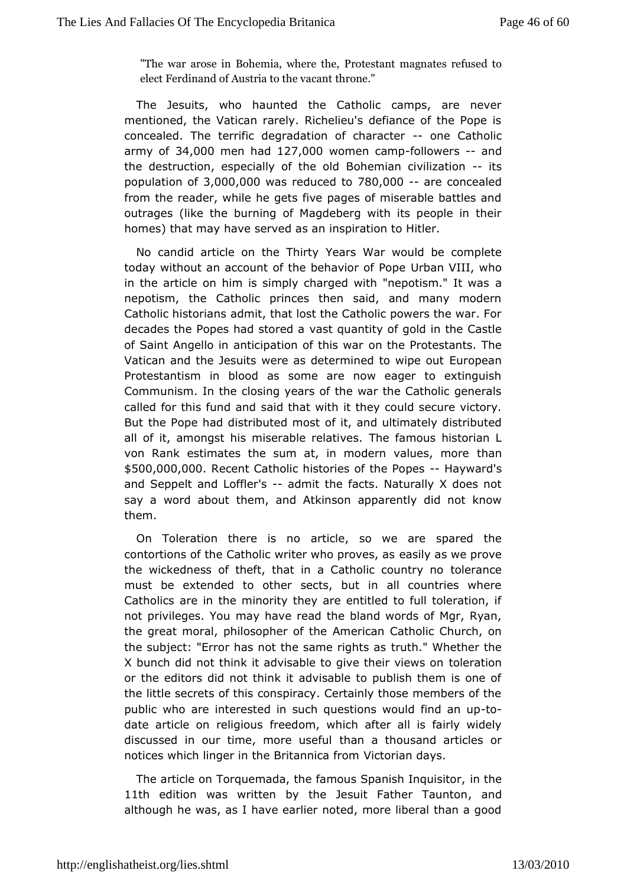["The war a](http://englishatheist.org/lies.shtml)rose in BohemiParotwehsetaentthmeagnates refused to elect Ferdinand of Austrithtonthe." vacant

The Jesuits, who haunted the Catholic camps, are nev mentioned, the Vatican rarely. Richelieu's defiance of the P concealeThe terrific degradation of -ehoanreacCleatholic  $army$   $034,00$   $0$ men hat $127,00$   $0$   $0$   $0$  men ca-min  $q$ ollowers and the destruction, especially **Bohtehre and divilization** population 3  $p$ 00,000 as reduced 8to 000-are concealed from the reader, while he gets five pages of miserable battle outrages (like the burning of Magdeberg with its people in homes) that mawe served as an inspiration to Hitler.

No candid article on the Thirt War would be complete today without an account of the behbly boam of Plopweho in the article on him is simply charged with "maepotism." It w nepotism, the Catholic princes then said, and many mod Catholic histoadamis, that lost the Catholic powers the war. For decades the Popes had veat a variantity of gold in the Castle of Saint Angello in anticipation of theis was stants. The Vatican and the Jesuits were as determine autotope awnipe out Protestantism in blood as some are now eager to extingu Communism. the closing years of the war the Catholic general called for this fusdid ntchat with it they could secure victory. But the Pope had distribuded tmast ultimately distributed all of it, amongst his miserablehee famous historian L von Rank estimates the sum at, in modernthandues, more \$500,000,000 ecent Catholic histories of-they Rape'ss andSeppelt and Lofflad'mait the facts. Naturally X does not say a word abtouth, and Atkinson apparently did not know them.

On Toleration there astime, so we are spared the contortions of the Catholic writer we has id you as sweap rove the wickedness of theft, that in a Catholbibe roancentry no must be extended to other sects, but in all countries wh Catholiase in the minority they are entitled to full toleration not privileges. Who whave read the bland words of Mgr, Ryan, the great moral, philosoph Aemeorfictahe Catholic Church, on the subject: "Error has not the satmethigh Whether the X bunch did not think it advisable to giveotheationews on or the editors did not think it advisable to publish them is on the little secrets of this conspiracy. Certainly those members public whoe interested in such questions woulded find an up date article on refroeicodosm, which after all is fairly widely discussed in our time, mothansafuthousand articles or notices which linger in the Britain thora a firm dimays.

The article on Torquemada, the famous Spamitshe Inquisitor, 11th edition was written by the Jesuit Father Taunton although was, as I have earlier noted, more liberal than a go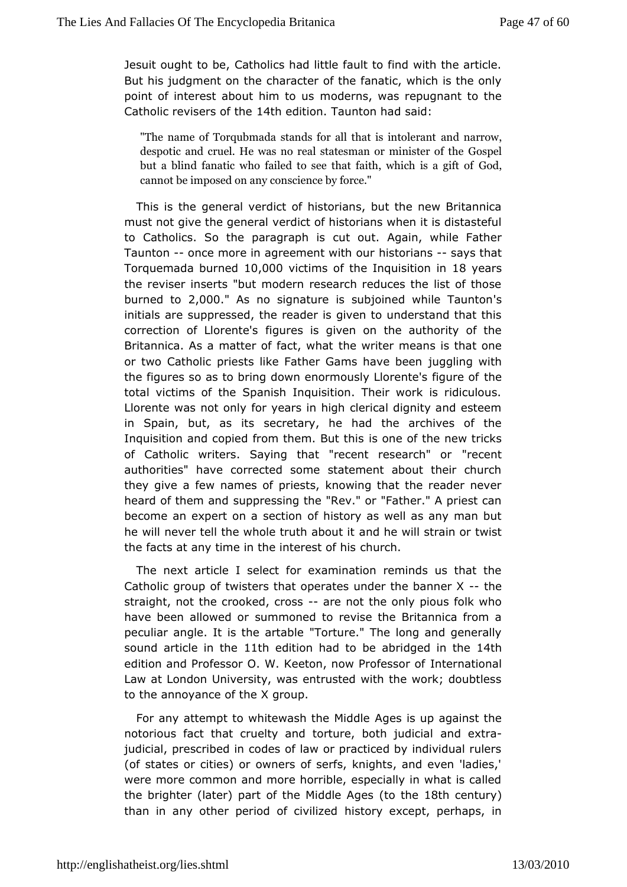Jesuit ought  $t\mathbb G$  abte olics had little fault to find with the article But his judgment och at has ter of the fanatic, which is the only point of interest about hmmodeornus, was repugnant to the Catholic revisers 1 dtfhthe ditio Traunton has a did:

"The name of Torqubmada stands for annul that trow, intolerant despotic and cruel. He was no real stateGmamebr minister but a blind fanatic who failed to see that Gfoadth, which is cannot be imposed on any conscience by force."

This is the neral verdict of historians, but the new Britannic must not give the geen ednial of historians when it is distasteful to Catholics. So the paragurtapohutis Again, while Father Taunto-nonce more in agreement historians ays that Torquemada bunnoe  $00$  wictims of the Inquisitive airst the reviser inserts "but modern research reduces the list of burned to 000 As no signature is subjoined whsile Taunton initials auppressed, the reader is given to understand that the correction of Llorfeiguerless is given on the authority of the Britannica. As a matter of factwwitheant means is that one or two Catholic priests like Father Gainomigghian gewbiehen the figures so as to bring down enormously Litemente's figure total victims of the Spanish Inquisition. Their work is ridic Llorent weas not only for years in high clerical dignity and este in Spain, but, asectreatary, he had the archives of the Inquisition and copied from theims obset ot this he new tricks of Catholic writers. Saying that "recent" reexseenatrch" or authorities" have corrected some statement about their ch they givee few names of priests, knowing that the reader never heard of them sampot ressing the "Rev." or "Father." A priest car become an expert on a osfelt to as well as any man but he will never tell the whole tranted an beowilltstrain or twist the facts at any time in the intenters thof his

The next article I select for examination reminds us that Catholic group of twisters that operates undethe banner X straight, those crooked, croasse not the only pious folk who have been allowed momoned to revise the Britannica from a peculiar angle. It is the Tartabee" The long and generally sound article in 1th eedition had toob roidged in 1the edition and Professor O. W. Keeton, now tePrmoat bissomand of Law at London University, was entrusted with the work; doub to the annoyance of the X group.

For any attempt to whitewash Almes SMisd dup against the notorious fact that cruelty and torture and  $\alpha$  the  $\alpha$  in and icial judicial, prescribed in codes of law or practiced by individua (of states or cities) or owners of serfs, knights, and even 'I were mocommon and more horrible, especially in what is call the brighter (latero) fptohnet Middle (Algetshei8th century than in any other period of istoinly zeatcept, perhaps, in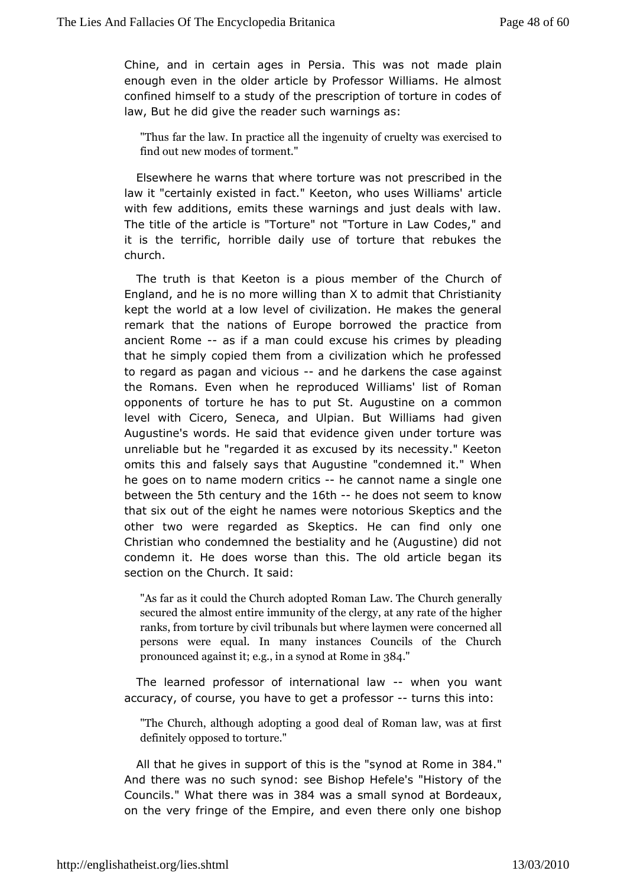[Chine, and in ce](http://englishatheist.org/lies.shtmlChine)rtain ages in Persia. mTahdis pwlaasinnot enough even in the older article by Professor Williams. He a confined himself to a study of the prescription of torture in co law. But did give the reader such warnings as:

"Thus far the plaancticre all the ingenuity of cruelty was exerc find out new mtoodense roof."

Elsewhere he warns that where torpues cwidose on oin the law it "certainly existed in fact." Keeton, wanoticlses Williams' with few additions, emits these warnings and just deals with Thetitle of the article is "Torture" not "Torture in Law Codes, it is the errific, horrible daily use of torture that rebukes t church.

The trutis that Keeton is a pious member of the Church o England, and he is no oil mining than X to admit that Christianity kept the world at a lowclevlet adfon. He makes the general remark that the nations of Europeheopraweide from ancient Romas if a man could excuse hisptes and ensaby that he simply copied them from a civilization which he profe toregard as pagan and -vicious duise darkens the case against the Romans. Ewween he reproduced Williams' list of Roman opponents of torture he has tto Auggutts tine on a common level with Cicero, Seneca, and Ulpian.haBdutgiWehliams Augustine's words. He said that evidence given under torture unreliable but he "regarded it as excused by its necessity."  $\vdash$ omits thand falsely says that Augustine "condemned it." Whe he goes on to name mode example cannot name a single one between the century and othe-he does not seem to know that six out of the eight he names were protes raion disthe other two were regarded as Skeptics. He can find only Christian who condemned the bestiality and he (Augustine) di condemn it. d bes worse than this. The old article began its section on the Chusracilical. It

"As far as it could the Church adopCtendurRebmgaem oLraawly The secured the almost entire immunity of othe belengue at any rat ranks, from torture by civil tribunals bowth wehrenreed lay lmen were persons were equal. In many instances Councils of the pronounced agagnismt at synod at R&4 e in

Thelearned professor of internationhad nlay ou want accuracy, of coursheav peoto get a profetsus ons this into:

"The Chuactth, ough adopting a good deal of Roman law, was definitely opptomsted reo"

All that he gives in support of this  $i \mathbb{R}$  of the "issey 4 bd at And there was no such synod: see Bishop Hefele's "History of Councils What there was 84 kwas a small synod at Bordeaux on the vefiryinge of the Empire, and even there only one bisho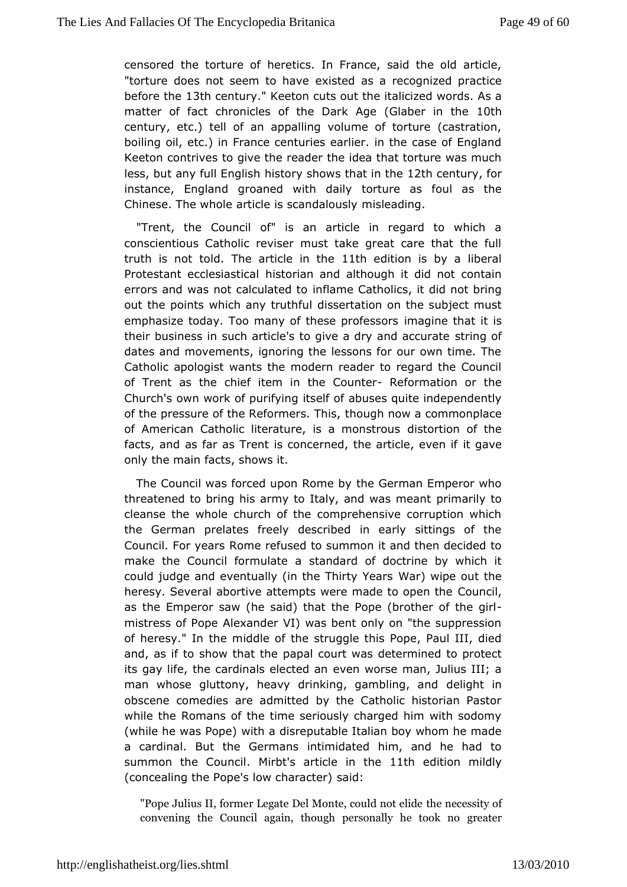censored the tortuhreeredics. In France, said the old article, "torture does not seem daishtaevde as a recognized practice before thath centur Keeton cuts ouittatheized words. As a matter of fact chronicles of the Dark Age 10GBHaber in the century, etc.) tell of an appalling volume of torture (castration, boilingil, etc.) in France centuries earlier. in the case of  $En_{\perp}$ Keeton contrive expive the reader the idea that torture was much less, but any full **E**irsotbirs hows that 12th the enturior instance, England groaned widthtudeaily is foul as the Chinese. The whole article is snciashed and onugsly

"Trent, the Council of" is an article in regard to whicl conscientious Catholic reviser must take great care that th truth is ntound The article in 1 the edition is by a liberal Protestant ecclesibaissticarian and although it did not contain errors and was not calcund alteard et oCatholics, it did not bring out the points which anyditsselation on the subject must emphasize today. Too many of thesien pogines shoats it is their business in such article's to give a sdtrwing in diaccurate dates and movements, ignoring the lessons for our own time. Catholic apologist wants the modern reader to regard the Cc of Trent as dhieef item in the GoRuenfloemmation or the Church's own work of putsellying abuses quite independently of the pressure of the Refortheorusgh Thosw a commonplace of American Catholic literature, is das moon hisotrous the facts, and as far as Trent is concerned, thie gaaticle, even if only the main facts, shows it.

The Council was forced uponth Roomer to an Emperor who threatened to bring his army to Italy, apord mwaaslympecant cleanse the whole church of the comprehensive corruption w the German prelates freely described in early sittings of Council. For Recams refused to summon it and then decided to make the Council formstated aad of doctrine by which it could judge and eventually (in the WTahri) two ipe acrust the heresy. Several abortive attempts were maddoeuntosib, pen the as the Emperor saw (he said) that the Pope (brother of the mistress of Pope Alexander VI) was bent only on "the suppre of heresy." the middle of the struggle this Pope, Paul III, die and, as if to show thapath court was determined to protect its gay life, the cardinals eeve at even be man, Julius III; a man whose gluttony, heavy drinking, galmelbigint g, inand obscene comedies are admitted by the Catholic historian P whilethe Romans of the time seriously charged him with sodo (while he was Powible) a disreputable Italian boy whom he made a cardinal. But the Germimanistated him, and he had to summon the Coumcibs article in 1the edition mildly (concealing the Pope's low scahial racter)

"Pope Julius II, former Legate Del Mtohneten, e consistation contrelide convening the Council again, though pegriseo anteelirly he took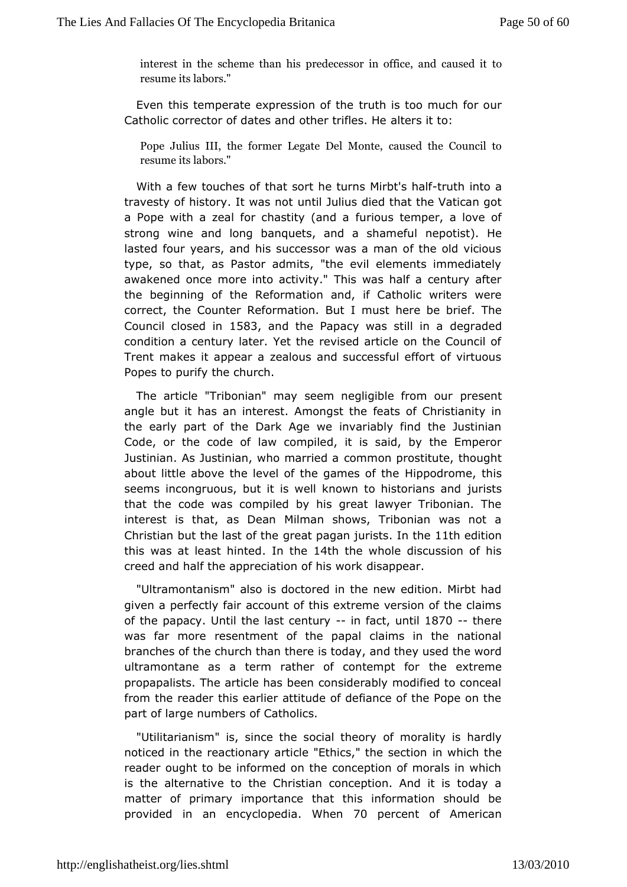[interest in the](http://englishatheist.org/lies.shtmlinterest) scheme than his predecessotoin office, and resume its labors."

Even this temperate expresstingunthof stheo much for our Catholic corrector of dates and othetre trifitets a: He

Pope Julius III, the former Legates edethelocoteu, ncil to resume its labors."

With a few touchtes ato fort he turns Mirbttus hhanto a travesty of history. It was not in a died that the Vatican got a Pope with a zeal for chastfiul  $y$ id and teamper, a love of strong wine and long banquets, and napshines fulle lasted four years, and his successor was a man of the old v type, so that, as Pastor admits, "the evil elements immediation awakened omcoere into activity." This was half a century afte the beginning of Rethoermation and, if Catholic writers were correct, the Counter Reform athounst Bluetre be brief. The Council closet1586 and the Papacy was stilelgrianded condition a century later. Yet the revised article on the Cou Trent makes it appear a zealous and successful effort of virtuous Popes pourify the church.

The article "Tribonian" may seem negligpincelseemitom our angle but it has an interest. Amongst the feats of Christian theearly part of the Dark Age we invariably find the Justir Code, or the codaw of ompiled, it is said, by the Emperor Justinian. As Justinian, who commannoi **e** dpaostitute, thought about little above the level of the **Heapmensd roofment**ethis seems incongruous, but it is well known tquhistsrians and that the code was compiled by his great lawyer Tribonian. interesis that, as Dean Milman shows, Tribonian was not Christian but the last reat the gran jurists of the dition this was at least hinnttehood 4th the whole discussion of his creed and half the appreciation dicsfabise awrounk

"Ultramontanism" also is doctored in the new edition. Mirbt given a perfectly fair account of this extreme version of the of th $p$ apacy. Until the last-cernifuarcy that if 870--there was far morreesentment of the papal claims in the national branches of the church than totch and they used the word ultramontane as a term rather of cotheemepxttreforme propapalists. The article has been considerably modified to c from the reader this earlier attitude of defiance of the Pope part darge numbers of Catholics.

"Utilitarianism" is, since the soofcionlontahleibyryis hardly noticed in the reactionary article "Ethicrs, which shetion reader ought to be informed on the conception of morals in v is the alternative to the Christian conception. And it is tod matter of primiarry ortance that this information should be provided in an encycloWpheedria 0 percent of American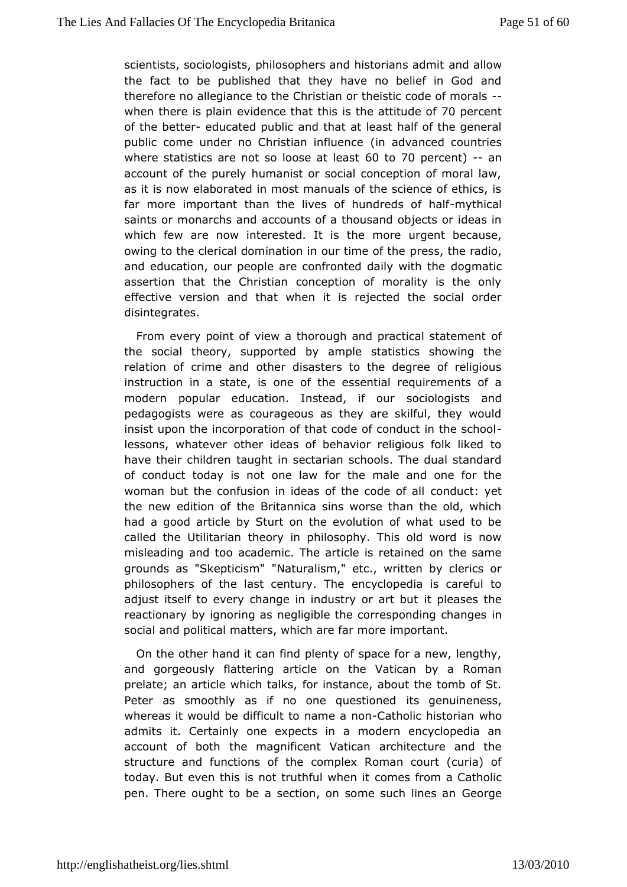[scientists, sociolog](http://englishatheist.org/lies.shtmlscientists)ists, philosophers and and istad roawns admit the fact to be published that they have no belief in God therefone allegiance to the Christian or theistic code of mora when there is  $\mathbf{e}$  vaduence that this is the  $\vec{\mathbf{a}}$  to interdue of of the betteeducated pushic that at least half of the general public come under no Christianin and ancoeed countries where statistics are not so lo  $\circ$ set ca7t0 peerstent) and account of the purely humanist or social conception of moral as it is now elaborated in most manuals of the science of eth far moriemportant than the lives of hund-meydshicalhalf saints or monarchasc and muts of a thousand objects or ideas in which few are now interesttehde mitoris urgent because, owing to the clerical domination in opurrestism, ethoef ntancelio, and education, our people are confronted dodgaminay time ith the assertion that the Christian conception of morality is the effective version and that when it is rejected the social or disintegrates.

From every point of view a thorough and pracefical statemer the social theory, supported by ample statistics showing relation corfime and other disasters to the degree of religious instruction in a state, of the essential requirements of a modern popular education. Insteasologioflogousts and pedagogists were as courageous as they are skilful, they v insist upon the incorporation of that code of conduct in the s lessonsw, hatever other ideas of behavior religious folk liked have their childunght in sectarian schools. The dual standard of conduct today is not foorrether womale and one for the woman but the confusion in ideas of the nducte: of tall the new edition of the Britannica sins worse than the old, v had a good article by Sturt on the evolution of what used t called the utilitarian theory in philosophy. This old word is  $n_1$ misleading and ad ademic. The article is retained on the same grounds as "Skepti'd is mu't alism," etc., written by clerics or  $philosophers$  of the last cenethuory. The ending is careful to adjust itself to every change in indusitry leasenst thust reactionary by ignoring as negligible the corresponding chan social and political matters, which are far more important.

On thether hand it can find plenty of space for a new, lengt and gorgeoutslayttering article on the Vatican by a Roman prelate; an article whit on tan take ance, about the tomb of St. Peter as smoothly as if no one i**que speioneme**ness, whereas it would be difficult to-Chambelia choistowhien admits it. Certainly one expects in a modern encyclopedia account of bootthe magnificent Vatican architecture and the structure and functions coomiptibese Roman court (curia) of today. But even this is not trutbot when the catholic pen. There ought to be a section, on som & escurghe lines an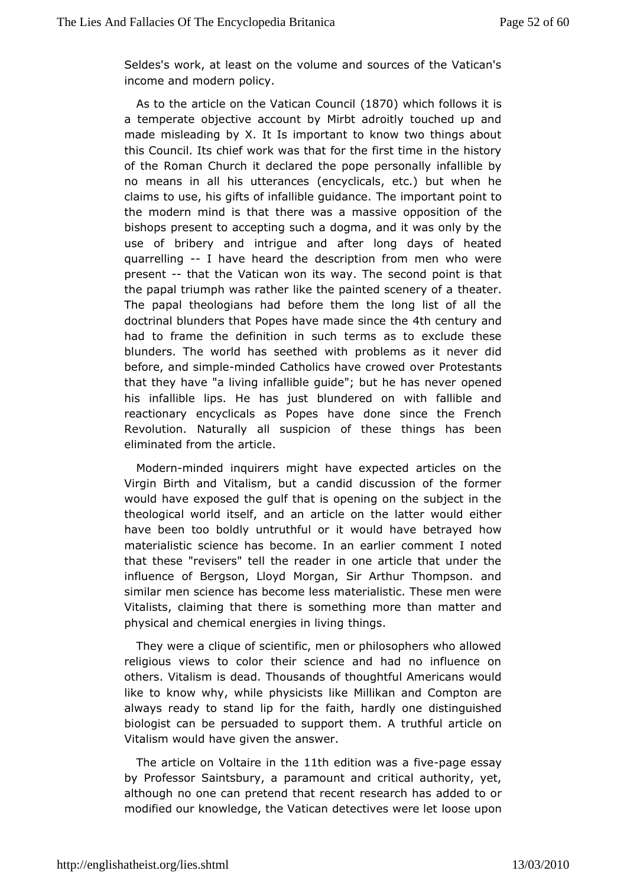[Seldes's work, at](http://englishatheist.org/lies.shtmlSeldes) least on the volume and sources of the Vati incomeand modern policy.

As to the article on the Vati $\ell$  and  $\nabla \mathbf{w}$  binchfollows it is a temperate objective account by Mirbt adroitly touched up made misleading by X. It Is important to know two things at this Councilchlites work was that for the first time in the histor of the Roman Chudeblatred the pope personally infallible by no means in all his utt(eermanyccelsicals, etc.) but when he claims to use, his gifts of infallilbile group doat a met point to the modern mind is that there was a massivteheopposition of bishops present to accepting such a dogma, and it was only t use of bribery and intrigue and after long days of heate quarrellin-gl have heat hote description from men who were present that the Vatican won its weavondhpoint is that the papal triumph was rather like the paint bedase enery of a The papal theologians had before them the long list of all doctrinal blunders that Popes have manuface since y thed had to fram hee definition in such terms as to exclude these blunders. The world has wsielethed blems as it never did before, and simmindeed Catholics have owen we rebtestants that they have "a living infallible guide"; boptemedhas never his infallible lips. He has just blundered on with fallible reactionary encyclicals as Popes have done since the Fr Revolutionaturally all suspicion of these things has been eliminated from artthe le.

Moderminded inquirers might have expected articles on the Virgin Birth and Vitalism, but a candid discussion of the  $f(x)$ would have posed the qulf that is opening on the subject in  $t$ theological world ain stelfing article on the latter would either have been too boldly untrutwo bull dorhave betrayed how materialistic science has become. In an eanlote dcomment that these "revisers" tell the reader in one article that under influence of Bergson, Lloyd Morgan, Sir Arthur Thompson. similar men schearschecome less materialistic. These men were Vitalists, claiming that stomes thing more than matter and physical and chemical energites in insuliving

They were a clique of scientific, men or philosophers who all religious views to color their science and had no influenc others. Vitalss chead. Thous ands of thoughtful Americans would like to know why, pwhile phistists like Millikan and Compton are always ready to stand lipfaitor, the rdly one distinguished biologist can be persuaded to suppouth the marticle on Vitalism would have given the answer.

The article V ontaire in 1the edition was -particless ay by Professor Saintsbarg, maunt and critical authority, yet, although no one can pretend the aste allen thas added to or modified our knowledge, the Vatican detectoisvee supwoenre let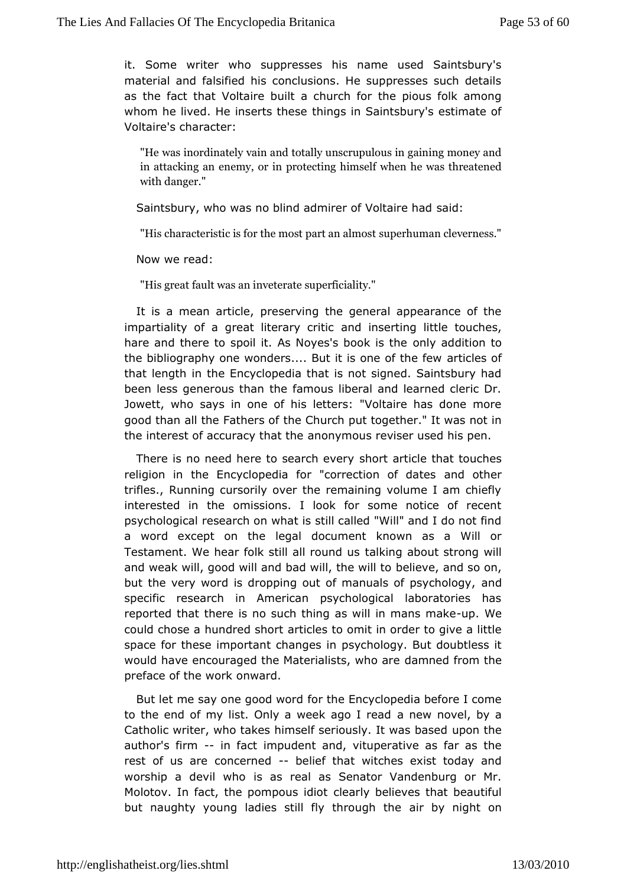[it. Some writ](http://englishatheist.org/lies.shtmlit)er who suppresses his name used Saintsbur materiannd falsified his conclusions. He suppresses such det as the fact Modtaire built a church for the pious folk among whom he lived. He insentheinton sesion Saintsbury's estimate of Voltaire's character:

"Hewas inordinately vain and totally unscrupulous in gaining inattacking an enemy, or in protecting himself when he was withdanger."

Saintsbury, who was no blind admirer saidoltaire had

"His characteristic is for the msams deplatem an almost theses."

Now we read:

"His grieautit was an inveterate superficiality."

It is a mean arpirelserving the general appearance of the impartiality of a great liteamedy insidering little touches, hare and there to spoil it. As Noyesos book disidueto the bibliography one wonders.... But it is andine lecs fothe few that length in the Encyclopedia that is not signed. Saintsbur been less generous than the famous liberal and learned cler Jowett, who ys in one of his letters: "Voltaire has done mor good than all the Father Chairch put together." It was not in the interest of accuracy a that the and the viser used his pen.

There is no need here to seahounteavetigle that touches religion in the Encyclopedia for "correaction oto the rolates trifles., Running cursorily over the remaining volume I am chiefly interested in the omissions. I look for some notice of re psychologieslearch on what is still called "Will" and I do not f a word except onletchæl document known as a Will or Testament. We hear folk still at all krion und buo suit strong will and weak will, good will and bad whellie he, wahldtoo on, but the very word is dropping out of manual anodf psychology, specific research in American psychological laboratories reported that te is no such thing as will inuman Msemake could chose a hundread tist a loerst to omit in order to give a little space for these important changes biggy. But doubtless it would have encouraged the Materialdamsnewdhforcamethe preface of the work onward.

But let me say one gobodr whole ed Encyclopedia before I come to the end of my list. Only a weeka angeow Inperaed, by a Catholic writer, who takes himself seriousulpon tthweas based author's fi-r-min fact impudent and, vituperative as far as the restof us are concer-needlief that witches exist today and worship a deviliswhos real as Senator Vandenburg or Mr. Molotov. In fact, the pompoolesaric diotelieves that beautiful but naughty young ladies still fly athrrobuyghnity hhad on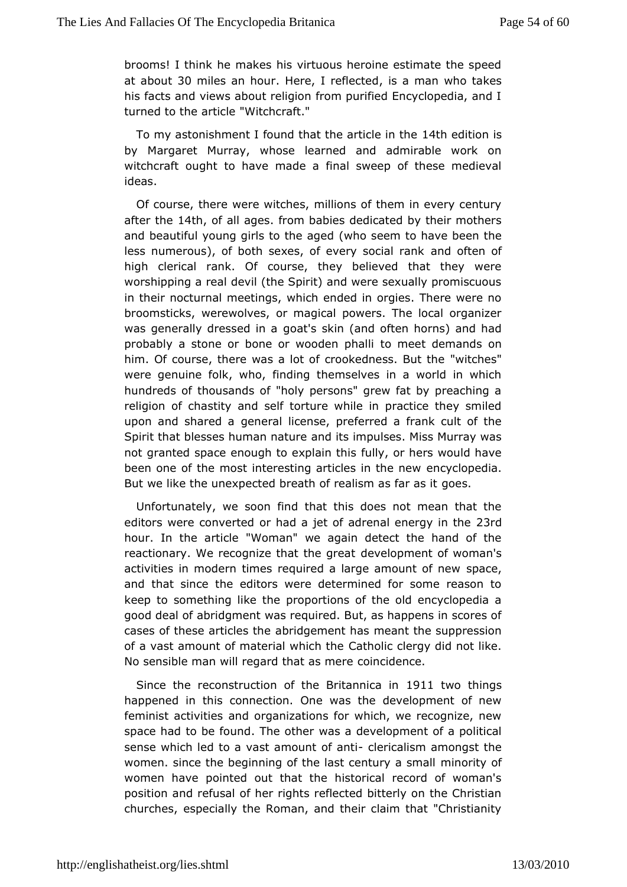[brooms! I think he](http://englishatheist.org/lies.shtmlbrooms!) makes his virtuous heroine estimate the s at abou3t0 miles an hobuerrel reflectessi a man who takes his facts anedws about religion from purified Encyclopedia, and turned to the artwictlehcraft."

To my astonishment I found that the 1a4theliecd etiionnthee by Margaret Murray, whose learned and admirable work witchcradught to have made a final sweep of these medieval ideas.

Of course, the erre witches, millions of them in every century after the the th, of all agersom babies dedicated by their mothers and beautiful young girls to whe saged to have been the less numerous), of both sexes, of eveamy dsootiah roafnk high clerical rank. Of course, they believed that they we worshipping a real devil (the Spirit) and were sexually promis in their nocturnal meetings, which ended in orgies. There were  $b$ roomstickw $s$ ewolves, or magical powers. The local organize was generally dressed aiths askin (and often horns) and had probably a stone or bone or wobcdemme phadleimands on him. Of course, there was a lot of crookewhitecshse.s But the were genuine folk, who, finding themselves in a world in w hundreds of thousands of "holy persons" grew fat by preachi religion confastity and self torture while in practice they smil upon and shar edenaeral license, preferred a frank cult of the Spirit that blesses human moniturem pulses. Miss Murray was not granted space enough to etxubliva, inorthhiers would have been one of the most interesting articeens yind othe dinae.w But we like the unexpected breath of readiosens as far as it

Unfortunately, we soon find that this does not mean that editorwsere converted or had a jet of adrenal 2 & mdergy in the hour. In the artivicolenan" we again detect the hand of the reactionary. We recognize thad etheel oppresent of woman's activities in modern times required a large sparancoeunt of new and that since the editors were determined for some reaso keep tosomething like the proportions of the old encyclopedia good deal of abridwgansen equired. But, as happens in scores of cases of these articalbersidtonement has meant the suppression of a vast amount of material Cwah hoolic helergy did not like. No sensible man will regard the at maximate dimensione.

Since the reconstruction of the Birgitalnt wice athim qs happened in this connection. One was the development of feminist activanide sorganizations for which, we recognize, new space had to be found. Twhees oathdeervelopment of a political sense which led to a vast amouther or a his mongst the women. since the beginning of the last  $\alpha$  einturity a of mall women have pointed out that the historical record of woman position and refusal of her rights reflected bitterly on the Cr churches, specially the Roman, and their claim that "Christian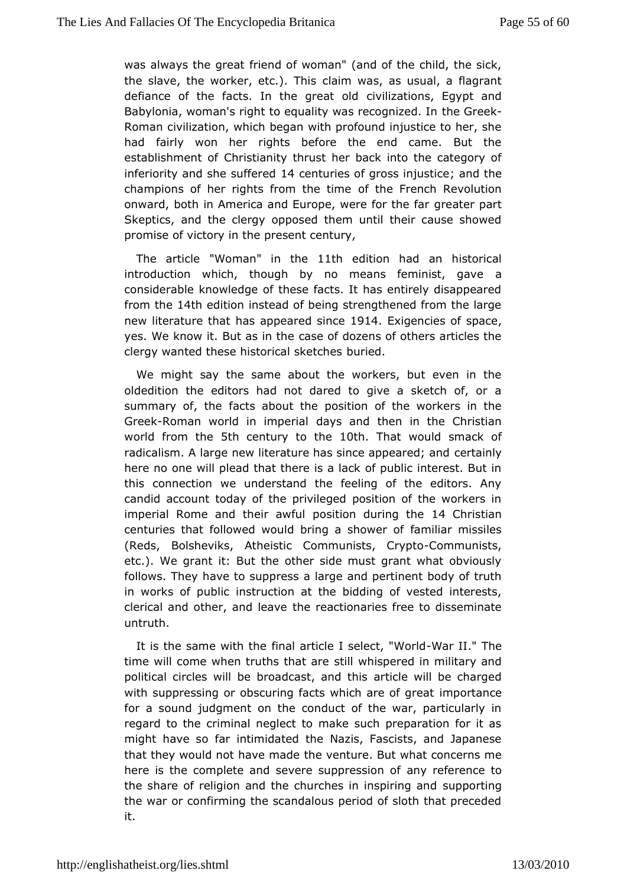[was always the](http://englishatheist.org/lies.shtmlwas) grieat of woman" (and of the child, the sick, the slave, the worker, etcolain This as usual, a flagrant defiance of the facts. In the courrelazatoilochs, Egypt and Babylonia, woman's right to equality was the Gordeneik ed. In Roman civilization, which began with profound injustice to he had fairly won her rights before the end came. But tl establishmen **has first intural her back into the category of** inferiority and she slu4 fetemetod ries of gross inajnudsttibree champions of her rights from of the time eench Revolution onward, both in America and Europe, wereater phartfar Skeptics, and the clergy opposed them until their cause show promise of victory in the present century,

The artic"Neoma<sup>n</sup> in the1<sup>1</sup>th edition had an historical introduction which, though by no means feminist, gave considerable knowledge of these facts. It has entirely disapp from the4th edition instead of being strengthened from the lar new literature htahsatappeared slint the Exigencies of space yes. We know it. But assasine to the dozens of others articles the clergy wanted these historicbursketches

We might say the same about the workers, but even in t oldedition the editors had not dared to give a sketch of, summary of, thets about the position of the workers in the Gree Roman world in implay is aland then in the Christian world from 5he century to 1tohb. Thatwould smack of radicalism. A large new literature has since rappredyred; and here no one will plead that there is a lack of public interest. this connection we understand the feeling of the editors. candid accound tay of the privileged position of the workers in imperial Rome and theiposiwith during 14 h Christian centuries that followed would bring familiar missiles (Reds, Bolsheviks, Atheistic CommunCiosomsmunCinstrato etc.). We grant it: But the other side must grant what obviously follows. Thaye to suppress a large and pertinent body of trut in works of pubsticuction at the bidding of vested interests, clerical and other, and elera actionaries free to disseminate untruth.

It is the same wiffinal hearticle I select Waw of Lid The time will come when truthsstill at waispered in military and political circles will be broadcasticbendwith this a charged with suppressing or obscuring facts which pareaptegreat for a sound judgment on the conduct of the war, particularly regard to the criminal neglect to make such preparation for might have fao intimidated the Nazis, Fascists, and Japanes that they would not have emvaculature. But what concerns me here is the complete and severe suppropyrenessie orne nocfe to the share of religion and the churches isnupips portining and the war or confirming the scandalous period of sloth that pre it.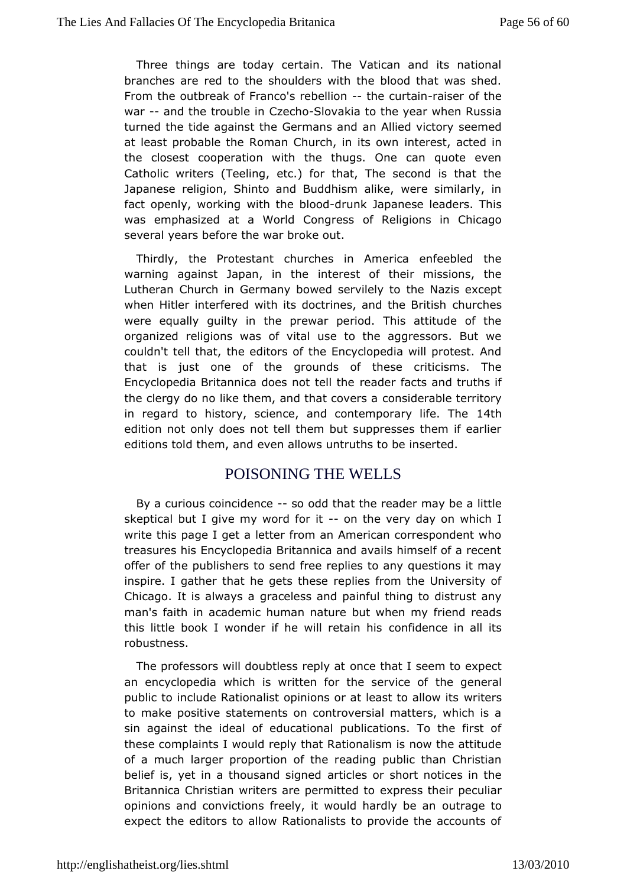[Three things a](http://englishatheist.org/lies.shtmlThree)re today certain. The Vatican and its national branches ered to the shoulders with the blood that was she From the outbreakanto's rebellibe curtainiser of the war--and the troub Cezet the lovakia to the year when Russia turned the tide against the Gearm and bieach ovictory seemed at least probable the Roman Churchntements, cawined in the closest cooperation with the thugs. One can quote e Catholic writers (Teeling, etc.) for that, The second is that Japaneseligion, Shinto and Buddhism alike, were similarly, fact openly, wowking the bloodnk Japanese leaders. This was emphasized at a World Con Roger bis as in Chicago several years before the war broke out.

Thirdlythe Protestant churches in America enfeebled the warning against Japan, in the rehset of their missions, the Lutheran Church in Germany bowed thseer Midely except when Hitler interfered with its doctrines, chudch hes British were equally guilty in the prewar period. This attitude of organized religions was of vital use to the aggressors. Bu couldn't telat, the editors of the Encyclopedia will protest. A that is just one of grothuends of the se criticisms. The Encyclopedia Britannica does necatd the lifat that and truths if the clergy do no like them, and than soid weats la territory in regard to history, science, and contemp1o4thry life. The edition not only does not tell them but suppresses them if e editionsld them, and even allows untruths to be inserted.

### POISONING THE WELLS

By a curious coinci-dseon odd that reader may be a little skeptical but I give my word nfotheit veday on which I write this page I get a letter from an American correspondent treasures his Encyclopedia Britannica and avails himself of a offer  $\phi$ he publishers to send free replies to any questions it inspire. I gatthæt he gets these replies from the University o Chicago. It is alwgaus ealess and painful thing to distrust any man's faith in academic humbut nature my friend reads this little book I wonder if he widon for the in all its robustness.

The professors will doubtless creephy attate em to expect an encyclopedia which is written for the speemveiceel of public to include Rationalist opinions or atwhetes the allow its to make positive statements on controversial matters, which sinagainst the ideal of educational publications. To the fir these complain would reply that Rationalism is now the attitude of a much larger propbrthenreading public than Christian belief is, yet in a thousandtisilesed articlerinotices in the Britannica Christian writers are opeen meist se theoir peculiar opinions and convictions freely, it would uthraangdely tobe an expect the editors to allow Rationalists to provide the accou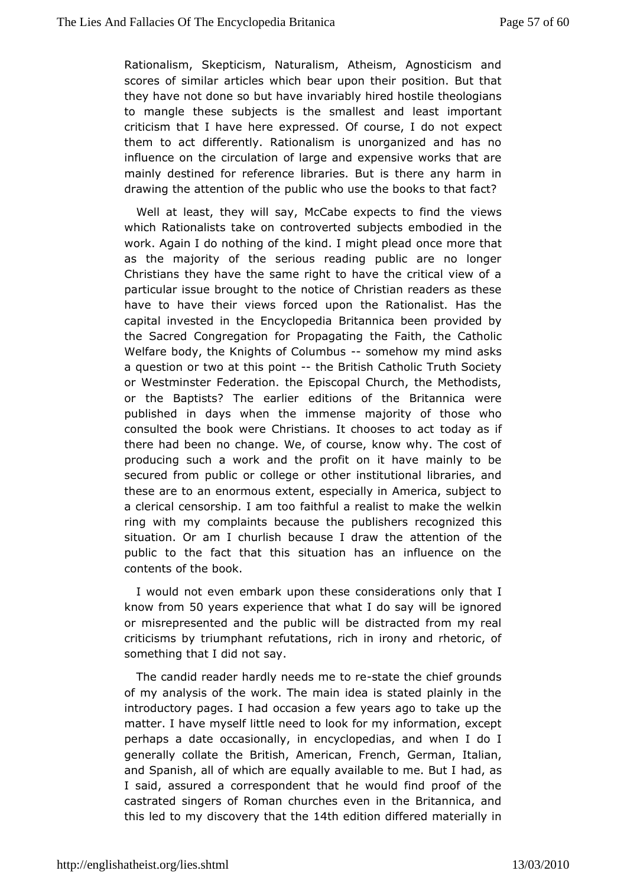[Rationalism, Skeptic](http://englishatheist.org/lies.shtmlRationalism)ism, Naturalism, Atheism, Agnosticism scores of simartacles which bear upon their position. But tha they have not done so but araw by hired hostile theologians to mangle these subjects is the notmlældest important criticism that I have here expressed. Of converget I do not them to act differently. Rationalism is unorganized and ha influence the circulation of large and expensive works that  $i$ mainly destine deforence libraries. But is there any harm in drawing the attentiom undlit the who use the books to that fact?

Well at least, they whild Csaabye, expects to find the views which Rationalists take on consult pevoet ist eed m bodied in the work. Again I do nothing of the kind. olnomeigmh broelet and at as the majority of the serious reading public are no lor Christians they have the same right to have the critical view particulias ue brought to the notice of Christian readers as the have to have thiweiws forced upon the Rationalist. Has the capital invested in the Encyrcitapedia been provided by the Sacred Congregation for Propagatine Chaeth Foaisch, Welfare body, the Knights of- $\mathsf{CS}\nolimits$  and  $\mathsf{S}\nolimits$  as we my mind asks a question or two at thist pei British Catholic Truth Society or Westminster Federation. the Episcopal Church, the Method or the BaptisTtbe earlier editions of the Britannica were published in days when the map more intage of those who consulted the book were Christians. It tochobaoyseess tid act there had been no change. We, of course, know why. The co producing such a work and the profit on it have mainly to secured from pablic pllege or other institutional libraries, and these are to an encerxmient, especially in America, subject to a clerical censorship. flaithfuloca realist to make the welkin ring with my complaints becausulus these recognized this situation. Or am I churlish becauseat tention the the public to the fact that this situation has an influence on contents of the book.

I would not even embark upon these commisyid tenraattilons know from years experience that what I do say will be ignore ormisrepresented and the public will be distracted from my criticisms t by umphant refutations, rich in irony and rhetoric, something that I dsid ynot

The candid reader hardly needs anne the rehief grounds of myanalysis of the work. The main idea is stated plainly in introductory pages ad occasion a few years ago to take up the matter. I have myself little or booke florm information, except perhaps a date occasionally, clopedias, and when I do I generally collate the British, AmerGceammanigentealian, and Spanish, all of which are equally avail and the me. But I I said, assured a correspondent that he would find proof of castrated singers of Roman churches even in the Britannica this led to dmay covery that the the dition differed materially in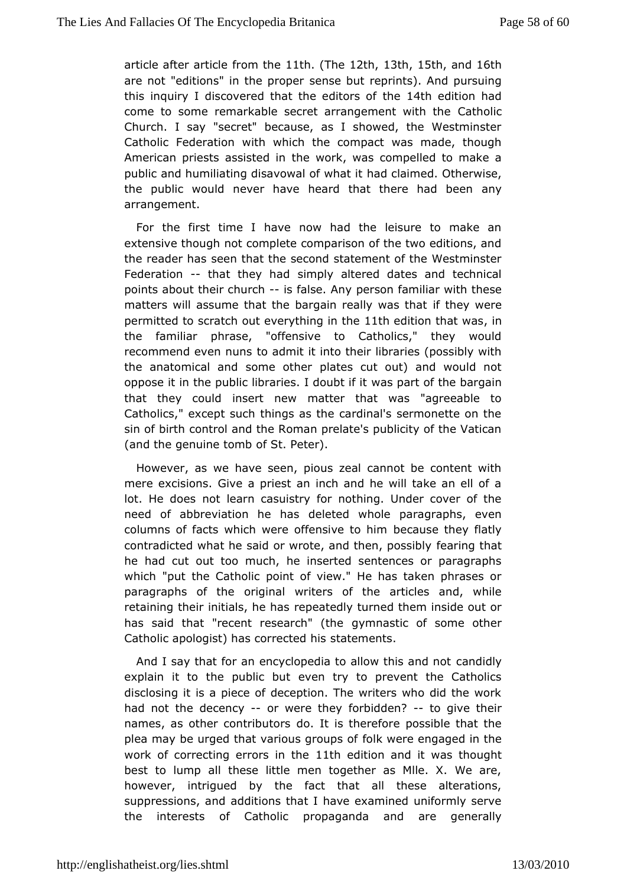article after a from thethealth. (The  $12$ th,  $13$ th,  $15$ th, and  $16$ th are not "editions" in the epsopbut reprints). And pursuing this inquiry I discovered that the heeld the resolication had come to some remarkable secret arrangement with the Church. I say "secret" because, as I showed, the Westmin Catholice deration with which the compact was made, thougl American priests asstated wonk, was compelled to make a public and humiliating disavow**al of claimed.** Otherwise, the public would never have heard that thæme had been arrangement.

For the first time I have now had the leisure to make extensive though not complete comparison of the two editions the reader has that the second statement of the Westminster Federation that they had in ply altered dates and technical points about their chartalse. Auyson familiar with these matters will assume that the bargain refallhye waw set the at permitted to scratch out every thit hige dritt be that iwas the familiar phrase, "offensive to Catholics," they wo recommend even tround mit it into their libraries (possibly with the anatomical and somplaotense rout out) and would not oppose it in the public librarieswalsdpoant to it the bargain that they could insert new matter that was "agreeable Catholics," except such things as the cardinal's sermonette  $\epsilon$ sin of bicth trol and the Roman prelate's publicity of the Vatic (and the genuine of to  $\mathbb S$ th Peter).

However, as we have seen, pious zeal cannot be content mere excisions. Give a priest an inch and he will take an el lot. He doneost learn casuistry for nothing. Under cover of th need of abbreviation **beleten whole** paragraphs, even columns of facts which were offenbeiovaeuse thimey flatly contradicted what he said or wrote, and feation, g pto sastibly he had cut out too much, he inserted sentences or paragraphs which put the Catholic point of view." He has taken phrases paragraphs of othiginal writers of the articles and, while retaining their initialse phe a headly turned them inside out or has said that "recent reseagoph" na static of some other Catholic apologist) has costate endemis.

And I say that for an encyclopedia to alloo and holby and not explain it to the public but even try to prevent the Catho disclosing it is a piece of deception. The writers who did the had not the cency or were they forbid-dtoon give their names, as other contribut tarist therefore possible that the plea may be urged that variou sogkowes beding aged in the work of correcting errorshthin et the indication and datithought best to lump all these little men together as MIIe.  $X$ . We however, intrigued by the fact that all these alterations suppressions, add dtions that I have examined uniformly serve the interests of Caphopiaganda and are generally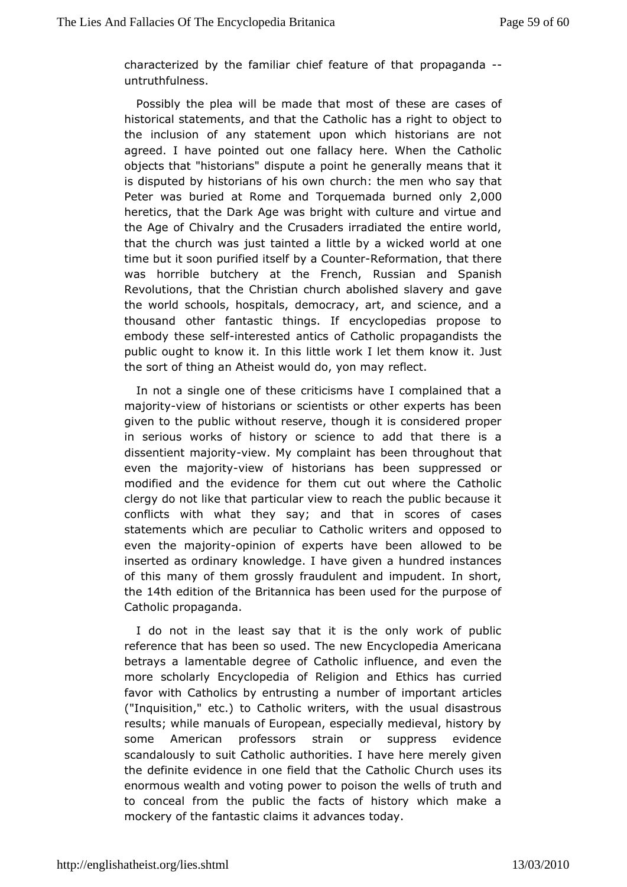[characterized by the f](http://englishatheist.org/lies.shtmlcharacterized)amiliar chief feature and  $\theta$  that  $\theta$ untruthfulness.

Possibly the plea will be made ttheats en oaste ocfases of historical statements, and that the Catholobibat to right to the inclusion of any statement upon which historians are agreed. have pointed out one fallacy here. When the Cathol objects that "histodnisapnust" a point he generally means that it is disputed by historians  $\alpha$  th unishow the men who say that Peter was buried at Rome and Torquemada, COU ned only heretics, that the Dark Age was bright with culture and virtu the Agoef Chivalry and the Crusaders irradiated the entire wo that the church was stainted a little by a wicked world at one time but it soon purifice dit Gouth Reenformation, that there was horrible butchery at the Rufs weimanh, and Spanish Revolutions, that the Christian church abolished slavery and the world schools, hospitals, democracy, art, and science, thousand ther fantastic things. If encyclopedias propose t embody these-interestadtics of Catholic propagandists the public ought to know it. In wto his litelte them know it. Just the sort of thing an Atheist wouldreble when may

In not a single one of these criticisms have I complained t majoritwiew of historians or scientists or other experts has b given to thueblic without reserve, though it is considered prop in serious workhsisolory or science to add that there is a dissentient ma-jooineiwy. Mayomplaint has been throughout that even the majoriiety of historians has uppeenssed or modified and the evidence for them cut out where the Cath clergy do not like that particular view to reach the public bec conflictswith what they say; and that in scores of cases statements which are pecultikarlito writers and opposed to even the majoorpinion of experts havællowed to be inserted as ordinary knowledge. I have given a hundred insta of this many of them grossly fraudulent and impudent. In sh the14th edition the Britannica has been used for the purpose c Catholic propaganda.

I do not in the least say that it is the only work of put reference that has so used. The new Encyclopedia Americana betrays a lamentable deCogarteheoloid influence, and even the more scholarly Encyclopedia of REethiggion has adcurried favor with Catholics by entrusting a numbarticefleism portant ("Inquisition," etc.) to Catholic writers, with the usual disa results; while manuals of European, especially medieval, hist some American professors strain or suppress evidence scandalously to suit & cuttholonities. I have here merely given the definite evidence in onethe eCatthoaltic Church uses its enormous wealth and voting power two eplosisoofntntuhteh and to conceal from the public the facts of history which mak mockery of the fantastic claims it advances today.